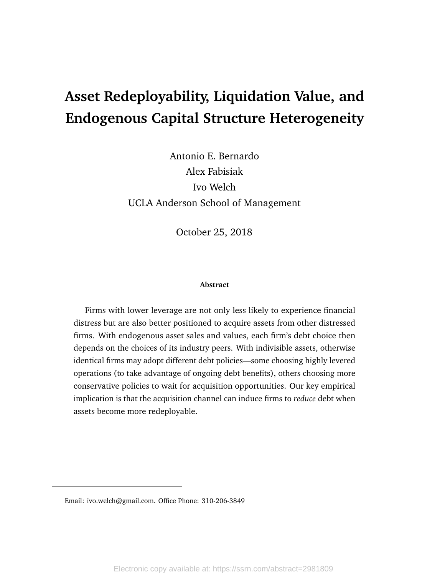# <span id="page-0-0"></span>**Asset Redeployability, Liquidation Value, and Endogenous Capital Structure Heterogeneity**

Antonio E. Bernardo Alex Fabisiak Ivo Welch UCLA Anderson School of Management

October 25, 2018

#### **Abstract**

Firms with lower leverage are not only less likely to experience financial distress but are also better positioned to acquire assets from other distressed firms. With endogenous asset sales and values, each firm's debt choice then depends on the choices of its industry peers. With indivisible assets, otherwise identical firms may adopt different debt policies—some choosing highly levered operations (to take advantage of ongoing debt benefits), others choosing more conservative policies to wait for acquisition opportunities. Our key empirical implication is that the acquisition channel can induce firms to *reduce* debt when assets become more redeployable.

Email: ivo.welch@gmail.com. Office Phone: 310-206-3849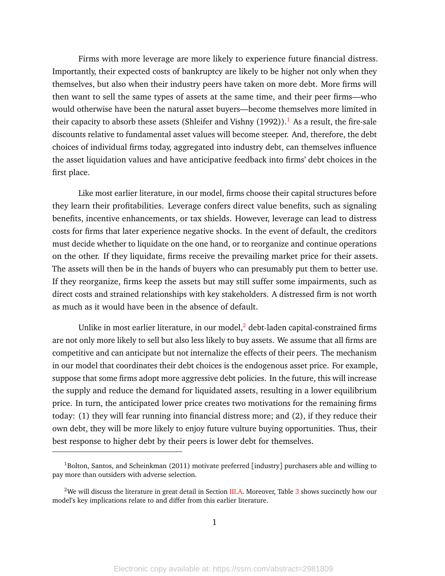Firms with more leverage are more likely to experience future financial distress. Importantly, their expected costs of bankruptcy are likely to be higher not only when they themselves, but also when their industry peers have taken on more debt. More firms will then want to sell the same types of assets at the same time, and their peer firms—who would otherwise have been the natural asset buyers—become themselves more limited in their capacity to absorb these assets (Shleifer and Vishny  $(1992)$  $(1992)$  $(1992)$ ).<sup>1</sup> As a result, the fire-sale discounts relative to fundamental asset values will become steeper. And, therefore, the debt choices of individual firms today, aggregated into industry debt, can themselves influence the asset liquidation values and have anticipative feedback into firms' debt choices in the first place.

Like most earlier literature, in our model, firms choose their capital structures before they learn their profitabilities. Leverage confers direct value benefits, such as signaling benefits, incentive enhancements, or tax shields. However, leverage can lead to distress costs for firms that later experience negative shocks. In the event of default, the creditors must decide whether to liquidate on the one hand, or to reorganize and continue operations on the other. If they liquidate, firms receive the prevailing market price for their assets. The assets will then be in the hands of buyers who can presumably put them to better use. If they reorganize, firms keep the assets but may still suffer some impairments, such as direct costs and strained relationships with key stakeholders. A distressed firm is not worth as much as it would have been in the absence of default.

Unlike in most earlier literature, in our model, $<sup>2</sup>$  $<sup>2</sup>$  $<sup>2</sup>$  debt-laden capital-constrained firms</sup> are not only more likely to sell but also less likely to buy assets. We assume that all firms are competitive and can anticipate but not internalize the effects of their peers. The mechanism in our model that coordinates their debt choices is the endogenous asset price. For example, suppose that some firms adopt more aggressive debt policies. In the future, this will increase the supply and reduce the demand for liquidated assets, resulting in a lower equilibrium price. In turn, the anticipated lower price creates two motivations for the remaining firms today: (1) they will fear running into financial distress more; and (2), if they reduce their own debt, they will be more likely to enjoy future vulture buying opportunities. Thus, their best response to higher debt by their peers is lower debt for themselves.

<sup>&</sup>lt;sup>1</sup>Bolton, Santos, and Scheinkman (2011) motivate preferred [industry] purchasers able and willing to pay more than outsiders with adverse selection.

<sup>&</sup>lt;sup>2</sup>We will discuss the literature in great detail in Section [III.](#page-29-0)[A.](#page-29-1) Moreover, Table [3](#page-43-0) shows succinctly how our model's key implications relate to and differ from this earlier literature.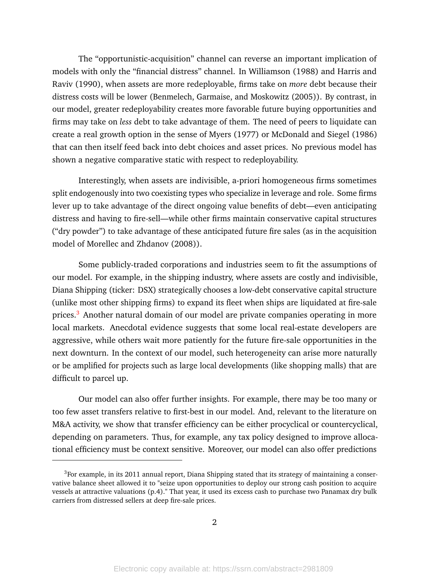The "opportunistic-acquisition" channel can reverse an important implication of models with only the "financial distress" channel. In Williamson (1988) and Harris and Raviv (1990), when assets are more redeployable, firms take on *more* debt because their distress costs will be lower (Benmelech, Garmaise, and Moskowitz (2005)). By contrast, in our model, greater redeployability creates more favorable future buying opportunities and firms may take on *less* debt to take advantage of them. The need of peers to liquidate can create a real growth option in the sense of Myers (1977) or McDonald and Siegel (1986) that can then itself feed back into debt choices and asset prices. No previous model has shown a negative comparative static with respect to redeployability.

Interestingly, when assets are indivisible, a-priori homogeneous firms sometimes split endogenously into two coexisting types who specialize in leverage and role. Some firms lever up to take advantage of the direct ongoing value benefits of debt—even anticipating distress and having to fire-sell—while other firms maintain conservative capital structures ("dry powder") to take advantage of these anticipated future fire sales (as in the acquisition model of Morellec and Zhdanov (2008)).

Some publicly-traded corporations and industries seem to fit the assumptions of our model. For example, in the shipping industry, where assets are costly and indivisible, Diana Shipping (ticker: DSX) strategically chooses a low-debt conservative capital structure (unlike most other shipping firms) to expand its fleet when ships are liquidated at fire-sale prices.<sup>[3](#page-0-0)</sup> Another natural domain of our model are private companies operating in more local markets. Anecdotal evidence suggests that some local real-estate developers are aggressive, while others wait more patiently for the future fire-sale opportunities in the next downturn. In the context of our model, such heterogeneity can arise more naturally or be amplified for projects such as large local developments (like shopping malls) that are difficult to parcel up.

Our model can also offer further insights. For example, there may be too many or too few asset transfers relative to first-best in our model. And, relevant to the literature on M&A activity, we show that transfer efficiency can be either procyclical or countercyclical, depending on parameters. Thus, for example, any tax policy designed to improve allocational efficiency must be context sensitive. Moreover, our model can also offer predictions

 $3$ For example, in its 2011 annual report, Diana Shipping stated that its strategy of maintaining a conservative balance sheet allowed it to "seize upon opportunities to deploy our strong cash position to acquire vessels at attractive valuations (p.4)." That year, it used its excess cash to purchase two Panamax dry bulk carriers from distressed sellers at deep fire-sale prices.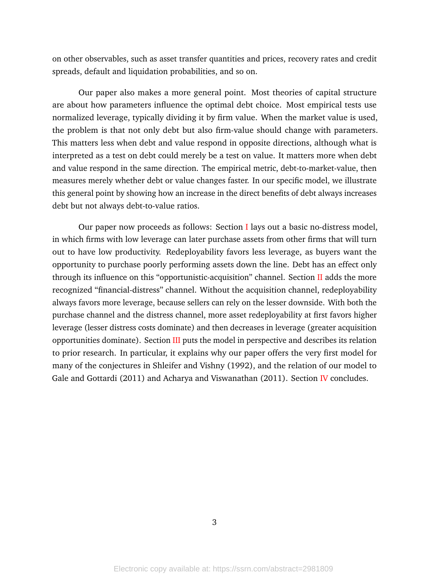on other observables, such as asset transfer quantities and prices, recovery rates and credit spreads, default and liquidation probabilities, and so on.

Our paper also makes a more general point. Most theories of capital structure are about how parameters influence the optimal debt choice. Most empirical tests use normalized leverage, typically dividing it by firm value. When the market value is used, the problem is that not only debt but also firm-value should change with parameters. This matters less when debt and value respond in opposite directions, although what is interpreted as a test on debt could merely be a test on value. It matters more when debt and value respond in the same direction. The empirical metric, debt-to-market-value, then measures merely whether debt or value changes faster. In our specific model, we illustrate this general point by showing how an increase in the direct benefits of debt always increases debt but not always debt-to-value ratios.

Our paper now proceeds as follows: Section [I](#page-4-0) lays out a basic no-distress model, in which firms with low leverage can later purchase assets from other firms that will turn out to have low productivity. Redeployability favors less leverage, as buyers want the opportunity to purchase poorly performing assets down the line. Debt has an effect only through its influence on this "opportunistic-acquisition" channel. Section [II](#page-15-0) adds the more recognized "financial-distress" channel. Without the acquisition channel, redeployability always favors more leverage, because sellers can rely on the lesser downside. With both the purchase channel and the distress channel, more asset redeployability at first favors higher leverage (lesser distress costs dominate) and then decreases in leverage (greater acquisition opportunities dominate). Section [III](#page-29-0) puts the model in perspective and describes its relation to prior research. In particular, it explains why our paper offers the very first model for many of the conjectures in Shleifer and Vishny (1992), and the relation of our model to Gale and Gottardi (2011) and Acharya and Viswanathan (2011). Section [IV](#page-37-0) concludes.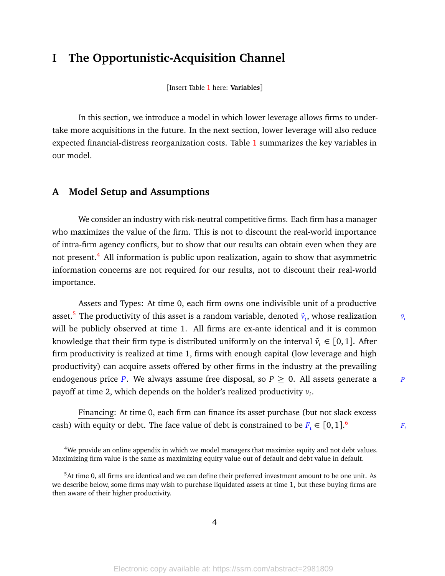# <span id="page-4-0"></span>**I The Opportunistic-Acquisition Channel**

[Insert Table [1](#page-41-0) here: **Variables**]

In this section, we introduce a model in which lower leverage allows firms to undertake more acquisitions in the future. In the next section, lower leverage will also reduce expected financial-distress reorganization costs. Table [1](#page-41-0) summarizes the key variables in our model.

# **A Model Setup and Assumptions**

We consider an industry with risk-neutral competitive firms. Each firm has a manager who maximizes the value of the firm. This is not to discount the real-world importance of intra-firm agency conflicts, but to show that our results can obtain even when they are not present.<sup>[4](#page-0-0)</sup> All information is public upon realization, again to show that asymmetric information concerns are not required for our results, not to discount their real-world importance.

Assets and Types: At time 0, each firm owns one indivisible unit of a productive asset.<sup>[5](#page-0-0)</sup> The productivity of this asset is a random variable, denoted  $\tilde{v}_i$ , whose realization  $\qquad \tilde{v}_i$ will be publicly observed at time 1. All firms are ex-ante identical and it is common knowledge that their firm type is distributed uniformly on the interval  $\tilde{v}_i \in [0,1]$ . After firm productivity is realized at time 1, firms with enough capital (low leverage and high productivity) can acquire assets offered by other firms in the industry at the prevailing endogenous price *P*. We always assume free disposal, so  $P \ge 0$ . All assets generate a *P* payoff at time 2, which depends on the holder's realized productivity *v<sup>i</sup>* .

Financing: At time 0, each firm can finance its asset purchase (but not slack excess cash) with equity or debt. The face value of debt is constrained to be  $F_i \in [0,1].^6$  $F_i \in [0,1].^6$ 

 $F_i$ 

<sup>&</sup>lt;sup>4</sup>We provide an online appendix in which we model managers that maximize equity and not debt values. Maximizing firm value is the same as maximizing equity value out of default and debt value in default.

<sup>5</sup>At time 0, all firms are identical and we can define their preferred investment amount to be one unit. As we describe below, some firms may wish to purchase liquidated assets at time 1, but these buying firms are then aware of their higher productivity.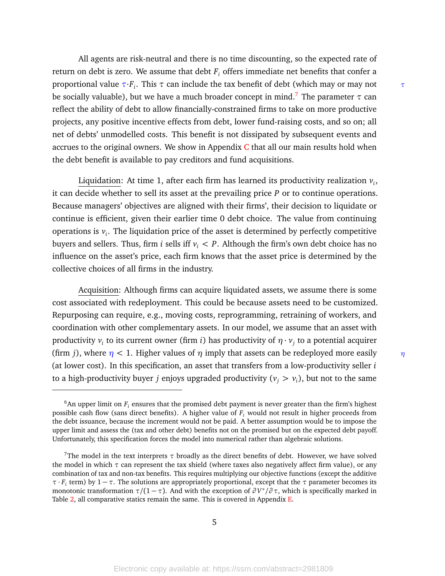All agents are risk-neutral and there is no time discounting, so the expected rate of return on debt is zero. We assume that debt  $F_i$  offers immediate net benefits that confer a proportional value *τ*·*F<sup>i</sup>* . This *τ* can include the tax benefit of debt (which may or may not *τ* be socially valuable), but we have a much broader concept in mind.<sup>[7](#page-0-0)</sup> The parameter  $\tau$  can reflect the ability of debt to allow financially-constrained firms to take on more productive projects, any positive incentive effects from debt, lower fund-raising costs, and so on; all net of debts' unmodelled costs. This benefit is not dissipated by subsequent events and accrues to the original owners. We show in Appendix  $C$  that all our main results hold when the debt benefit is available to pay creditors and fund acquisitions.

Liquidation: At time 1, after each firm has learned its productivity realization *v<sup>i</sup>* , it can decide whether to sell its asset at the prevailing price *P* or to continue operations. Because managers' objectives are aligned with their firms', their decision to liquidate or continue is efficient, given their earlier time 0 debt choice. The value from continuing operations is *v<sup>i</sup>* . The liquidation price of the asset is determined by perfectly competitive buyers and sellers. Thus, firm *i* sells iff  $v_i < P$ . Although the firm's own debt choice has no influence on the asset's price, each firm knows that the asset price is determined by the collective choices of all firms in the industry.

Acquisition: Although firms can acquire liquidated assets, we assume there is some cost associated with redeployment. This could be because assets need to be customized. Repurposing can require, e.g., moving costs, reprogramming, retraining of workers, and coordination with other complementary assets. In our model, we assume that an asset with productivity  $v_i$  to its current owner (firm *i*) has productivity of  $\eta \cdot v_j$  to a potential acquirer (firm *j*), where *η <* 1. Higher values of *η* imply that assets can be redeployed more easily *η* (at lower cost). In this specification, an asset that transfers from a low-productivity seller *i* to a high-productivity buyer *j* enjoys upgraded productivity (*v<sup>j</sup> > v<sup>i</sup>* ), but not to the same

 $6$ An upper limit on  $F_i$  ensures that the promised debt payment is never greater than the firm's highest possible cash flow (sans direct benefits). A higher value of *F<sup>i</sup>* would not result in higher proceeds from the debt issuance, because the increment would not be paid. A better assumption would be to impose the upper limit and assess the (tax and other debt) benefits not on the promised but on the expected debt payoff. Unfortunately, this specification forces the model into numerical rather than algebraic solutions.

<sup>&</sup>lt;sup>7</sup>The model in the text interprets  $\tau$  broadly as the direct benefits of debt. However, we have solved the model in which *τ* can represent the tax shield (where taxes also negatively affect firm value), or any combination of tax and non-tax benefits. This requires multiplying our objective functions (except the additive *τ* · *F<sup>i</sup>* term) by 1 − *τ*. The solutions are appropriately proportional, except that the *τ* parameter becomes its monotonic transformation  $\tau/(1-\tau)$ . And with the exception of  $\partial V^*/\partial \tau$ , which is specifically marked in Table [2,](#page-42-0) all comparative statics remain the same. This is covered in Appendix [E.](#page-74-0)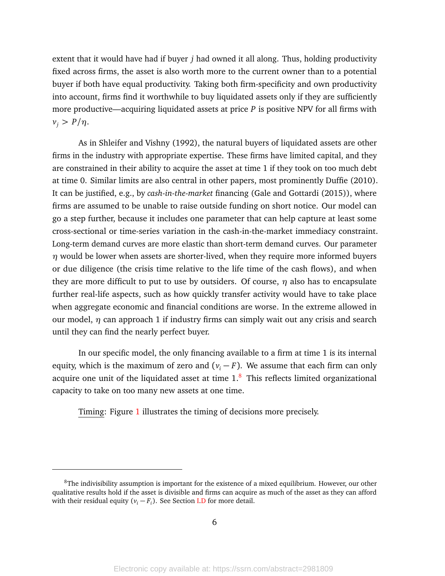extent that it would have had if buyer *j* had owned it all along. Thus, holding productivity fixed across firms, the asset is also worth more to the current owner than to a potential buyer if both have equal productivity. Taking both firm-specificity and own productivity into account, firms find it worthwhile to buy liquidated assets only if they are sufficiently more productive—acquiring liquidated assets at price *P* is positive NPV for all firms with *v*<sub>*j*</sub>  $> P/η$ .

As in Shleifer and Vishny (1992), the natural buyers of liquidated assets are other firms in the industry with appropriate expertise. These firms have limited capital, and they are constrained in their ability to acquire the asset at time 1 if they took on too much debt at time 0. Similar limits are also central in other papers, most prominently Duffie (2010). It can be justified, e.g., by *cash-in-the-market* financing (Gale and Gottardi (2015)), where firms are assumed to be unable to raise outside funding on short notice. Our model can go a step further, because it includes one parameter that can help capture at least some cross-sectional or time-series variation in the cash-in-the-market immediacy constraint. Long-term demand curves are more elastic than short-term demand curves. Our parameter *η* would be lower when assets are shorter-lived, when they require more informed buyers or due diligence (the crisis time relative to the life time of the cash flows), and when they are more difficult to put to use by outsiders. Of course, *η* also has to encapsulate further real-life aspects, such as how quickly transfer activity would have to take place when aggregate economic and financial conditions are worse. In the extreme allowed in our model, *η* can approach 1 if industry firms can simply wait out any crisis and search until they can find the nearly perfect buyer.

In our specific model, the only financing available to a firm at time 1 is its internal equity, which is the maximum of zero and  $(v_i - F)$ . We assume that each firm can only acquire one unit of the liquidated asset at time  $1<sup>8</sup>$  $1<sup>8</sup>$  $1<sup>8</sup>$  This reflects limited organizational capacity to take on too many new assets at one time.

Timing: Figure [1](#page-44-0) illustrates the timing of decisions more precisely.

 $8$ The indivisibility assumption is important for the existence of a mixed equilibrium. However, our other qualitative results hold if the asset is divisible and firms can acquire as much of the asset as they can afford with their residual equity  $(v_i - F_i)$ . See Section [I.](#page-4-0)[D](#page-11-0) for more detail.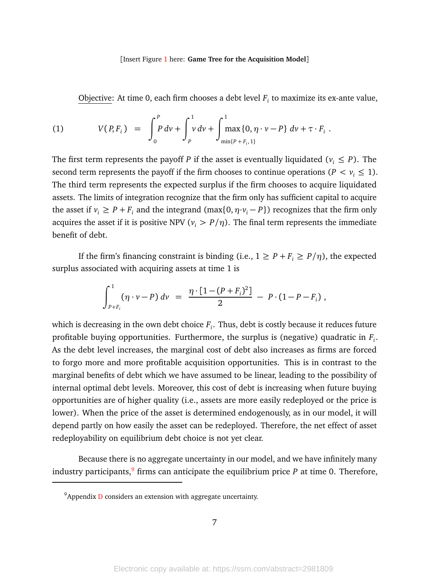#### [Insert Figure [1](#page-44-0) here: **Game Tree for the Acquisition Model**]

<span id="page-7-0"></span>Objective: At time 0, each firm chooses a debt level *F<sup>i</sup>* to maximize its ex-ante value,

(1) 
$$
V(P, F_i) = \int_0^P P dv + \int_P^1 v dv + \int_{\min\{P + F_i, 1\}}^1 dw + \tau \cdot F_i.
$$

The first term represents the payoff *P* if the asset is eventually liquidated ( $v_i \leq P$ ). The second term represents the payoff if the firm chooses to continue operations ( $P < v_i \le 1$ ). The third term represents the expected surplus if the firm chooses to acquire liquidated assets. The limits of integration recognize that the firm only has sufficient capital to acquire the asset if  $v_i \ge P + F_i$  and the integrand (max $\{0, \eta \cdot v_i - P\}$ ) recognizes that the firm only acquires the asset if it is positive NPV ( $v_i > P/\eta$ ). The final term represents the immediate benefit of debt.

If the firm's financing constraint is binding (i.e.,  $1 \ge P + F_i \ge P/\eta$ ), the expected surplus associated with acquiring assets at time 1 is

$$
\int_{P+F_i}^1 (\eta \cdot \nu - P) \, d\nu = \frac{\eta \cdot [1 - (P+F_i)^2]}{2} - P \cdot (1 - P - F_i) \, ,
$$

which is decreasing in the own debt choice *F<sup>i</sup>* . Thus, debt is costly because it reduces future profitable buying opportunities. Furthermore, the surplus is (negative) quadratic in *F<sup>i</sup>* . As the debt level increases, the marginal cost of debt also increases as firms are forced to forgo more and more profitable acquisition opportunities. This is in contrast to the marginal benefits of debt which we have assumed to be linear, leading to the possibility of internal optimal debt levels. Moreover, this cost of debt is increasing when future buying opportunities are of higher quality (i.e., assets are more easily redeployed or the price is lower). When the price of the asset is determined endogenously, as in our model, it will depend partly on how easily the asset can be redeployed. Therefore, the net effect of asset redeployability on equilibrium debt choice is not yet clear.

Because there is no aggregate uncertainty in our model, and we have infinitely many industry participants,<sup>[9](#page-0-0)</sup> firms can anticipate the equilibrium price  $P$  at time 0. Therefore,

 $9$ Appendix [D](#page-73-0) considers an extension with aggregate uncertainty.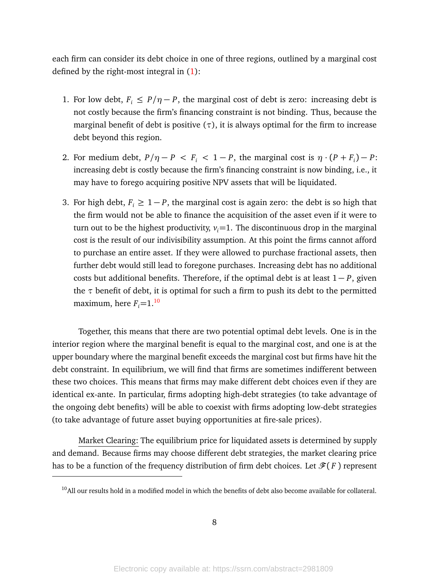each firm can consider its debt choice in one of three regions, outlined by a marginal cost defined by the right-most integral in [\(1\)](#page-7-0):

- 1. For low debt,  $F_i \leq P/\eta P$ , the marginal cost of debt is zero: increasing debt is not costly because the firm's financing constraint is not binding. Thus, because the marginal benefit of debt is positive  $(\tau)$ , it is always optimal for the firm to increase debt beyond this region.
- 2. For medium debt,  $P/\eta P \le F_i \le 1 P$ , the marginal cost is  $\eta \cdot (P + F_i) P$ : increasing debt is costly because the firm's financing constraint is now binding, i.e., it may have to forego acquiring positive NPV assets that will be liquidated.
- 3. For high debt,  $F_i \geq 1 P$ , the marginal cost is again zero: the debt is so high that the firm would not be able to finance the acquisition of the asset even if it were to turn out to be the highest productivity,  $v_i = 1$ . The discontinuous drop in the marginal cost is the result of our indivisibility assumption. At this point the firms cannot afford to purchase an entire asset. If they were allowed to purchase fractional assets, then further debt would still lead to foregone purchases. Increasing debt has no additional costs but additional benefits. Therefore, if the optimal debt is at least 1 − *P*, given the  $\tau$  benefit of debt, it is optimal for such a firm to push its debt to the permitted maximum, here  $F_i = 1.^{10}$  $F_i = 1.^{10}$  $F_i = 1.^{10}$

Together, this means that there are two potential optimal debt levels. One is in the interior region where the marginal benefit is equal to the marginal cost, and one is at the upper boundary where the marginal benefit exceeds the marginal cost but firms have hit the debt constraint. In equilibrium, we will find that firms are sometimes indifferent between these two choices. This means that firms may make different debt choices even if they are identical ex-ante. In particular, firms adopting high-debt strategies (to take advantage of the ongoing debt benefits) will be able to coexist with firms adopting low-debt strategies (to take advantage of future asset buying opportunities at fire-sale prices).

Market Clearing: The equilibrium price for liquidated assets is determined by supply and demand. Because firms may choose different debt strategies, the market clearing price has to be a function of the frequency distribution of firm debt choices. Let  $\mathscr{F}(F)$  represent

<sup>&</sup>lt;sup>10</sup>All our results hold in a modified model in which the benefits of debt also become available for collateral.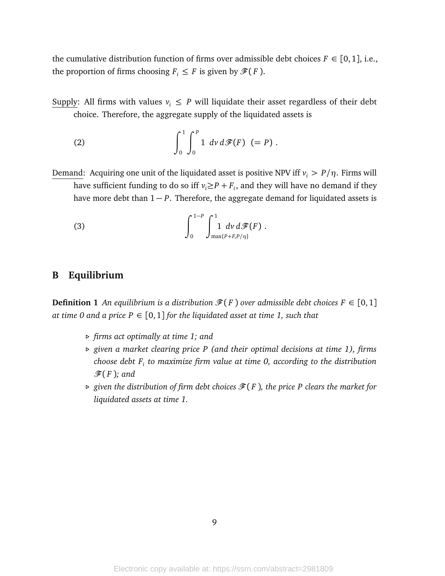the cumulative distribution function of firms over admissible debt choices  $F \in [0,1]$ , i.e., the proportion of firms choosing  $F_i \leq F$  is given by  $\mathcal{F}(F)$ .

Supply: All firms with values  $v_i \leq P$  will liquidate their asset regardless of their debt choice. Therefore, the aggregate supply of the liquidated assets is

<span id="page-9-0"></span>(2) 
$$
\int_0^1 \int_0^P 1 \, dv \, d\mathcal{F}(F) \, (P) \, .
$$

Demand: Acquiring one unit of the liquidated asset is positive NPV iff  $v_i > P/\eta$ . Firms will have sufficient funding to do so iff  $v_i \ge P + F_i$ , and they will have no demand if they have more debt than 1 − *P*. Therefore, the aggregate demand for liquidated assets is

<span id="page-9-1"></span>(3) 
$$
\int_0^{1-P} \int_{\max\{P+F, P/\eta\}}^1 dv \, d\mathcal{F}(F) .
$$

# **B Equilibrium**

**Definition 1** An equilibrium is a distribution  $\mathcal{F}(F)$  over admissible debt choices  $F \in [0,1]$ *at time 0 and a price P*  $\in$  [0, 1] *for the liquidated asset at time 1, such that* 

- *. firms act optimally at time 1; and*
- *. given a market clearing price P (and their optimal decisions at time 1), firms choose debt F<sup>i</sup> to maximize firm value at time 0, according to the distribution*  $\mathscr{F}(F)$ ; and
- $\triangleright$  given the distribution of firm debt choices  $\mathscr{F}(F)$ , the price P clears the market for *liquidated assets at time 1.*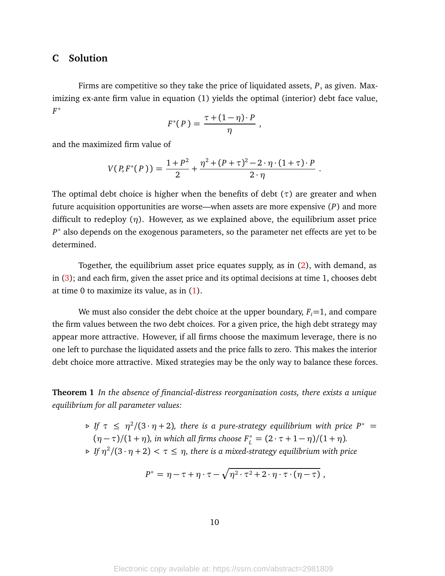## **C Solution**

Firms are competitive so they take the price of liquidated assets, *P*, as given. Maximizing ex-ante firm value in equation (1) yields the optimal (interior) debt face value, *F* ∗

$$
F^*(P) = \frac{\tau + (1 - \eta) \cdot P}{\eta} ,
$$

and the maximized firm value of

$$
V(P, F^*(P)) = \frac{1+P^2}{2} + \frac{\eta^2 + (P+\tau)^2 - 2 \cdot \eta \cdot (1+\tau) \cdot P}{2 \cdot \eta}.
$$

The optimal debt choice is higher when the benefits of debt (*τ*) are greater and when future acquisition opportunities are worse—when assets are more expensive (*P*) and more difficult to redeploy  $(\eta)$ . However, as we explained above, the equilibrium asset price *P* ∗ also depends on the exogenous parameters, so the parameter net effects are yet to be determined.

Together, the equilibrium asset price equates supply, as in [\(2\)](#page-9-0), with demand, as in [\(3\)](#page-9-1); and each firm, given the asset price and its optimal decisions at time 1, chooses debt at time 0 to maximize its value, as in [\(1\)](#page-7-0).

We must also consider the debt choice at the upper boundary,  $F_i = 1$ , and compare the firm values between the two debt choices. For a given price, the high debt strategy may appear more attractive. However, if all firms choose the maximum leverage, there is no one left to purchase the liquidated assets and the price falls to zero. This makes the interior debt choice more attractive. Mixed strategies may be the only way to balance these forces.

**Theorem 1** *In the absence of financial-distress reorganization costs, there exists a unique equilibrium for all parameter values:*

> $\triangleright$  *If*  $\tau \leq \eta^2/(3 \cdot \eta + 2)$ , there is a pure-strategy equilibrium with price  $P^* =$  $(\eta - \tau)/(1 + \eta)$ , in which all firms choose  $F_L^* = (2 \cdot \tau + 1 - \eta)/(1 + \eta)$ .  $\Rightarrow$  *If*  $\eta^2/(3 \cdot \eta + 2) < \tau \leq \eta$ , there is a mixed-strategy equilibrium with price

$$
P^* = \eta - \tau + \eta \cdot \tau - \sqrt{\eta^2 \cdot \tau^2 + 2 \cdot \eta \cdot \tau \cdot (\eta - \tau)} ,
$$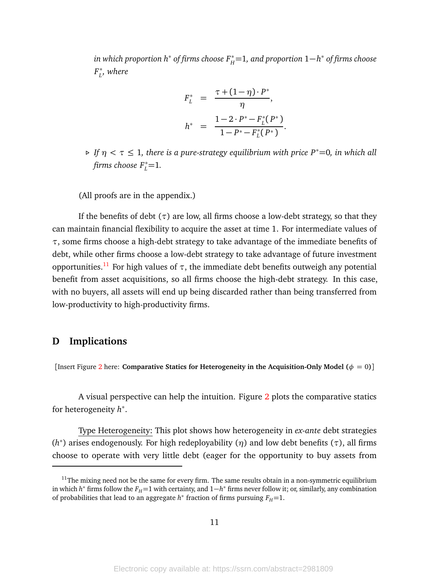*in which proportion*  $h^*$  *of firms choose*  $F^*_H$ *=1, and proportion*  $1-h^*$  *of firms choose F* ∗ *L , where*

$$
F_L^* = \frac{\tau + (1 - \eta) \cdot P^*}{\eta},
$$
  

$$
h^* = \frac{1 - 2 \cdot P^* - F_L^*(P^*)}{1 - P^* - F_L^*(P^*)}
$$

.

 $\triangleright$  *If*  $\eta < \tau \leq 1$ , there is a pure-strategy equilibrium with price P<sup>\*</sup>=0, in which all  $f\text{irms choose } F_L^*$ =1.

(All proofs are in the appendix.)

If the benefits of debt  $(\tau)$  are low, all firms choose a low-debt strategy, so that they can maintain financial flexibility to acquire the asset at time 1. For intermediate values of *τ*, some firms choose a high-debt strategy to take advantage of the immediate benefits of debt, while other firms choose a low-debt strategy to take advantage of future investment opportunities.<sup>[11](#page-0-0)</sup> For high values of  $τ$ , the immediate debt benefits outweigh any potential benefit from asset acquisitions, so all firms choose the high-debt strategy. In this case, with no buyers, all assets will end up being discarded rather than being transferred from low-productivity to high-productivity firms.

## <span id="page-11-0"></span>**D Implications**

[Insert Figure [2](#page-45-0) here: **Comparative Statics for Heterogeneity in the Acquisition-Only Model (** $\phi = 0$ **)]** 

A visual perspective can help the intuition. Figure [2](#page-45-0) plots the comparative statics for heterogeneity *h* ∗ .

Type Heterogeneity: This plot shows how heterogeneity in *ex-ante* debt strategies (*h* ∗ ) arises endogenously. For high redeployability (*η*) and low debt benefits (*τ*), all firms choose to operate with very little debt (eager for the opportunity to buy assets from

 $11$ The mixing need not be the same for every firm. The same results obtain in a non-symmetric equilibrium in which *h* <sup>∗</sup> firms follow the *<sup>F</sup>H*=<sup>1</sup> with certainty, and <sup>1</sup>−*<sup>h</sup>* <sup>∗</sup> firms never follow it; or, similarly, any combination of probabilities that lead to an aggregate  $h^*$  fraction of firms pursuing  $F_H$ =1.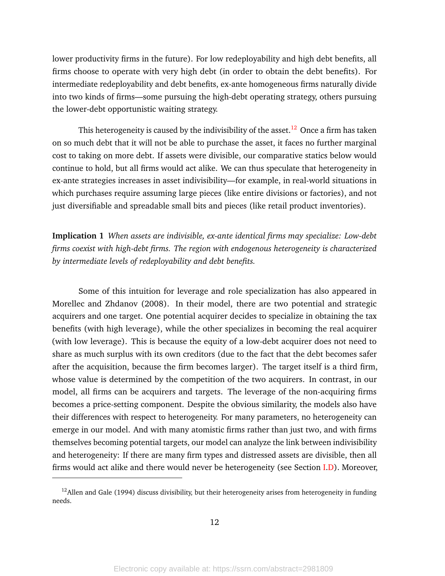lower productivity firms in the future). For low redeployability and high debt benefits, all firms choose to operate with very high debt (in order to obtain the debt benefits). For intermediate redeployability and debt benefits, ex-ante homogeneous firms naturally divide into two kinds of firms—some pursuing the high-debt operating strategy, others pursuing the lower-debt opportunistic waiting strategy.

This heterogeneity is caused by the indivisibility of the asset.<sup>[12](#page-0-0)</sup> Once a firm has taken on so much debt that it will not be able to purchase the asset, it faces no further marginal cost to taking on more debt. If assets were divisible, our comparative statics below would continue to hold, but all firms would act alike. We can thus speculate that heterogeneity in ex-ante strategies increases in asset indivisibility—for example, in real-world situations in which purchases require assuming large pieces (like entire divisions or factories), and not just diversifiable and spreadable small bits and pieces (like retail product inventories).

**Implication 1** *When assets are indivisible, ex-ante identical firms may specialize: Low-debt firms coexist with high-debt firms. The region with endogenous heterogeneity is characterized by intermediate levels of redeployability and debt benefits.*

Some of this intuition for leverage and role specialization has also appeared in Morellec and Zhdanov (2008). In their model, there are two potential and strategic acquirers and one target. One potential acquirer decides to specialize in obtaining the tax benefits (with high leverage), while the other specializes in becoming the real acquirer (with low leverage). This is because the equity of a low-debt acquirer does not need to share as much surplus with its own creditors (due to the fact that the debt becomes safer after the acquisition, because the firm becomes larger). The target itself is a third firm, whose value is determined by the competition of the two acquirers. In contrast, in our model, all firms can be acquirers and targets. The leverage of the non-acquiring firms becomes a price-setting component. Despite the obvious similarity, the models also have their differences with respect to heterogeneity. For many parameters, no heterogeneity can emerge in our model. And with many atomistic firms rather than just two, and with firms themselves becoming potential targets, our model can analyze the link between indivisibility and heterogeneity: If there are many firm types and distressed assets are divisible, then all firms would act alike and there would never be heterogeneity (see Section [I](#page-4-0)[.D\)](#page-11-0). Moreover,

 $12$ Allen and Gale (1994) discuss divisibility, but their heterogeneity arises from heterogeneity in funding needs.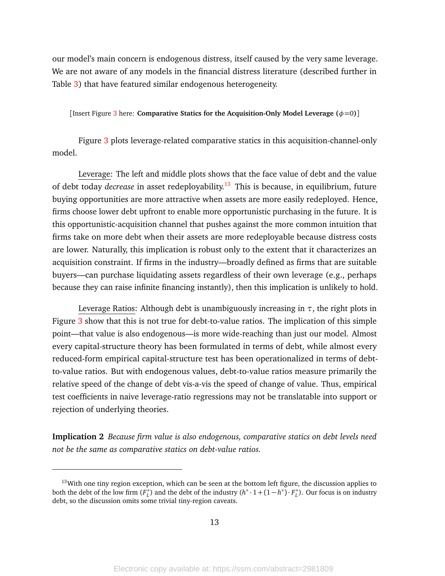our model's main concern is endogenous distress, itself caused by the very same leverage. We are not aware of any models in the financial distress literature (described further in Table [3\)](#page-43-0) that have featured similar endogenous heterogeneity.

[Insert Figure [3](#page-46-0) here: **Comparative Statics for the Acquisition-Only Model Leverage**  $(\phi=0)$ **]** 

Figure [3](#page-46-0) plots leverage-related comparative statics in this acquisition-channel-only model.

Leverage: The left and middle plots shows that the face value of debt and the value of debt today *decrease* in asset redeployability.[13](#page-0-0) This is because, in equilibrium, future buying opportunities are more attractive when assets are more easily redeployed. Hence, firms choose lower debt upfront to enable more opportunistic purchasing in the future. It is this opportunistic-acquisition channel that pushes against the more common intuition that firms take on more debt when their assets are more redeployable because distress costs are lower. Naturally, this implication is robust only to the extent that it characterizes an acquisition constraint. If firms in the industry—broadly defined as firms that are suitable buyers—can purchase liquidating assets regardless of their own leverage (e.g., perhaps because they can raise infinite financing instantly), then this implication is unlikely to hold.

Leverage Ratios: Although debt is unambiguously increasing in *τ*, the right plots in Figure [3](#page-46-0) show that this is not true for debt-to-value ratios. The implication of this simple point—that value is also endogenous—is more wide-reaching than just our model. Almost every capital-structure theory has been formulated in terms of debt, while almost every reduced-form empirical capital-structure test has been operationalized in terms of debtto-value ratios. But with endogenous values, debt-to-value ratios measure primarily the relative speed of the change of debt vis-a-vis the speed of change of value. Thus, empirical test coefficients in naive leverage-ratio regressions may not be translatable into support or rejection of underlying theories.

**Implication 2** *Because firm value is also endogenous, comparative statics on debt levels need not be the same as comparative statics on debt-value ratios.*

 $13$ With one tiny region exception, which can be seen at the bottom left figure, the discussion applies to both the debt of the low firm  $(F_t^*$  $L$ ) and the debt of the industry  $(h^* \cdot 1 + (1 - h^*) \cdot F_L^*)$ *L* ). Our focus is on industry debt, so the discussion omits some trivial tiny-region caveats.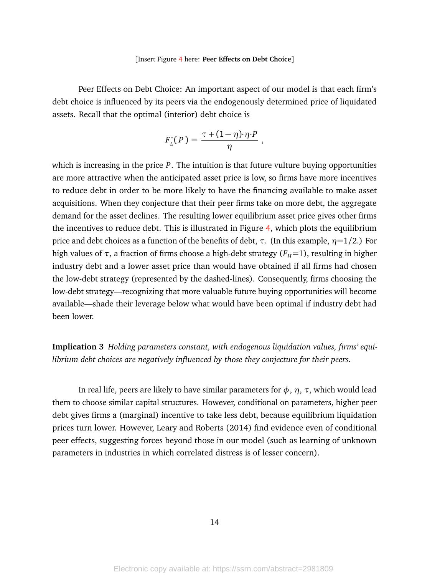#### [Insert Figure [4](#page-47-0) here: **Peer Effects on Debt Choice**]

Peer Effects on Debt Choice: An important aspect of our model is that each firm's debt choice is influenced by its peers via the endogenously determined price of liquidated assets. Recall that the optimal (interior) debt choice is

$$
F_L^*(P) = \frac{\tau + (1 - \eta) \cdot \eta \cdot P}{\eta} ,
$$

which is increasing in the price *P*. The intuition is that future vulture buying opportunities are more attractive when the anticipated asset price is low, so firms have more incentives to reduce debt in order to be more likely to have the financing available to make asset acquisitions. When they conjecture that their peer firms take on more debt, the aggregate demand for the asset declines. The resulting lower equilibrium asset price gives other firms the incentives to reduce debt. This is illustrated in Figure [4,](#page-47-0) which plots the equilibrium price and debt choices as a function of the benefits of debt, *τ*. (In this example, *η*=1*/*2.) For high values of  $\tau$ , a fraction of firms choose a high-debt strategy ( $F_H$ =1), resulting in higher industry debt and a lower asset price than would have obtained if all firms had chosen the low-debt strategy (represented by the dashed-lines). Consequently, firms choosing the low-debt strategy—recognizing that more valuable future buying opportunities will become available—shade their leverage below what would have been optimal if industry debt had been lower.

**Implication 3** *Holding parameters constant, with endogenous liquidation values, firms' equilibrium debt choices are negatively influenced by those they conjecture for their peers.*

In real life, peers are likely to have similar parameters for  $\phi$ ,  $\eta$ ,  $\tau$ , which would lead them to choose similar capital structures. However, conditional on parameters, higher peer debt gives firms a (marginal) incentive to take less debt, because equilibrium liquidation prices turn lower. However, Leary and Roberts (2014) find evidence even of conditional peer effects, suggesting forces beyond those in our model (such as learning of unknown parameters in industries in which correlated distress is of lesser concern).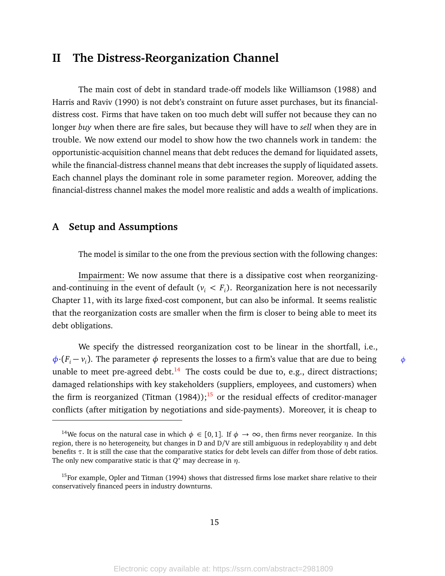# <span id="page-15-0"></span>**II The Distress-Reorganization Channel**

The main cost of debt in standard trade-off models like Williamson (1988) and Harris and Raviv (1990) is not debt's constraint on future asset purchases, but its financialdistress cost. Firms that have taken on too much debt will suffer not because they can no longer *buy* when there are fire sales, but because they will have to *sell* when they are in trouble. We now extend our model to show how the two channels work in tandem: the opportunistic-acquisition channel means that debt reduces the demand for liquidated assets, while the financial-distress channel means that debt increases the supply of liquidated assets. Each channel plays the dominant role in some parameter region. Moreover, adding the financial-distress channel makes the model more realistic and adds a wealth of implications.

# **A Setup and Assumptions**

The model is similar to the one from the previous section with the following changes:

Impairment: We now assume that there is a dissipative cost when reorganizingand-continuing in the event of default ( $v_i < F_i$ ). Reorganization here is not necessarily Chapter 11, with its large fixed-cost component, but can also be informal. It seems realistic that the reorganization costs are smaller when the firm is closer to being able to meet its debt obligations.

We specify the distressed reorganization cost to be linear in the shortfall, i.e.,  $\phi$ ·( $F_i - v_i$ ). The parameter  $\phi$  represents the losses to a firm's value that are due to being  $\phi$ unable to meet pre-agreed debt.<sup>[14](#page-0-0)</sup> The costs could be due to, e.g., direct distractions; damaged relationships with key stakeholders (suppliers, employees, and customers) when the firm is reorganized (Titman  $(1984)$ );<sup>[15](#page-0-0)</sup> or the residual effects of creditor-manager conflicts (after mitigation by negotiations and side-payments). Moreover, it is cheap to

<sup>&</sup>lt;sup>14</sup>We focus on the natural case in which  $\phi \in [0,1]$ . If  $\phi \to \infty$ , then firms never reorganize. In this region, there is no heterogeneity, but changes in D and D/V are still ambiguous in redeployability *η* and debt benefits *τ*. It is still the case that the comparative statics for debt levels can differ from those of debt ratios. The only new comparative static is that *Q* <sup>∗</sup> may decrease in *η*.

<sup>&</sup>lt;sup>15</sup>For example, Opler and Titman (1994) shows that distressed firms lose market share relative to their conservatively financed peers in industry downturns.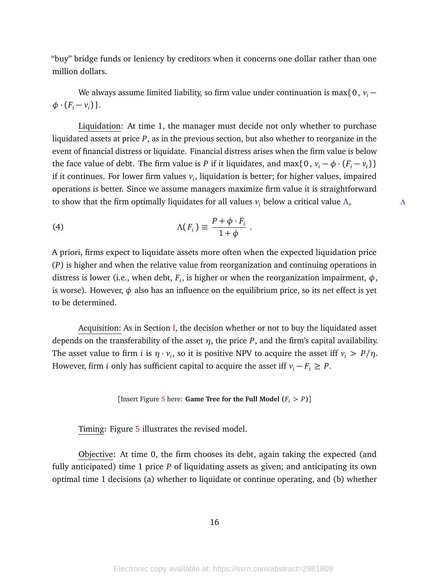"buy" bridge funds or leniency by creditors when it concerns one dollar rather than one million dollars.

We always assume limited liability, so firm value under continuation is max $\{0, v_i \phi$  ·  $(F_i - v_i)$  }.

Liquidation: At time 1, the manager must decide not only whether to purchase liquidated assets at price *P*, as in the previous section, but also whether to reorganize in the event of financial distress or liquidate. Financial distress arises when the firm value is below the face value of debt. The firm value is *P* if it liquidates, and max{ 0,  $v_i - \phi \cdot (F_i - v_i)$  } if it continues. For lower firm values  $v_i$ , liquidation is better; for higher values, impaired operations is better. Since we assume managers maximize firm value it is straightforward to show that the firm optimally liquidates for all values  $v_i$  below a critical value  $\Lambda$ ,  $\Lambda$ 

(4) 
$$
\Lambda(F_i) \equiv \frac{P + \phi \cdot F_i}{1 + \phi}
$$

A priori, firms expect to liquidate assets more often when the expected liquidation price (*P*) is higher and when the relative value from reorganization and continuing operations in distress is lower (i.e., when debt,  $F_i$ , is higher or when the reorganization impairment,  $\phi$ , is worse). However,  $\phi$  also has an influence on the equilibrium price, so its net effect is yet to be determined.

<span id="page-16-0"></span>.

Acquisition: As in Section [I,](#page-4-0) the decision whether or not to buy the liquidated asset depends on the transferability of the asset *η*, the price *P*, and the firm's capital availability. The asset value to firm *i* is  $\eta \cdot v_i$ , so it is positive NPV to acquire the asset iff  $v_i > P/\eta$ . However, firm *i* only has sufficient capital to acquire the asset iff  $v_i - F_i \geq P$ .

#### [Insert Figure [5](#page-48-0) here: **Game Tree for the Full Model**  $(F_i > P)$ ]

Timing: Figure [5](#page-48-0) illustrates the revised model.

Objective: At time 0, the firm chooses its debt, again taking the expected (and fully anticipated) time 1 price *P* of liquidating assets as given; and anticipating its own optimal time 1 decisions (a) whether to liquidate or continue operating, and (b) whether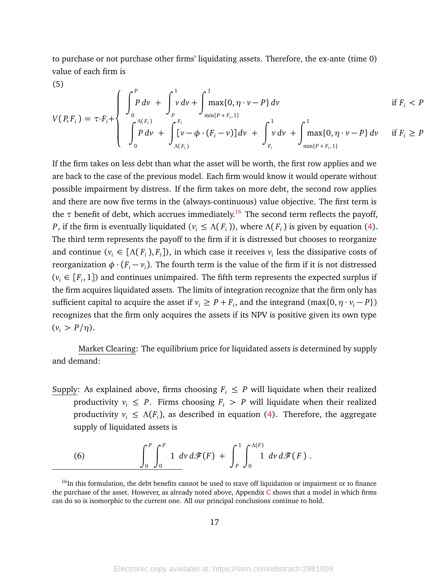to purchase or not purchase other firms' liquidating assets. Therefore, the ex-ante (time 0) value of each firm is

(5)

$$
V(P, F_i) = \tau \cdot F_i + \begin{cases} \int_0^P P \, dv + \int_p^1 v \, dv + \int_{\min\{P + F_i, 1\}}^1 \max\{0, \eta \cdot v - P\} \, dv & \text{if } F_i < P \\ \int_0^{\Lambda(F_i)} P \, dv + \int_{\Lambda(F_i)}^{F_i} [v - \phi \cdot (F_i - v)] \, dv + \int_{F_i}^1 v \, dv + \int_{\min\{P + F_i, 1\}}^1 \max\{0, \eta \cdot v - P\} \, dv & \text{if } F_i \ge P \end{cases}
$$

If the firm takes on less debt than what the asset will be worth, the first row applies and we are back to the case of the previous model. Each firm would know it would operate without possible impairment by distress. If the firm takes on more debt, the second row applies and there are now five terms in the (always-continuous) value objective. The first term is the  $\tau$  benefit of debt, which accrues immediately.<sup>[16](#page-0-0)</sup> The second term reflects the payoff, *P*, if the firm is eventually liquidated ( $v_i \leq \Lambda(F_i)$ ), where  $\Lambda(F_i)$  is given by equation [\(4\)](#page-16-0). The third term represents the payoff to the firm if it is distressed but chooses to reorganize and continue ( $v_i \in [\Lambda(F_i), F_i]$ ), in which case it receives  $v_i$  less the dissipative costs of reorganization  $\phi \cdot (F_i - v_i)$ . The fourth term is the value of the firm if it is not distressed  $(v_i \in [F_i, 1])$  and continues unimpaired. The fifth term represents the expected surplus if the firm acquires liquidated assets. The limits of integration recognize that the firm only has sufficient capital to acquire the asset if  $v_i \ge P + F_i$ , and the integrand (max $\{0, \eta \cdot v_i - P\}$ ) recognizes that the firm only acquires the assets if its NPV is positive given its own type  $(v_i > P/\eta).$ 

Market Clearing: The equilibrium price for liquidated assets is determined by supply and demand:

Supply: As explained above, firms choosing  $F_i \leq P$  will liquidate when their realized productivity  $v_i \leq P$ . Firms choosing  $F_i > P$  will liquidate when their realized productivity  $v_i \leq \Lambda(F_i)$ , as described in equation [\(4\)](#page-16-0). Therefore, the aggregate supply of liquidated assets is

<span id="page-17-0"></span>(6) 
$$
\int_{0}^{P} \int_{0}^{P} 1 \, dv \, d\mathcal{F}(F) + \int_{P}^{1} \int_{0}^{\Lambda(F)} 1 \, dv \, d\mathcal{F}(F).
$$

<sup>&</sup>lt;sup>16</sup>In this formulation, the debt benefits cannot be used to stave off liquidation or impairment or to finance the purchase of the asset. However, as already noted above, Appendix  $C$  shows that a model in which firms can do so is isomorphic to the current one. All our principal conclusions continue to hold.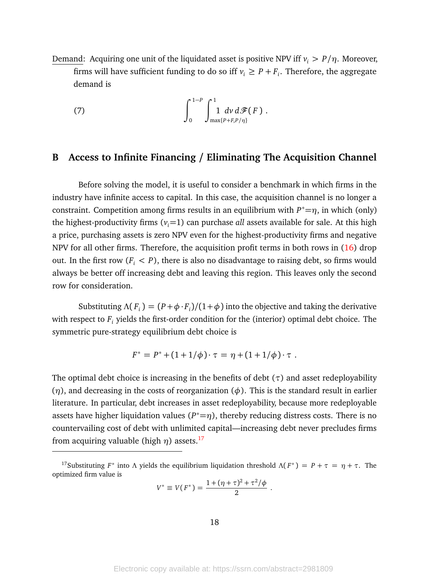Demand: Acquiring one unit of the liquidated asset is positive NPV iff  $v_i > P/\eta$ . Moreover, firms will have sufficient funding to do so iff  $v_i \geq P + F_i$ . Therefore, the aggregate demand is

<span id="page-18-0"></span>(7) 
$$
\int_0^{1-P} \int_{\max\{P+F,P/\eta\}}^1 dv \, d\mathcal{F}(F) \, .
$$

#### <span id="page-18-1"></span>**B Access to Infinite Financing / Eliminating The Acquisition Channel**

Before solving the model, it is useful to consider a benchmark in which firms in the industry have infinite access to capital. In this case, the acquisition channel is no longer a constraint. Competition among firms results in an equilibrium with  $P^* = \eta$ , in which (only) the highest-productivity firms  $(v_i=1)$  can purchase *all* assets available for sale. At this high a price, purchasing assets is zero NPV even for the highest-productivity firms and negative NPV for all other firms. Therefore, the acquisition profit terms in both rows in [\(16\)](#page-74-1) drop out. In the first row  $(F_i < P)$ , there is also no disadvantage to raising debt, so firms would always be better off increasing debt and leaving this region. This leaves only the second row for consideration.

Substituting  $\Lambda(F_i) = (P + \phi \cdot F_i)/(1 + \phi)$  into the objective and taking the derivative with respect to *F<sup>i</sup>* yields the first-order condition for the (interior) optimal debt choice. The symmetric pure-strategy equilibrium debt choice is

$$
F^* = P^* + (1 + 1/\phi) \cdot \tau = \eta + (1 + 1/\phi) \cdot \tau.
$$

The optimal debt choice is increasing in the benefits of debt  $(\tau)$  and asset redeployability (*η*), and decreasing in the costs of reorganization (*φ*). This is the standard result in earlier literature. In particular, debt increases in asset redeployability, because more redeployable assets have higher liquidation values  $(P^*=\eta)$ , thereby reducing distress costs. There is no countervailing cost of debt with unlimited capital—increasing debt never precludes firms from acquiring valuable (high  $\eta$ ) assets.<sup>[17](#page-0-0)</sup>

$$
V^* \equiv V(F^*) = \frac{1 + (\eta + \tau)^2 + \tau^2/\phi}{2}.
$$

<sup>&</sup>lt;sup>17</sup>Substituting *F*<sup>\*</sup> into *Λ* yields the equilibrium liquidation threshold  $Λ(F^*) = P + τ = η + τ$ . The optimized firm value is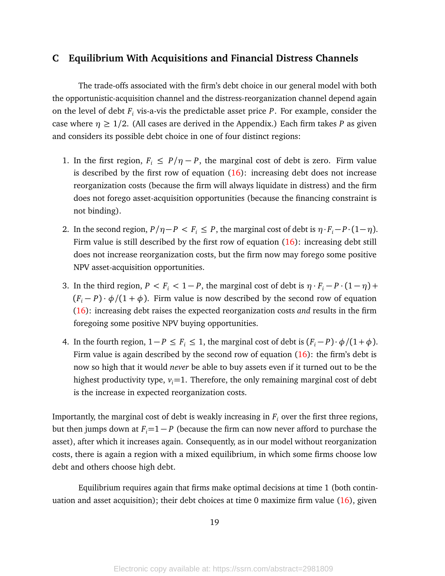## **C Equilibrium With Acquisitions and Financial Distress Channels**

The trade-offs associated with the firm's debt choice in our general model with both the opportunistic-acquisition channel and the distress-reorganization channel depend again on the level of debt *F<sup>i</sup>* vis-a-vis the predictable asset price *P*. For example, consider the case where  $\eta \geq 1/2$ . (All cases are derived in the Appendix.) Each firm takes *P* as given and considers its possible debt choice in one of four distinct regions:

- 1. In the first region,  $F_i \leq P/\eta P$ , the marginal cost of debt is zero. Firm value is described by the first row of equation  $(16)$ : increasing debt does not increase reorganization costs (because the firm will always liquidate in distress) and the firm does not forego asset-acquisition opportunities (because the financing constraint is not binding).
- 2. In the second region,  $P/\eta P < F_i \leq P$ , the marginal cost of debt is  $\eta \cdot F_i P \cdot (1 \eta)$ . Firm value is still described by the first row of equation  $(16)$ : increasing debt still does not increase reorganization costs, but the firm now may forego some positive NPV asset-acquisition opportunities.
- 3. In the third region,  $P < F_i < 1 P$ , the marginal cost of debt is  $\eta \cdot F_i P \cdot (1 \eta) + P$  $(F_i - P) \cdot \phi / (1 + \phi)$ . Firm value is now described by the second row of equation [\(16\)](#page-74-1): increasing debt raises the expected reorganization costs *and* results in the firm foregoing some positive NPV buying opportunities.
- 4. In the fourth region,  $1 P \leq F_i \leq 1$ , the marginal cost of debt is  $(F_i P) \cdot \phi / (1 + \phi)$ . Firm value is again described by the second row of equation [\(16\)](#page-74-1): the firm's debt is now so high that it would *never* be able to buy assets even if it turned out to be the highest productivity type,  $v_i = 1$ . Therefore, the only remaining marginal cost of debt is the increase in expected reorganization costs.

Importantly, the marginal cost of debt is weakly increasing in  $F_i$  over the first three regions, but then jumps down at  $F_i = 1 - P$  (because the firm can now never afford to purchase the asset), after which it increases again. Consequently, as in our model without reorganization costs, there is again a region with a mixed equilibrium, in which some firms choose low debt and others choose high debt.

Equilibrium requires again that firms make optimal decisions at time 1 (both continuation and asset acquisition); their debt choices at time 0 maximize firm value [\(16\)](#page-74-1), given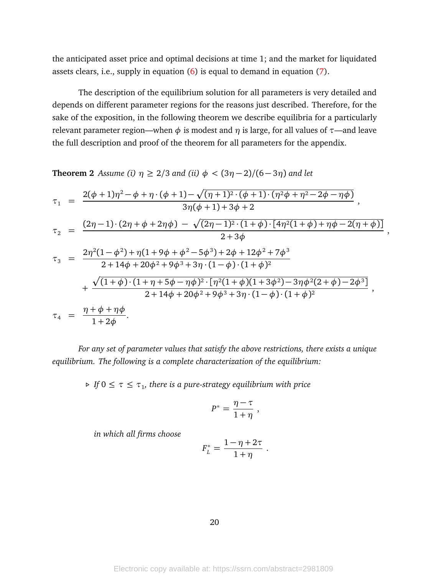the anticipated asset price and optimal decisions at time 1; and the market for liquidated assets clears, i.e., supply in equation [\(6\)](#page-17-0) is equal to demand in equation [\(7\)](#page-18-0).

The description of the equilibrium solution for all parameters is very detailed and depends on different parameter regions for the reasons just described. Therefore, for the sake of the exposition, in the following theorem we describe equilibria for a particularly relevant parameter region—when  $\phi$  is modest and *η* is large, for all values of  $\tau$ —and leave the full description and proof of the theorem for all parameters for the appendix.

<span id="page-20-0"></span>**Theorem 2** *Assume (i)*  $\eta \ge 2/3$  *and (ii)*  $\phi < (3\eta - 2)/(6 - 3\eta)$  *and let* 

$$
\tau_1 = \frac{2(\phi+1)\eta^2 - \phi + \eta \cdot (\phi+1) - \sqrt{(\eta+1)^2 \cdot (\phi+1) \cdot (\eta^2 \phi + \eta^2 - 2\phi - \eta \phi)}}{3\eta(\phi+1) + 3\phi + 2},
$$
\n
$$
\tau_2 = \frac{(2\eta-1) \cdot (2\eta + \phi + 2\eta \phi) - \sqrt{(2\eta-1)^2 \cdot (1+\phi) \cdot [4\eta^2(1+\phi) + \eta \phi - 2(\eta+\phi)]}}{2+3\phi},
$$
\n
$$
\tau_3 = \frac{2\eta^2(1-\phi^2) + \eta(1+9\phi+\phi^2-5\phi^3) + 2\phi + 12\phi^2 + 7\phi^3}{2+14\phi+20\phi^2+9\phi^3+3\eta \cdot (1-\phi) \cdot (1+\phi)^2} + \frac{\sqrt{(1+\phi) \cdot (1+\eta+5\phi-\eta \phi)^2 \cdot [\eta^2(1+\phi)(1+3\phi^2)-3\eta \phi^2(2+\phi)-2\phi^3]}}{2+14\phi+20\phi^2+9\phi^3+3\eta \cdot (1-\phi) \cdot (1+\phi)^2},
$$
\n
$$
\tau_4 = \frac{\eta+\phi+\eta \phi}{1+2\phi}.
$$

*For any set of parameter values that satisfy the above restrictions, there exists a unique equilibrium. The following is a complete characterization of the equilibrium:*

 $\triangleright$  *If*  $0 \le \tau \le \tau_1$ , there is a pure-strategy equilibrium with price

$$
P^* = \frac{\eta - \tau}{1 + \eta} \; ,
$$

*in which all firms choose*

$$
F_L^* = \frac{1-\eta+2\tau}{1+\eta} \ .
$$

20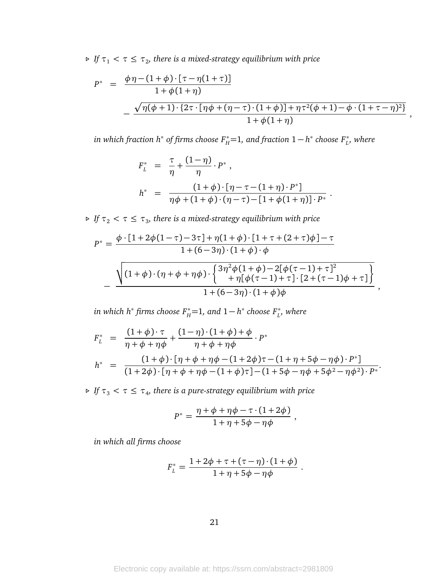$\triangleright$  *If*  $\tau_1 < \tau \leq \tau_2$ , there is a mixed-strategy equilibrium with price

$$
P^* = \frac{\phi \eta - (1 + \phi) \cdot [\tau - \eta(1 + \tau)]}{1 + \phi(1 + \eta)}
$$
  
 
$$
- \frac{\sqrt{\eta(\phi + 1) \cdot \{2\tau \cdot [\eta\phi + (\eta - \tau) \cdot (1 + \phi)] + \eta \tau^2(\phi + 1) - \phi \cdot (1 + \tau - \eta)^2\}}}{1 + \phi(1 + \eta)},
$$

 $\hat{H}$  *in which fraction h* $^*$  *of firms choose F* $^*_{H}$ =1, and fraction 1 $-$  *h* $^*$  *choose F* $^*_{L}$ *, where* 

$$
F_L^* = \frac{\tau}{\eta} + \frac{(1-\eta)}{\eta} \cdot P^*,
$$
  
\n
$$
h^* = \frac{(1+\phi) \cdot [\eta - \tau - (1+\eta) \cdot P^*]}{\eta \phi + (1+\phi) \cdot (\eta - \tau) - [1+\phi(1+\eta)] \cdot P^*}.
$$

 $\triangleright$  *If*  $\tau_2 < \tau \leq \tau_3$ , there is a mixed-strategy equilibrium with price

$$
P^* = \frac{\phi \cdot [1 + 2\phi(1 - \tau) - 3\tau] + \eta(1 + \phi) \cdot [1 + \tau + (2 + \tau)\phi] - \tau}{1 + (6 - 3\eta) \cdot (1 + \phi) \cdot \phi}
$$

$$
-\frac{\sqrt{(1 + \phi) \cdot (\eta + \phi + \eta\phi) \cdot \begin{cases}3\eta^2\phi(1 + \phi) - 2[\phi(\tau - 1) + \tau]^2\\+\eta[\phi(\tau - 1) + \tau] \cdot [2 + (\tau - 1)\phi + \tau]\end{cases}}}{1 + (6 - 3\eta) \cdot (1 + \phi)\phi}
$$

,

 $\hat{H}$  *in which h\* firms choose*  $F_H^*$ *=1, and*  $1-h^*$  *choose*  $F_L^*$ *, where* 

$$
F_L^* = \frac{(1+\phi)\cdot \tau}{\eta+\phi+\eta\phi} + \frac{(1-\eta)\cdot (1+\phi)+\phi}{\eta+\phi+\eta\phi} \cdot P^*
$$
  

$$
h^* = \frac{(1+\phi)\cdot [\eta+\phi+\eta\phi-(1+2\phi)\tau-(1+\eta+5\phi-\eta\phi)\cdot P^*]}{(1+2\phi)\cdot [\eta+\phi+\eta\phi-(1+\phi)\tau]-(1+5\phi-\eta\phi+5\phi^2-\eta\phi^2)\cdot P^*}.
$$

 $\triangleright$  *If*  $\tau_3 < \tau \leq \tau_4$ , there is a pure-strategy equilibrium with price

$$
P^* = \frac{\eta + \phi + \eta \phi - \tau \cdot (1 + 2\phi)}{1 + \eta + 5\phi - \eta \phi} ,
$$

*in which all firms choose*

$$
F_L^* = \frac{1 + 2\phi + \tau + (\tau - \eta) \cdot (1 + \phi)}{1 + \eta + 5\phi - \eta \phi}.
$$

21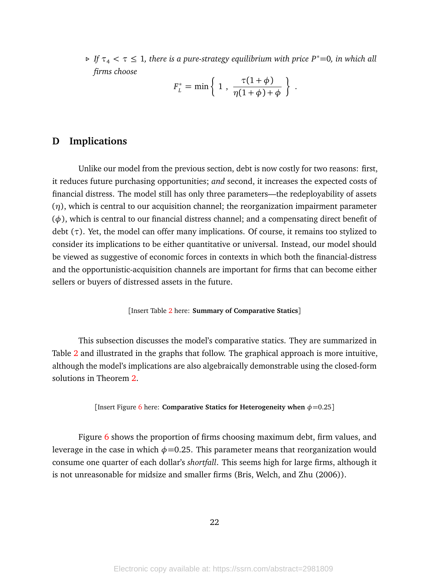$\triangleright$  *If*  $\tau$ <sub>4</sub>  $\lt$   $\tau$   $\leq$  1, there is a pure-strategy equilibrium with price P<sup>\*</sup>=0, in which all *firms choose*

$$
F_L^* = \min\left\{1, \frac{\tau(1+\phi)}{\eta(1+\phi)+\phi}\right\}.
$$

# **D Implications**

Unlike our model from the previous section, debt is now costly for two reasons: first, it reduces future purchasing opportunities; *and* second, it increases the expected costs of financial distress. The model still has only three parameters—the redeployability of assets (*η*), which is central to our acquisition channel; the reorganization impairment parameter (*φ*), which is central to our financial distress channel; and a compensating direct benefit of debt (*τ*). Yet, the model can offer many implications. Of course, it remains too stylized to consider its implications to be either quantitative or universal. Instead, our model should be viewed as suggestive of economic forces in contexts in which both the financial-distress and the opportunistic-acquisition channels are important for firms that can become either sellers or buyers of distressed assets in the future.

[Insert Table [2](#page-42-0) here: **Summary of Comparative Statics**]

This subsection discusses the model's comparative statics. They are summarized in Table [2](#page-42-0) and illustrated in the graphs that follow. The graphical approach is more intuitive, although the model's implications are also algebraically demonstrable using the closed-form solutions in Theorem [2.](#page-20-0)

[Insert Figure [6](#page-49-0) here: **Comparative Statics for Heterogeneity when** *φ*=0.25]

Figure [6](#page-49-0) shows the proportion of firms choosing maximum debt, firm values, and leverage in the case in which  $\phi$ =0.25. This parameter means that reorganization would consume one quarter of each dollar's *shortfall*. This seems high for large firms, although it is not unreasonable for midsize and smaller firms (Bris, Welch, and Zhu (2006)).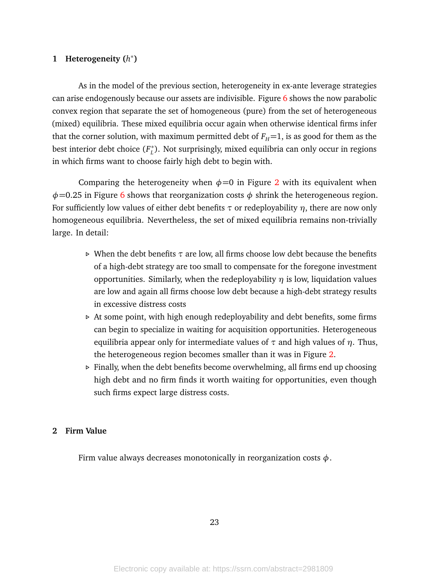# **1 Heterogeneity (***h* ∗ **)**

As in the model of the previous section, heterogeneity in ex-ante leverage strategies can arise endogenously because our assets are indivisible. Figure  $6$  shows the now parabolic convex region that separate the set of homogeneous (pure) from the set of heterogeneous (mixed) equilibria. These mixed equilibria occur again when otherwise identical firms infer that the corner solution, with maximum permitted debt of  $F_H=1$ , is as good for them as the best interior debt choice (*F* ∗ *L* ). Not surprisingly, mixed equilibria can only occur in regions in which firms want to choose fairly high debt to begin with.

Comparing the heterogeneity when  $\phi$ =0 in Figure [2](#page-45-0) with its equivalent when *φ*=0.25 in Figure [6](#page-49-0) shows that reorganization costs *φ* shrink the heterogeneous region. For sufficiently low values of either debt benefits *τ* or redeployability *η*, there are now only homogeneous equilibria. Nevertheless, the set of mixed equilibria remains non-trivially large. In detail:

- *.* When the debt benefits *τ* are low, all firms choose low debt because the benefits of a high-debt strategy are too small to compensate for the foregone investment opportunities. Similarly, when the redeployability *η* is low, liquidation values are low and again all firms choose low debt because a high-debt strategy results in excessive distress costs
- *.* At some point, with high enough redeployability and debt benefits, some firms can begin to specialize in waiting for acquisition opportunities. Heterogeneous equilibria appear only for intermediate values of  $\tau$  and high values of  $\eta$ . Thus, the heterogeneous region becomes smaller than it was in Figure [2.](#page-45-0)
- *.* Finally, when the debt benefits become overwhelming, all firms end up choosing high debt and no firm finds it worth waiting for opportunities, even though such firms expect large distress costs.

#### **2 Firm Value**

Firm value always decreases monotonically in reorganization costs *φ*.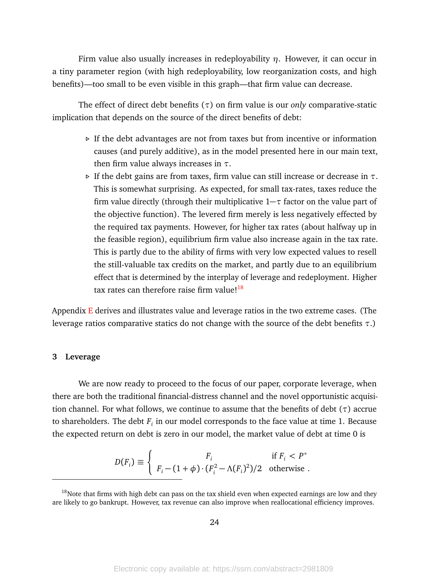Firm value also usually increases in redeployability *η*. However, it can occur in a tiny parameter region (with high redeployability, low reorganization costs, and high benefits)—too small to be even visible in this graph—that firm value can decrease.

The effect of direct debt benefits (*τ*) on firm value is our *only* comparative-static implication that depends on the source of the direct benefits of debt:

- *.* If the debt advantages are not from taxes but from incentive or information causes (and purely additive), as in the model presented here in our main text, then firm value always increases in *τ*.
- *.* If the debt gains are from taxes, firm value can still increase or decrease in *τ*. This is somewhat surprising. As expected, for small tax-rates, taxes reduce the firm value directly (through their multiplicative 1−*τ* factor on the value part of the objective function). The levered firm merely is less negatively effected by the required tax payments. However, for higher tax rates (about halfway up in the feasible region), equilibrium firm value also increase again in the tax rate. This is partly due to the ability of firms with very low expected values to resell the still-valuable tax credits on the market, and partly due to an equilibrium effect that is determined by the interplay of leverage and redeployment. Higher tax rates can therefore raise firm value! $18$

Appendix  $E$  derives and illustrates value and leverage ratios in the two extreme cases. (The leverage ratios comparative statics do not change with the source of the debt benefits *τ*.)

#### **3 Leverage**

We are now ready to proceed to the focus of our paper, corporate leverage, when there are both the traditional financial-distress channel and the novel opportunistic acquisition channel. For what follows, we continue to assume that the benefits of debt (*τ*) accrue to shareholders. The debt *F<sup>i</sup>* in our model corresponds to the face value at time 1. Because the expected return on debt is zero in our model, the market value of debt at time 0 is

$$
D(F_i) \equiv \begin{cases} F_i & \text{if } F_i < P^* \\ F_i - (1 + \phi) \cdot (F_i^2 - \Lambda(F_i)^2)/2 & \text{otherwise} \end{cases}.
$$

 $18$ Note that firms with high debt can pass on the tax shield even when expected earnings are low and they are likely to go bankrupt. However, tax revenue can also improve when reallocational efficiency improves.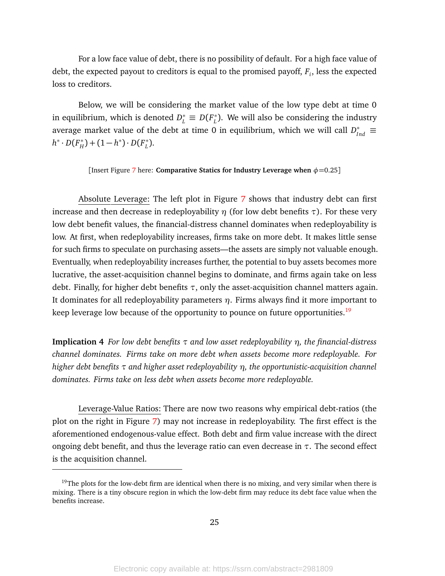For a low face value of debt, there is no possibility of default. For a high face value of debt, the expected payout to creditors is equal to the promised payoff, *F<sup>i</sup>* , less the expected loss to creditors.

Below, we will be considering the market value of the low type debt at time 0 in equilibrium, which is denoted  $D^*_L \equiv D(F^*_L)$  $_L^*$ ). We will also be considering the industry average market value of the debt at time 0 in equilibrium, which we will call  $D_{Ind}^* \equiv$ *h*<sup>\*</sup> · *D*(*F*<sup>\*</sup><sub>*H*</sub>  $\binom{m}{H}$  + (1 – *h*<sup>\*</sup>) · *D*( $F_L^*$ *L* ).

[Insert Figure [7](#page-50-0) here: **Comparative Statics for Industry Leverage when** *φ*=0.25]

Absolute Leverage: The left plot in Figure [7](#page-50-0) shows that industry debt can first increase and then decrease in redeployability *η* (for low debt benefits *τ*). For these very low debt benefit values, the financial-distress channel dominates when redeployability is low. At first, when redeployability increases, firms take on more debt. It makes little sense for such firms to speculate on purchasing assets—the assets are simply not valuable enough. Eventually, when redeployability increases further, the potential to buy assets becomes more lucrative, the asset-acquisition channel begins to dominate, and firms again take on less debt. Finally, for higher debt benefits *τ*, only the asset-acquisition channel matters again. It dominates for all redeployability parameters *η*. Firms always find it more important to keep leverage low because of the opportunity to pounce on future opportunities.<sup>[19](#page-0-0)</sup>

**Implication 4** *For low debt benefits τ and low asset redeployability η, the financial-distress channel dominates. Firms take on more debt when assets become more redeployable. For higher debt benefits τ and higher asset redeployability η, the opportunistic-acquisition channel dominates. Firms take on less debt when assets become more redeployable.*

Leverage-Value Ratios: There are now two reasons why empirical debt-ratios (the plot on the right in Figure [7\)](#page-50-0) may not increase in redeployability. The first effect is the aforementioned endogenous-value effect. Both debt and firm value increase with the direct ongoing debt benefit, and thus the leverage ratio can even decrease in *τ*. The second effect is the acquisition channel.

<sup>&</sup>lt;sup>19</sup>The plots for the low-debt firm are identical when there is no mixing, and very similar when there is mixing. There is a tiny obscure region in which the low-debt firm may reduce its debt face value when the benefits increase.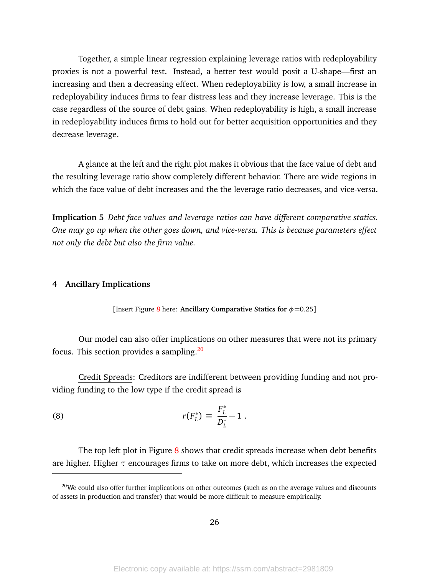Together, a simple linear regression explaining leverage ratios with redeployability proxies is not a powerful test. Instead, a better test would posit a U-shape—first an increasing and then a decreasing effect. When redeployability is low, a small increase in redeployability induces firms to fear distress less and they increase leverage. This is the case regardless of the source of debt gains. When redeployability is high, a small increase in redeployability induces firms to hold out for better acquisition opportunities and they decrease leverage.

A glance at the left and the right plot makes it obvious that the face value of debt and the resulting leverage ratio show completely different behavior. There are wide regions in which the face value of debt increases and the the leverage ratio decreases, and vice-versa.

**Implication 5** *Debt face values and leverage ratios can have different comparative statics. One may go up when the other goes down, and vice-versa. This is because parameters effect not only the debt but also the firm value.*

#### **4 Ancillary Implications**

[Insert Figure [8](#page-51-0) here: **Ancillary Comparative Statics for**  $\phi = 0.25$ ]

Our model can also offer implications on other measures that were not its primary focus. This section provides a sampling.[20](#page-0-0)

Credit Spreads: Creditors are indifferent between providing funding and not providing funding to the low type if the credit spread is

(8) 
$$
r(F_L^*) \equiv \frac{F_L^*}{D_L^*} - 1.
$$

The top left plot in Figure  $8$  shows that credit spreads increase when debt benefits are higher. Higher *τ* encourages firms to take on more debt, which increases the expected

<sup>&</sup>lt;sup>20</sup>We could also offer further implications on other outcomes (such as on the average values and discounts of assets in production and transfer) that would be more difficult to measure empirically.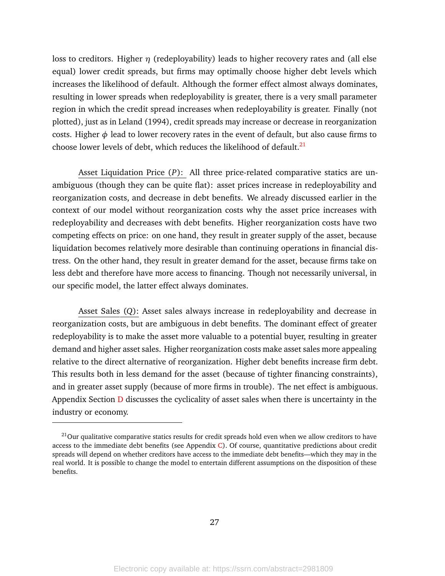loss to creditors. Higher *η* (redeployability) leads to higher recovery rates and (all else equal) lower credit spreads, but firms may optimally choose higher debt levels which increases the likelihood of default. Although the former effect almost always dominates, resulting in lower spreads when redeployability is greater, there is a very small parameter region in which the credit spread increases when redeployability is greater. Finally (not plotted), just as in Leland (1994), credit spreads may increase or decrease in reorganization costs. Higher  $\phi$  lead to lower recovery rates in the event of default, but also cause firms to choose lower levels of debt, which reduces the likelihood of default. $^{21}$  $^{21}$  $^{21}$ 

Asset Liquidation Price (*P*): All three price-related comparative statics are unambiguous (though they can be quite flat): asset prices increase in redeployability and reorganization costs, and decrease in debt benefits. We already discussed earlier in the context of our model without reorganization costs why the asset price increases with redeployability and decreases with debt benefits. Higher reorganization costs have two competing effects on price: on one hand, they result in greater supply of the asset, because liquidation becomes relatively more desirable than continuing operations in financial distress. On the other hand, they result in greater demand for the asset, because firms take on less debt and therefore have more access to financing. Though not necessarily universal, in our specific model, the latter effect always dominates.

Asset Sales (*Q*): Asset sales always increase in redeployability and decrease in reorganization costs, but are ambiguous in debt benefits. The dominant effect of greater redeployability is to make the asset more valuable to a potential buyer, resulting in greater demand and higher asset sales. Higher reorganization costs make asset sales more appealing relative to the direct alternative of reorganization. Higher debt benefits increase firm debt. This results both in less demand for the asset (because of tighter financing constraints), and in greater asset supply (because of more firms in trouble). The net effect is ambiguous. Appendix Section **[D](#page-73-0)** discusses the cyclicality of asset sales when there is uncertainty in the industry or economy.

<sup>&</sup>lt;sup>21</sup>Our qualitative comparative statics results for credit spreads hold even when we allow creditors to have access to the immediate debt benefits (see Appendix [C\)](#page-72-0). Of course, quantitative predictions about credit spreads will depend on whether creditors have access to the immediate debt benefits—which they may in the real world. It is possible to change the model to entertain different assumptions on the disposition of these benefits.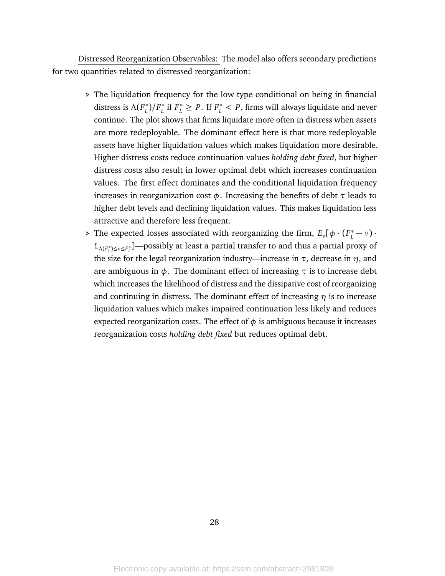Distressed Reorganization Observables: The model also offers secondary predictions for two quantities related to distressed reorganization:

- *.* The liquidation frequency for the low type conditional on being in financial distress is  $Λ(F<sub>L</sub><sup>*</sup>)$  $L^*$ )/ $F^*$ <sub>*L*</sub>  $L$ <sup>\*</sup> if  $F_L^* \ge P$ . If  $F_L^* < P$ , firms will always liquidate and never continue. The plot shows that firms liquidate more often in distress when assets are more redeployable. The dominant effect here is that more redeployable assets have higher liquidation values which makes liquidation more desirable. Higher distress costs reduce continuation values *holding debt fixed*, but higher distress costs also result in lower optimal debt which increases continuation values. The first effect dominates and the conditional liquidation frequency increases in reorganization cost *φ*. Increasing the benefits of debt *τ* leads to higher debt levels and declining liquidation values. This makes liquidation less attractive and therefore less frequent.
- **⊳** The expected losses associated with reorganizing the firm,  $E_{\nu}[\phi \cdot (F_{\nu}^{*} \nu) \cdot$  $1/1$ <sub>Λ(F<sup>\*</sup></sup>)≤*v≤F<sup>\*</sup>*</sup><sub>*L*</sub><sup> $\blacksquare$  -possibly at least a partial transfer to and thus a partial proxy of</sub></sup> the size for the legal reorganization industry—increase in  $\tau$ , decrease in  $\eta$ , and are ambiguous in  $\phi$ . The dominant effect of increasing  $\tau$  is to increase debt which increases the likelihood of distress and the dissipative cost of reorganizing and continuing in distress. The dominant effect of increasing *η* is to increase liquidation values which makes impaired continuation less likely and reduces expected reorganization costs. The effect of  $\phi$  is ambiguous because it increases reorganization costs *holding debt fixed* but reduces optimal debt.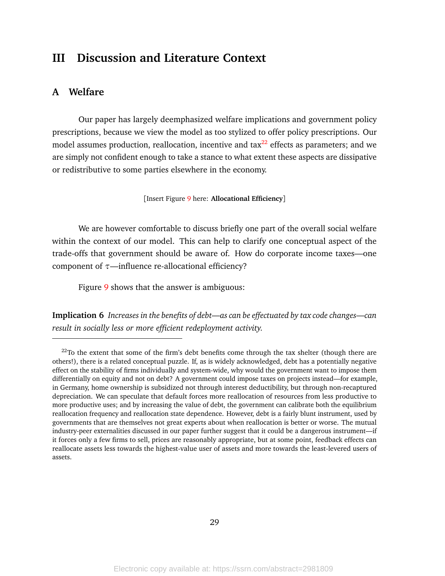# <span id="page-29-0"></span>**III Discussion and Literature Context**

# <span id="page-29-1"></span>**A Welfare**

Our paper has largely deemphasized welfare implications and government policy prescriptions, because we view the model as too stylized to offer policy prescriptions. Our model assumes production, reallocation, incentive and  $\text{tax}^{22}$  $\text{tax}^{22}$  $\text{tax}^{22}$  effects as parameters; and we are simply not confident enough to take a stance to what extent these aspects are dissipative or redistributive to some parties elsewhere in the economy.

[Insert Figure [9](#page-52-0) here: **Allocational Efficiency**]

We are however comfortable to discuss briefly one part of the overall social welfare within the context of our model. This can help to clarify one conceptual aspect of the trade-offs that government should be aware of. How do corporate income taxes—one component of *τ*—influence re-allocational efficiency?

Figure [9](#page-52-0) shows that the answer is ambiguous:

**Implication 6** *Increases in the benefits of debt—as can be effectuated by tax code changes—can result in socially less or more efficient redeployment activity.*

 $22$ To the extent that some of the firm's debt benefits come through the tax shelter (though there are others!), there is a related conceptual puzzle. If, as is widely acknowledged, debt has a potentially negative effect on the stability of firms individually and system-wide, why would the government want to impose them differentially on equity and not on debt? A government could impose taxes on projects instead—for example, in Germany, home ownership is subsidized not through interest deductibility, but through non-recaptured depreciation. We can speculate that default forces more reallocation of resources from less productive to more productive uses; and by increasing the value of debt, the government can calibrate both the equilibrium reallocation frequency and reallocation state dependence. However, debt is a fairly blunt instrument, used by governments that are themselves not great experts about when reallocation is better or worse. The mutual industry-peer externalities discussed in our paper further suggest that it could be a dangerous instrument—if it forces only a few firms to sell, prices are reasonably appropriate, but at some point, feedback effects can reallocate assets less towards the highest-value user of assets and more towards the least-levered users of assets.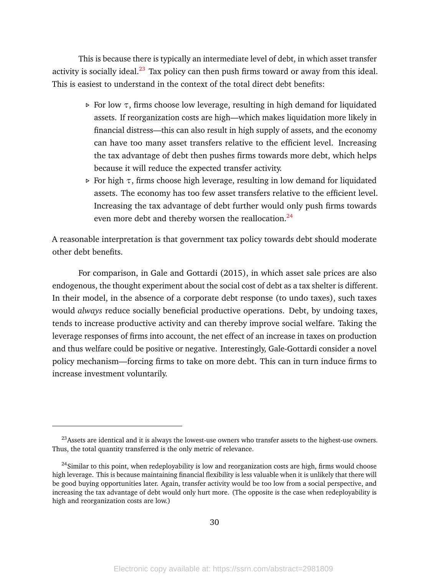This is because there is typically an intermediate level of debt, in which asset transfer activity is socially ideal. $^{23}$  $^{23}$  $^{23}$  Tax policy can then push firms toward or away from this ideal. This is easiest to understand in the context of the total direct debt benefits:

- *.* For low *τ*, firms choose low leverage, resulting in high demand for liquidated assets. If reorganization costs are high—which makes liquidation more likely in financial distress—this can also result in high supply of assets, and the economy can have too many asset transfers relative to the efficient level. Increasing the tax advantage of debt then pushes firms towards more debt, which helps because it will reduce the expected transfer activity.
- *.* For high *τ*, firms choose high leverage, resulting in low demand for liquidated assets. The economy has too few asset transfers relative to the efficient level. Increasing the tax advantage of debt further would only push firms towards even more debt and thereby worsen the reallocation.<sup>[24](#page-0-0)</sup>

A reasonable interpretation is that government tax policy towards debt should moderate other debt benefits.

For comparison, in Gale and Gottardi (2015), in which asset sale prices are also endogenous, the thought experiment about the social cost of debt as a tax shelter is different. In their model, in the absence of a corporate debt response (to undo taxes), such taxes would *always* reduce socially beneficial productive operations. Debt, by undoing taxes, tends to increase productive activity and can thereby improve social welfare. Taking the leverage responses of firms into account, the net effect of an increase in taxes on production and thus welfare could be positive or negative. Interestingly, Gale-Gottardi consider a novel policy mechanism—forcing firms to take on more debt. This can in turn induce firms to increase investment voluntarily.

<sup>&</sup>lt;sup>23</sup> Assets are identical and it is always the lowest-use owners who transfer assets to the highest-use owners. Thus, the total quantity transferred is the only metric of relevance.

 $^{24}$ Similar to this point, when redeployability is low and reorganization costs are high, firms would choose high leverage. This is because maintaining financial flexibility is less valuable when it is unlikely that there will be good buying opportunities later. Again, transfer activity would be too low from a social perspective, and increasing the tax advantage of debt would only hurt more. (The opposite is the case when redeployability is high and reorganization costs are low.)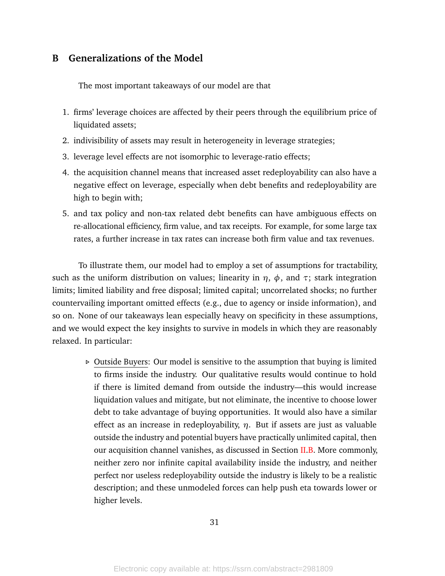# **B Generalizations of the Model**

The most important takeaways of our model are that

- 1. firms' leverage choices are affected by their peers through the equilibrium price of liquidated assets;
- 2. indivisibility of assets may result in heterogeneity in leverage strategies;
- 3. leverage level effects are not isomorphic to leverage-ratio effects;
- 4. the acquisition channel means that increased asset redeployability can also have a negative effect on leverage, especially when debt benefits and redeployability are high to begin with;
- 5. and tax policy and non-tax related debt benefits can have ambiguous effects on re-allocational efficiency, firm value, and tax receipts. For example, for some large tax rates, a further increase in tax rates can increase both firm value and tax revenues.

To illustrate them, our model had to employ a set of assumptions for tractability, such as the uniform distribution on values; linearity in  $η$ ,  $φ$ , and  $τ$ ; stark integration limits; limited liability and free disposal; limited capital; uncorrelated shocks; no further countervailing important omitted effects (e.g., due to agency or inside information), and so on. None of our takeaways lean especially heavy on specificity in these assumptions, and we would expect the key insights to survive in models in which they are reasonably relaxed. In particular:

> *.* Outside Buyers: Our model is sensitive to the assumption that buying is limited to firms inside the industry. Our qualitative results would continue to hold if there is limited demand from outside the industry—this would increase liquidation values and mitigate, but not eliminate, the incentive to choose lower debt to take advantage of buying opportunities. It would also have a similar effect as an increase in redeployability, *η*. But if assets are just as valuable outside the industry and potential buyers have practically unlimited capital, then our acquisition channel vanishes, as discussed in Section [II](#page-15-0)[.B.](#page-18-1) More commonly, neither zero nor infinite capital availability inside the industry, and neither perfect nor useless redeployability outside the industry is likely to be a realistic description; and these unmodeled forces can help push eta towards lower or higher levels.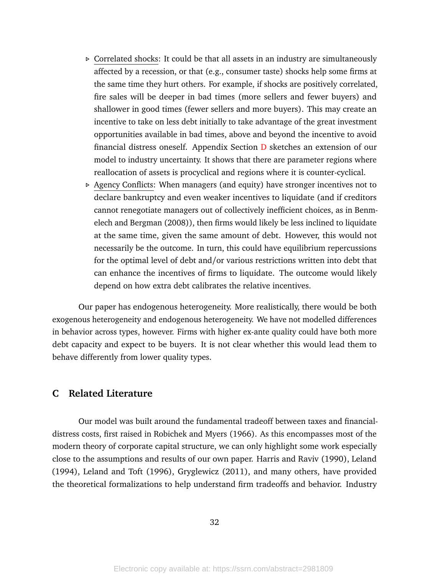- *.* Correlated shocks: It could be that all assets in an industry are simultaneously affected by a recession, or that (e.g., consumer taste) shocks help some firms at the same time they hurt others. For example, if shocks are positively correlated, fire sales will be deeper in bad times (more sellers and fewer buyers) and shallower in good times (fewer sellers and more buyers). This may create an incentive to take on less debt initially to take advantage of the great investment opportunities available in bad times, above and beyond the incentive to avoid financial distress oneself. Appendix Section [D](#page-73-0) sketches an extension of our model to industry uncertainty. It shows that there are parameter regions where reallocation of assets is procyclical and regions where it is counter-cyclical.
- *.* Agency Conflicts: When managers (and equity) have stronger incentives not to declare bankruptcy and even weaker incentives to liquidate (and if creditors cannot renegotiate managers out of collectively inefficient choices, as in Benmelech and Bergman (2008)), then firms would likely be less inclined to liquidate at the same time, given the same amount of debt. However, this would not necessarily be the outcome. In turn, this could have equilibrium repercussions for the optimal level of debt and/or various restrictions written into debt that can enhance the incentives of firms to liquidate. The outcome would likely depend on how extra debt calibrates the relative incentives.

Our paper has endogenous heterogeneity. More realistically, there would be both exogenous heterogeneity and endogenous heterogeneity. We have not modelled differences in behavior across types, however. Firms with higher ex-ante quality could have both more debt capacity and expect to be buyers. It is not clear whether this would lead them to behave differently from lower quality types.

# **C Related Literature**

Our model was built around the fundamental tradeoff between taxes and financialdistress costs, first raised in Robichek and Myers (1966). As this encompasses most of the modern theory of corporate capital structure, we can only highlight some work especially close to the assumptions and results of our own paper. Harris and Raviv (1990), Leland (1994), Leland and Toft (1996), Gryglewicz (2011), and many others, have provided the theoretical formalizations to help understand firm tradeoffs and behavior. Industry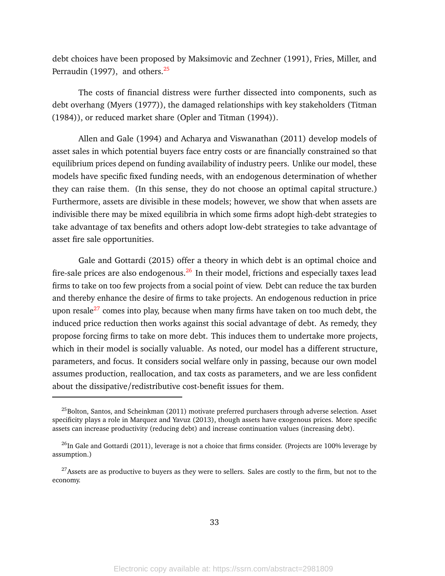debt choices have been proposed by Maksimovic and Zechner (1991), Fries, Miller, and Perraudin (1997), and others.<sup>[25](#page-0-0)</sup>

The costs of financial distress were further dissected into components, such as debt overhang (Myers (1977)), the damaged relationships with key stakeholders (Titman (1984)), or reduced market share (Opler and Titman (1994)).

Allen and Gale (1994) and Acharya and Viswanathan (2011) develop models of asset sales in which potential buyers face entry costs or are financially constrained so that equilibrium prices depend on funding availability of industry peers. Unlike our model, these models have specific fixed funding needs, with an endogenous determination of whether they can raise them. (In this sense, they do not choose an optimal capital structure.) Furthermore, assets are divisible in these models; however, we show that when assets are indivisible there may be mixed equilibria in which some firms adopt high-debt strategies to take advantage of tax benefits and others adopt low-debt strategies to take advantage of asset fire sale opportunities.

Gale and Gottardi (2015) offer a theory in which debt is an optimal choice and fire-sale prices are also endogenous. $26$  In their model, frictions and especially taxes lead firms to take on too few projects from a social point of view. Debt can reduce the tax burden and thereby enhance the desire of firms to take projects. An endogenous reduction in price upon resale $^{27}$  $^{27}$  $^{27}$  comes into play, because when many firms have taken on too much debt, the induced price reduction then works against this social advantage of debt. As remedy, they propose forcing firms to take on more debt. This induces them to undertake more projects, which in their model is socially valuable. As noted, our model has a different structure, parameters, and focus. It considers social welfare only in passing, because our own model assumes production, reallocation, and tax costs as parameters, and we are less confident about the dissipative/redistributive cost-benefit issues for them.

<sup>&</sup>lt;sup>25</sup>Bolton, Santos, and Scheinkman (2011) motivate preferred purchasers through adverse selection. Asset specificity plays a role in Marquez and Yavuz (2013), though assets have exogenous prices. More specific assets can increase productivity (reducing debt) and increase continuation values (increasing debt).

 $^{26}$ In Gale and Gottardi (2011), leverage is not a choice that firms consider. (Projects are 100% leverage by assumption.)

<sup>&</sup>lt;sup>27</sup>Assets are as productive to buyers as they were to sellers. Sales are costly to the firm, but not to the economy.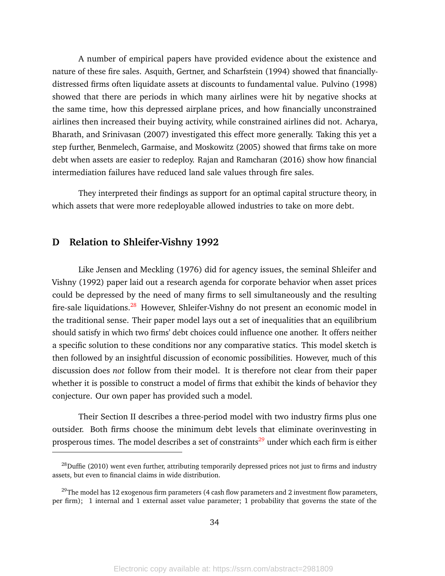A number of empirical papers have provided evidence about the existence and nature of these fire sales. Asquith, Gertner, and Scharfstein (1994) showed that financiallydistressed firms often liquidate assets at discounts to fundamental value. Pulvino (1998) showed that there are periods in which many airlines were hit by negative shocks at the same time, how this depressed airplane prices, and how financially unconstrained airlines then increased their buying activity, while constrained airlines did not. Acharya, Bharath, and Srinivasan (2007) investigated this effect more generally. Taking this yet a step further, Benmelech, Garmaise, and Moskowitz (2005) showed that firms take on more debt when assets are easier to redeploy. Rajan and Ramcharan (2016) show how financial intermediation failures have reduced land sale values through fire sales.

They interpreted their findings as support for an optimal capital structure theory, in which assets that were more redeployable allowed industries to take on more debt.

## **D Relation to Shleifer-Vishny 1992**

Like Jensen and Meckling (1976) did for agency issues, the seminal Shleifer and Vishny (1992) paper laid out a research agenda for corporate behavior when asset prices could be depressed by the need of many firms to sell simultaneously and the resulting fire-sale liquidations.<sup>[28](#page-0-0)</sup> However, Shleifer-Vishny do not present an economic model in the traditional sense. Their paper model lays out a set of inequalities that an equilibrium should satisfy in which two firms' debt choices could influence one another. It offers neither a specific solution to these conditions nor any comparative statics. This model sketch is then followed by an insightful discussion of economic possibilities. However, much of this discussion does *not* follow from their model. It is therefore not clear from their paper whether it is possible to construct a model of firms that exhibit the kinds of behavior they conjecture. Our own paper has provided such a model.

Their Section II describes a three-period model with two industry firms plus one outsider. Both firms choose the minimum debt levels that eliminate overinvesting in prosperous times. The model describes a set of constraints<sup>[29](#page-43-1)</sup> under which each firm is either

 $^{28}$ Duffie (2010) went even further, attributing temporarily depressed prices not just to firms and industry assets, but even to financial claims in wide distribution.

 $^{29}$ The model has 12 exogenous firm parameters (4 cash flow parameters and 2 investment flow parameters, per firm); 1 internal and 1 external asset value parameter; 1 probability that governs the state of the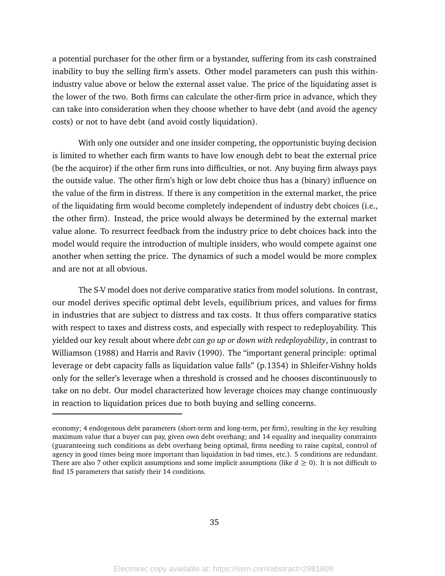a potential purchaser for the other firm or a bystander, suffering from its cash constrained inability to buy the selling firm's assets. Other model parameters can push this withinindustry value above or below the external asset value. The price of the liquidating asset is the lower of the two. Both firms can calculate the other-firm price in advance, which they can take into consideration when they choose whether to have debt (and avoid the agency costs) or not to have debt (and avoid costly liquidation).

With only one outsider and one insider competing, the opportunistic buying decision is limited to whether each firm wants to have low enough debt to beat the external price (be the acquiror) if the other firm runs into difficulties, or not. Any buying firm always pays the outside value. The other firm's high or low debt choice thus has a (binary) influence on the value of the firm in distress. If there is any competition in the external market, the price of the liquidating firm would become completely independent of industry debt choices (i.e., the other firm). Instead, the price would always be determined by the external market value alone. To resurrect feedback from the industry price to debt choices back into the model would require the introduction of multiple insiders, who would compete against one another when setting the price. The dynamics of such a model would be more complex and are not at all obvious.

The S-V model does not derive comparative statics from model solutions. In contrast, our model derives specific optimal debt levels, equilibrium prices, and values for firms in industries that are subject to distress and tax costs. It thus offers comparative statics with respect to taxes and distress costs, and especially with respect to redeployability. This yielded our key result about where *debt can go up or down with redeployability*, in contrast to Williamson (1988) and Harris and Raviv (1990). The "important general principle: optimal leverage or debt capacity falls as liquidation value falls" (p.1354) in Shleifer-Vishny holds only for the seller's leverage when a threshold is crossed and he chooses discontinuously to take on no debt. Our model characterized how leverage choices may change continuously in reaction to liquidation prices due to both buying and selling concerns.

economy; 4 endogenous debt parameters (short-term and long-term, per firm), resulting in the *key* resulting maximum value that a buyer can pay, given own debt overhang; and 14 equality and inequality constraints (guaranteeing such conditions as debt overhang being optimal, firms needing to raise capital, control of agency in good times being more important than liquidation in bad times, etc.). 5 conditions are redundant. There are also 7 other explicit assumptions and some implicit assumptions (like  $d \ge 0$ ). It is not difficult to find 15 parameters that satisfy their 14 conditions.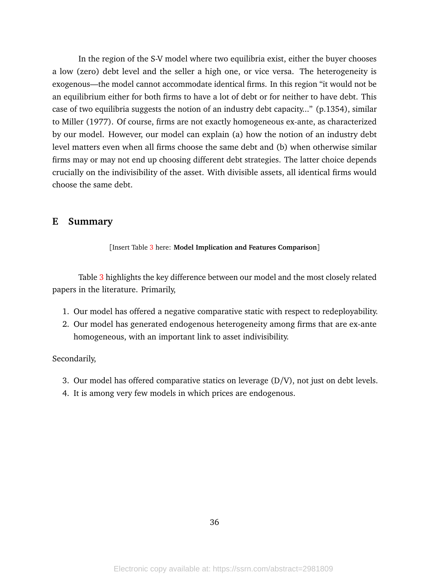In the region of the S-V model where two equilibria exist, either the buyer chooses a low (zero) debt level and the seller a high one, or vice versa. The heterogeneity is exogenous—the model cannot accommodate identical firms. In this region "it would not be an equilibrium either for both firms to have a lot of debt or for neither to have debt. This case of two equilibria suggests the notion of an industry debt capacity..." (p.1354), similar to Miller (1977). Of course, firms are not exactly homogeneous ex-ante, as characterized by our model. However, our model can explain (a) how the notion of an industry debt level matters even when all firms choose the same debt and (b) when otherwise similar firms may or may not end up choosing different debt strategies. The latter choice depends crucially on the indivisibility of the asset. With divisible assets, all identical firms would choose the same debt.

### **E Summary**

### [Insert Table [3](#page-43-0) here: **Model Implication and Features Comparison**]

Table [3](#page-43-0) highlights the key difference between our model and the most closely related papers in the literature. Primarily,

- 1. Our model has offered a negative comparative static with respect to redeployability.
- 2. Our model has generated endogenous heterogeneity among firms that are ex-ante homogeneous, with an important link to asset indivisibility.

#### Secondarily,

- 3. Our model has offered comparative statics on leverage (D/V), not just on debt levels.
- 4. It is among very few models in which prices are endogenous.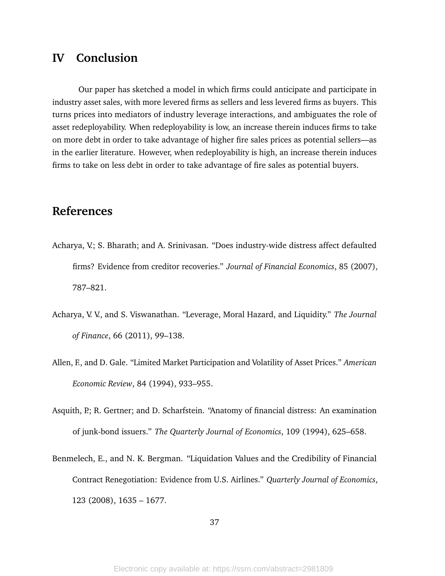# **IV Conclusion**

Our paper has sketched a model in which firms could anticipate and participate in industry asset sales, with more levered firms as sellers and less levered firms as buyers. This turns prices into mediators of industry leverage interactions, and ambiguates the role of asset redeployability. When redeployability is low, an increase therein induces firms to take on more debt in order to take advantage of higher fire sales prices as potential sellers—as in the earlier literature. However, when redeployability is high, an increase therein induces firms to take on less debt in order to take advantage of fire sales as potential buyers.

# **References**

- Acharya, V.; S. Bharath; and A. Srinivasan. "Does industry-wide distress affect defaulted firms? Evidence from creditor recoveries." *Journal of Financial Economics*, 85 (2007), 787–821.
- Acharya, V. V., and S. Viswanathan. "Leverage, Moral Hazard, and Liquidity." *The Journal of Finance*, 66 (2011), 99–138.
- Allen, F., and D. Gale. "Limited Market Participation and Volatility of Asset Prices." *American Economic Review*, 84 (1994), 933–955.
- Asquith, P.; R. Gertner; and D. Scharfstein. "Anatomy of financial distress: An examination of junk-bond issuers." *The Quarterly Journal of Economics*, 109 (1994), 625–658.
- Benmelech, E., and N. K. Bergman. "Liquidation Values and the Credibility of Financial Contract Renegotiation: Evidence from U.S. Airlines." *Quarterly Journal of Economics*, 123 (2008), 1635 – 1677.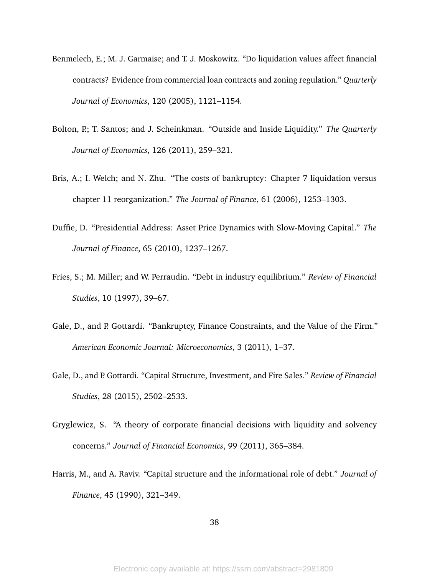- Benmelech, E.; M. J. Garmaise; and T. J. Moskowitz. "Do liquidation values affect financial contracts? Evidence from commercial loan contracts and zoning regulation." *Quarterly Journal of Economics*, 120 (2005), 1121–1154.
- Bolton, P.; T. Santos; and J. Scheinkman. "Outside and Inside Liquidity." The Quarterly *Journal of Economics*, 126 (2011), 259–321.
- Bris, A.; I. Welch; and N. Zhu. "The costs of bankruptcy: Chapter 7 liquidation versus chapter 11 reorganization." *The Journal of Finance*, 61 (2006), 1253–1303.
- Duffie, D. "Presidential Address: Asset Price Dynamics with Slow-Moving Capital." *The Journal of Finance*, 65 (2010), 1237–1267.
- Fries, S.; M. Miller; and W. Perraudin. "Debt in industry equilibrium." *Review of Financial Studies*, 10 (1997), 39–67.
- Gale, D., and P. Gottardi. "Bankruptcy, Finance Constraints, and the Value of the Firm." *American Economic Journal: Microeconomics*, 3 (2011), 1–37.
- Gale, D., and P. Gottardi. "Capital Structure, Investment, and Fire Sales." *Review of Financial Studies*, 28 (2015), 2502–2533.
- Gryglewicz, S. "A theory of corporate financial decisions with liquidity and solvency concerns." *Journal of Financial Economics*, 99 (2011), 365–384.
- Harris, M., and A. Raviv. "Capital structure and the informational role of debt." *Journal of Finance*, 45 (1990), 321–349.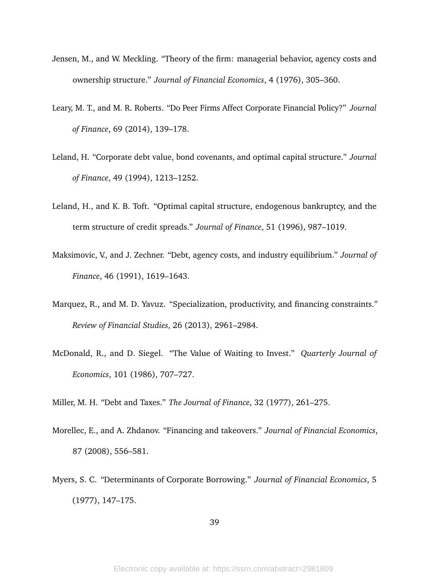- Jensen, M., and W. Meckling. "Theory of the firm: managerial behavior, agency costs and ownership structure." *Journal of Financial Economics*, 4 (1976), 305–360.
- Leary, M. T., and M. R. Roberts. "Do Peer Firms Affect Corporate Financial Policy?" *Journal of Finance*, 69 (2014), 139–178.
- Leland, H. "Corporate debt value, bond covenants, and optimal capital structure." *Journal of Finance*, 49 (1994), 1213–1252.
- Leland, H., and K. B. Toft. "Optimal capital structure, endogenous bankruptcy, and the term structure of credit spreads." *Journal of Finance*, 51 (1996), 987–1019.
- Maksimovic, V., and J. Zechner. "Debt, agency costs, and industry equilibrium." *Journal of Finance*, 46 (1991), 1619–1643.
- Marquez, R., and M. D. Yavuz. "Specialization, productivity, and financing constraints." *Review of Financial Studies*, 26 (2013), 2961–2984.
- McDonald, R., and D. Siegel. "The Value of Waiting to Invest." *Quarterly Journal of Economics*, 101 (1986), 707–727.

Miller, M. H. "Debt and Taxes." *The Journal of Finance*, 32 (1977), 261–275.

- Morellec, E., and A. Zhdanov. "Financing and takeovers." *Journal of Financial Economics*, 87 (2008), 556–581.
- Myers, S. C. "Determinants of Corporate Borrowing." *Journal of Financial Economics*, 5 (1977), 147–175.

39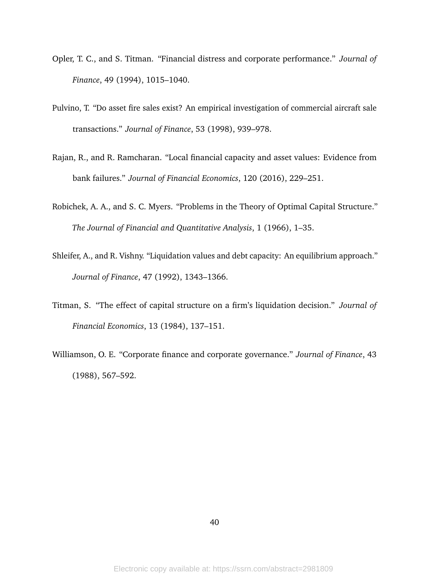- Opler, T. C., and S. Titman. "Financial distress and corporate performance." *Journal of Finance*, 49 (1994), 1015–1040.
- Pulvino, T. "Do asset fire sales exist? An empirical investigation of commercial aircraft sale transactions." *Journal of Finance*, 53 (1998), 939–978.
- Rajan, R., and R. Ramcharan. "Local financial capacity and asset values: Evidence from bank failures." *Journal of Financial Economics*, 120 (2016), 229–251.
- Robichek, A. A., and S. C. Myers. "Problems in the Theory of Optimal Capital Structure." *The Journal of Financial and Quantitative Analysis*, 1 (1966), 1–35.
- Shleifer, A., and R. Vishny. "Liquidation values and debt capacity: An equilibrium approach." *Journal of Finance*, 47 (1992), 1343–1366.
- Titman, S. "The effect of capital structure on a firm's liquidation decision." *Journal of Financial Economics*, 13 (1984), 137–151.
- Williamson, O. E. "Corporate finance and corporate governance." *Journal of Finance*, 43 (1988), 567–592.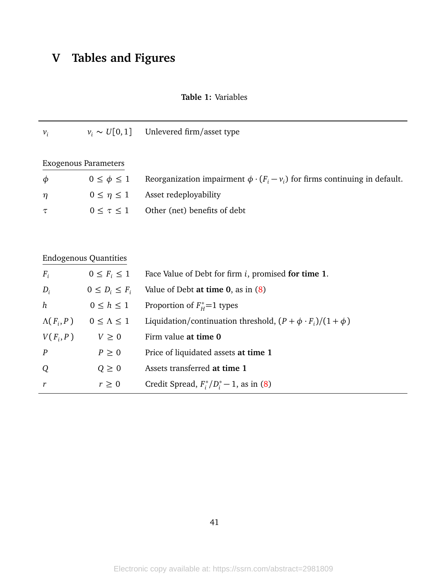# **V Tables and Figures**

 $r \geq 0$  Credit Spread,  $F_i^*$ 

### **Table 1:** Variables

| $v_i$            |                                           | $v_i \sim U[0,1]$ Unlevered firm/asset type                                         |
|------------------|-------------------------------------------|-------------------------------------------------------------------------------------|
|                  | <b>Exogenous Parameters</b>               |                                                                                     |
| $\phi$           | $0 \leq \phi \leq 1$                      | Reorganization impairment $\phi \cdot (F_i - v_i)$ for firms continuing in default. |
| $\eta$           | $0 \leq \eta \leq 1$                      | Asset redeployability                                                               |
| $\tau$           | $0 \leq \tau \leq 1$                      | Other (net) benefits of debt                                                        |
|                  |                                           |                                                                                     |
|                  | <b>Endogenous Quantities</b>              |                                                                                     |
|                  | $F_i$ $0 \leq F_i \leq 1$                 | Face Value of Debt for firm <i>i</i> , promised for time 1.                         |
| $D_i$            | $0 \leq D_i \leq F_i$                     | Value of Debt at time $0$ , as in $(8)$                                             |
| $\boldsymbol{h}$ | $0 \leq h \leq 1$                         | Proportion of $F_{H}^{*}=1$ types                                                   |
|                  | $\Lambda(F_i, P)$ $0 \leq \Lambda \leq 1$ | Liquidation/continuation threshold, $(P + \phi \cdot F_i)/(1 + \phi)$               |
|                  | $V(F_i, P)$ $V \geq 0$                    | Firm value at time 0                                                                |
| $\boldsymbol{P}$ | $P\geq 0$                                 | Price of liquidated assets at time 1                                                |
| Q                | $Q \geq 0$                                | Assets transferred at time 1                                                        |

 $i<sup>*</sup>/D<sub>i</sub><sup>*</sup> - 1$ , as in [\(8\)](#page-21-0)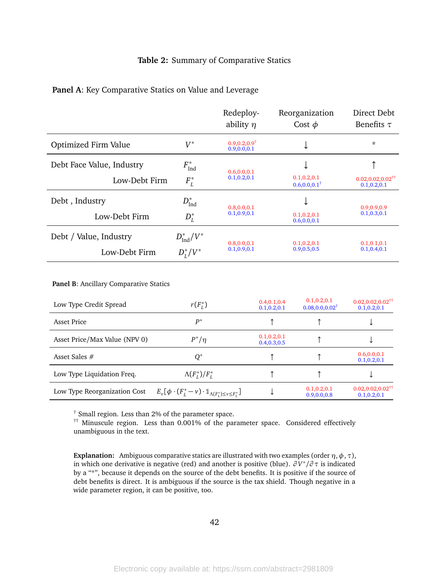### **Table 2:** Summary of Comparative Statics

### **Panel A**: Key Comparative Statics on Value and Leverage

|                           |                        | Redeploy-<br>ability $\eta$                | Reorganization<br>Cost $\phi$              | Direct Debt<br>Benefits $\tau$                       |  |
|---------------------------|------------------------|--------------------------------------------|--------------------------------------------|------------------------------------------------------|--|
| Optimized Firm Value      | $V^*$                  | $0.9, 0.2, 0.9^{\dagger}$<br>0.9, 0.0, 0.1 | ◡                                          | *                                                    |  |
| Debt Face Value, Industry | $F_\mathrm{Ind}^*$     | 0.6, 0.0, 0.1                              | ◡                                          |                                                      |  |
| Low-Debt Firm             | $F_L^*$                | 0.1, 0.2, 0.1                              | 0.1, 0.2, 0.1<br>$0.6, 0.0, 0.1^{\dagger}$ | $0.02, 0.02, 0.02^{\dagger\dagger}$<br>0.1, 0.2, 0.1 |  |
| Debt, Industry            | $D^*_{\text{Ind}}$     | 0.8, 0.0, 0.1                              | ↓                                          | 0.9,0.9,0.9                                          |  |
| Low-Debt Firm             | $D_L^*$                | 0.1, 0.9, 0.1                              | 0.1, 0.2, 0.1<br>0.6, 0.0, 0.1             | 0.1, 0.3, 0.1                                        |  |
| Debt / Value, Industry    | $D^*_{\text{Ind}}/V^*$ | 0.8, 0.0, 0.1                              | 0.1, 0.2, 0.1                              | 0.1, 0.1, 0.1                                        |  |
| Low-Debt Firm             | $D_L^*/V^*$            | 0.1, 0.9, 0.1                              | 0.9, 0.5, 0.5                              | 0.1, 0.4, 0.1                                        |  |
|                           |                        |                                            |                                            |                                                      |  |

#### **Panel B**: Ancillary Comparative Statics

| Low Type Credit Spread        | $r(F_L^*)$                                                                                | 0.4, 0.1, 0.4<br>0.1, 0.2, 0.1 | 0.1, 0.2, 0.1<br>$0.08, 0.0, 0.02^{\dagger}$ | $0.02, 0.02, 0.02^{\dagger\dagger}$<br>0.1, 0.2, 0.1 |
|-------------------------------|-------------------------------------------------------------------------------------------|--------------------------------|----------------------------------------------|------------------------------------------------------|
| <b>Asset Price</b>            | $P^*$                                                                                     |                                |                                              |                                                      |
| Asset Price/Max Value (NPV 0) | $P^*/\eta$                                                                                | 0.1, 0.2, 0.1<br>0.4, 0.3, 0.5 |                                              |                                                      |
| Asset Sales $#$               | $Q^*$                                                                                     |                                |                                              | 0.6, 0.0, 0.1<br>0.1, 0.2, 0.1                       |
| Low Type Liquidation Freq.    | $\Lambda(F_l^*)/F_l^*$                                                                    |                                |                                              |                                                      |
| Low Type Reorganization Cost  | $E_{\nu}[\phi \cdot (F_L^* - \nu) \cdot \mathbb{1}_{\Lambda(F_l^*) \leq \nu \leq F_l^*}]$ |                                | 0.1, 0.2, 0.1<br>0.9, 0.0, 0.8               | $0.02, 0.02, 0.02^{\dagger\dagger}$<br>0.1, 0.2, 0.1 |

† Small region. Less than 2% of the parameter space.

†† Minuscule region. Less than 0.001% of the parameter space. Considered effectively unambiguous in the text.

**Explanation:** Ambiguous comparative statics are illustrated with two examples (order  $\eta$ ,  $\phi$ ,  $\tau$ ), in which one derivative is negative (red) and another is positive (blue). *∂ V* ∗ */∂ τ* is indicated by a "\*", because it depends on the source of the debt benefits. It is positive if the source of debt benefits is direct. It is ambiguous if the source is the tax shield. Though negative in a wide parameter region, it can be positive, too.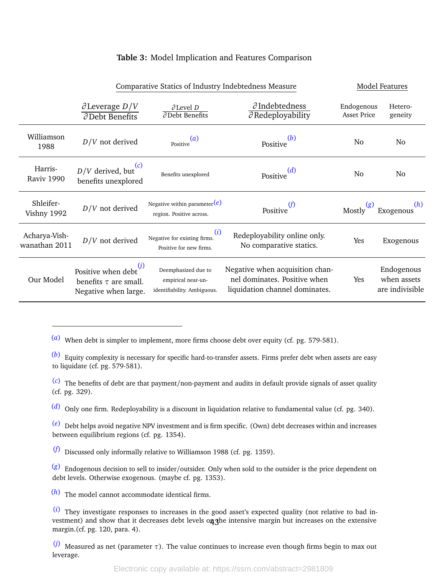### **Table 3:** Model Implication and Features Comparison

<span id="page-43-0"></span>

|                                | Comparative Statics of Industry Indebtedness Measure                              |                                                                          |                                                                                                   |                                  | Model Features                               |  |  |
|--------------------------------|-----------------------------------------------------------------------------------|--------------------------------------------------------------------------|---------------------------------------------------------------------------------------------------|----------------------------------|----------------------------------------------|--|--|
|                                | $\partial$ Leverage $D/V$<br>$\partial$ Debt Benefits                             | $\partial$ Level D<br>$\partial$ Debt Benefits                           | $\partial$ Indebtedness<br>$\partial$ Redeployability                                             | Endogenous<br><b>Asset Price</b> | Hetero-<br>geneity                           |  |  |
| Williamson<br>1988             | $D/V$ not derived                                                                 | (a)<br>Positive                                                          | (b)<br>Positive                                                                                   | No                               | No.                                          |  |  |
| Harris-<br>Raviv 1990          | (c)<br>$D/V$ derived, but<br>benefits unexplored                                  | Benefits unexplored                                                      | (d)<br>Positive                                                                                   | No                               | No                                           |  |  |
| Shleifer-<br>Vishny 1992       | $D/V$ not derived                                                                 | Negative within parameter $(e)$<br>region. Positive across.              | (f)<br>Positive                                                                                   | Mostly                           | Exogenous <sup>(h)</sup>                     |  |  |
| Acharya-Vish-<br>wanathan 2011 | $D/V$ not derived                                                                 | (i)<br>Negative for existing firms.<br>Positive for new firms.           | Redeployability online only.<br>No comparative statics.                                           | Yes                              | Exogenous                                    |  |  |
| Our Model                      | Positive when debt $^{(j)}$<br>benefits $\tau$ are small.<br>Negative when large. | Deemphasized due to<br>empirical near-un-<br>identifiability. Ambiguous. | Negative when acquisition chan-<br>nel dominates. Positive when<br>liquidation channel dominates. | Yes                              | Endogenous<br>when assets<br>are indivisible |  |  |

(*a*) When debt is simpler to implement, more firms choose debt over equity (cf. pg. 579-581).

(*b*) Equity complexity is necessary for specific hard-to-transfer assets. Firms prefer debt when assets are easy to liquidate (cf. pg. 579-581).

(*c*) The benefits of debt are that payment/non-payment and audits in default provide signals of asset quality (cf. pg. 329).

(*d*) Only one firm. Redeployability is a discount in liquidation relative to fundamental value (cf. pg. 340).

(*e*) Debt helps avoid negative NPV investment and is firm specific. (Own) debt decreases within and increases between equilibrium regions (cf. pg. 1354).

(*f*) Discussed only informally relative to Williamson 1988 (cf. pg. 1359).

(*g*) Endogenous decision to sell to insider/outsider. Only when sold to the outsider is the price dependent on debt levels. Otherwise exogenous. (maybe cf. pg. 1353).

(*h*) The model cannot accommodate identical firms.

(*i*) They investigate responses to increases in the good asset's expected quality (not relative to bad investment) and show that it decreases debt levels on the intensive margin but increases on the extensive margin.(cf. pg. 120, para. 4).

(*j*) Measured as net (parameter *τ*). The value continues to increase even though firms begin to max out leverage.

Electronic copy available at: https://ssrn.com/abstract=2981809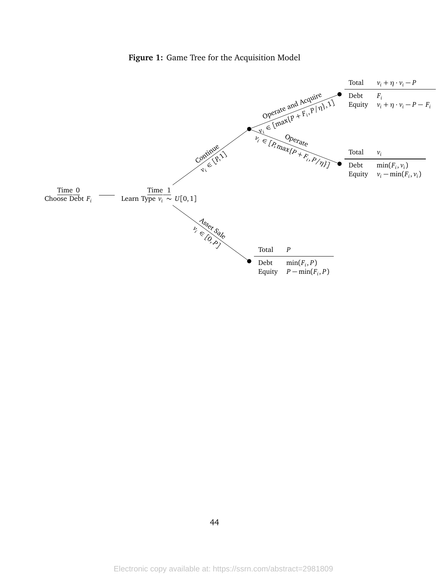

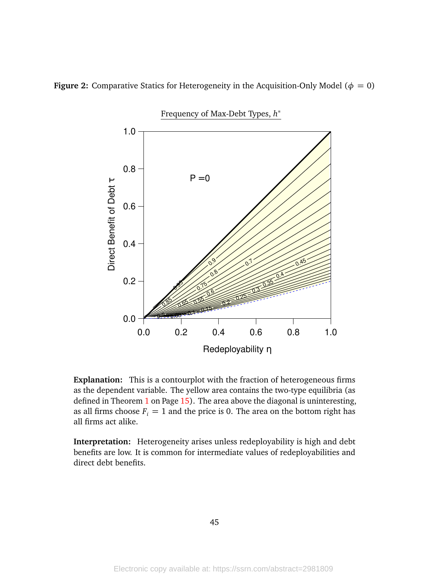

<span id="page-45-0"></span>**Figure 2:** Comparative Statics for Heterogeneity in the Acquisition-Only Model ( $\phi = 0$ )

**Explanation:** This is a contourplot with the fraction of heterogeneous firms as the dependent variable. The yellow area contains the two-type equilibria (as defined in Theorem [1](#page-10-0) on Page [15\)](#page-10-0). The area above the diagonal is uninteresting, as all firms choose  $F_i = 1$  and the price is 0. The area on the bottom right has all firms act alike.

**Interpretation:** Heterogeneity arises unless redeployability is high and debt benefits are low. It is common for intermediate values of redeployabilities and direct debt benefits.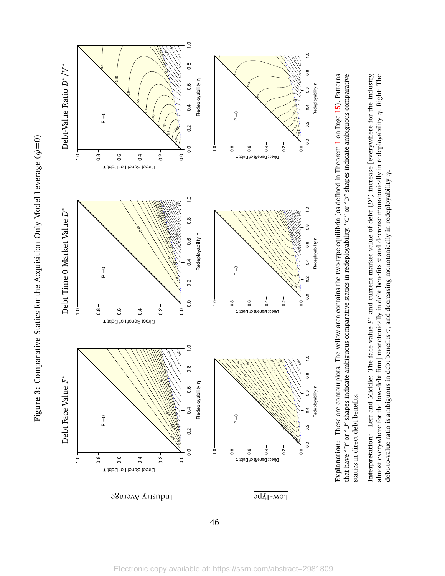Figure 3: Comparative Statics for the Acquisition-Only Model Leverage ( $\phi$ =0) **Figure 3:** Comparative Statics for the Acquisition-Only Model Leverage (*φ*=0)



Explanation: These are contourplots. The yellow area contains the two-type equilibria (as defined in Theorem 1 on Page 15). Patterns that have "n" or "U" shapes indicate ambiguous comparative statics in redeployability, "C" or "D" shapes indicate ambiguous comparative **Explanation:** These are contourplots. The yellow area contains the two-type equilibria (as defined in Theorem [1](#page-10-0) on Page [15\)](#page-10-0). Patterns that have "∩" or "∪" shapes indicate ambiguous comparative statics in redeployability. "⊂" or "⊃" shapes indicate ambiguous comparative statics in direct debt benefits. statics in direct debt benefits.

**Interpretation:** Left and Middle: The face value  $F^*$  and current market value of debt  $(D^*)$  increase [everywhere for the industry, almost everywhere for the low-debt firm] monotonically in debt benefits  $\tau$  and decrease monotonically in redeployability  $\eta$ . Right: The **Interpretation:** Left and Middle: The face value *F*∗ and current market value of debt (*D*∗) increase [everywhere for the industry, almost everywhere for the low-debt firm] monotonically in debt benefits *τ* and decrease monotonically in redeployability *η*. Right: The debt-to-value ratio is ambiguous in debt benefits  $\tau$ , and decreasing monotonically in redeployability  $\eta$ . debt-to-value ratio is ambiguous in debt benefits *τ*, and decreasing monotonically in redeployability *η*.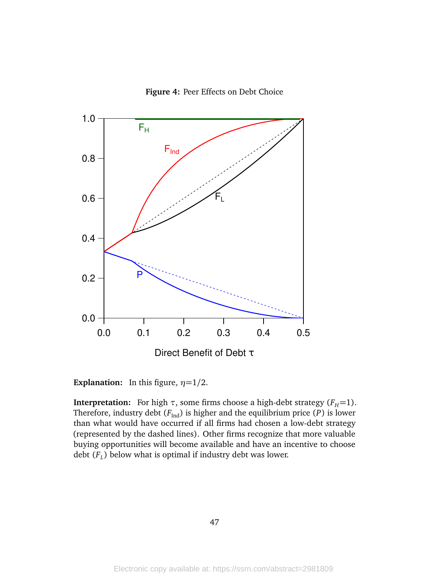



**Explanation:** In this figure,  $\eta = 1/2$ .

**Interpretation:** For high  $\tau$ , some firms choose a high-debt strategy ( $F$ <sup>H</sup>=1). Therefore, industry debt  $(F_{\text{Ind}})$  is higher and the equilibrium price  $(P)$  is lower than what would have occurred if all firms had chosen a low-debt strategy (represented by the dashed lines). Other firms recognize that more valuable buying opportunities will become available and have an incentive to choose debt (*F<sup>L</sup>* ) below what is optimal if industry debt was lower.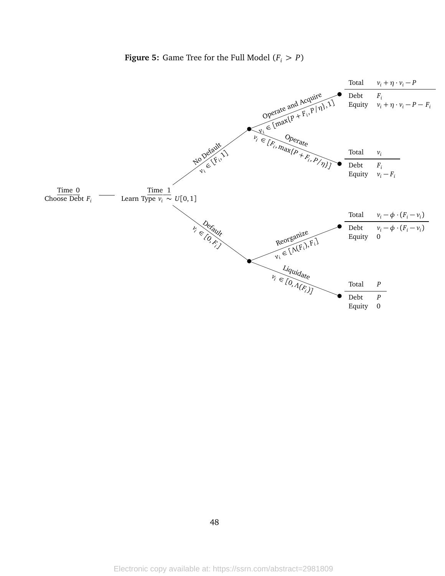

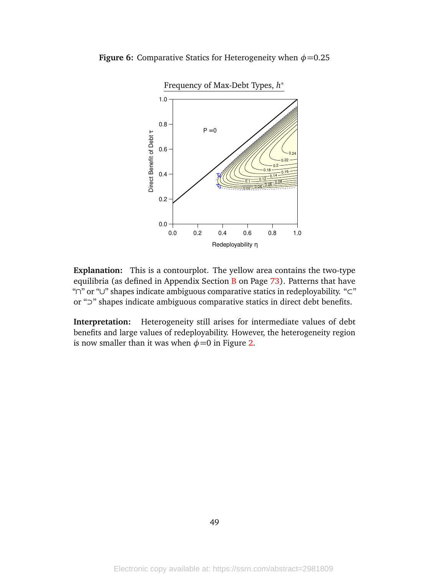

**Figure 6:** Comparative Statics for Heterogeneity when  $\phi$ =0.25

**Explanation:** This is a contourplot. The yellow area contains the two-type equilibria (as defined in Appendix Section  $B$  on Page  $73$ ). Patterns that have "∩" or "∪" shapes indicate ambiguous comparative statics in redeployability. "⊂" or "⊃" shapes indicate ambiguous comparative statics in direct debt benefits.

**Interpretation:** Heterogeneity still arises for intermediate values of debt benefits and large values of redeployability. However, the heterogeneity region is now smaller than it was when  $\phi$ =0 in Figure [2.](#page-45-0)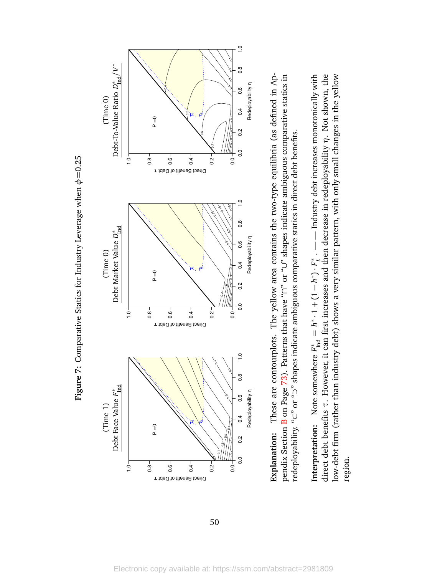



Explanation: These are contourplots. The yellow area contains the two-type equilibria (as defined in Appendix Section B on Page 73). Patterns that have "n" or "U" shapes indicate ambiguous comparative statics in **Explanation:** These are contourplots. The yellow area contains the two-type equilibria (as defined in Appendix Section [B](#page-56-0) on Page [73\)](#page-56-0). Patterns that have "∩" or "∪" shapes indicate ambiguous comparative statics in redeployability. "C" or "2" shapes indicate ambiguous comparative statics in direct debt benefits. redeployability. "⊂" or "⊃" shapes indicate ambiguous comparative statics in direct debt benefits.

direct debt benefits  $\tau$ . However, it can first increases and then decrease in redeployability  $\eta$ . Not shown, the low-debt firm (rather than industry debt) shows a very similar pattern, with only small changes in the yellow low-debt firm (rather than industry debt) shows a very similar pattern, with only small changes in the yellow **Interpretation:** Note somewhere  $F_{\text{Ind}}^* = h^* \cdot 1 + (1 - h^*) \cdot F_L^*$ . — Industry debt increases monotonically with **Interpretation:** Note somewhere  $F_{\text{ind}}^* = h^* \cdot 1 + (1 - h^*) \cdot F_i^*$ . — — Industry debt increases monotonically with direct debt benefits *τ*. However, it can first increases and then decrease in redeployability *η*. Not shown, the region.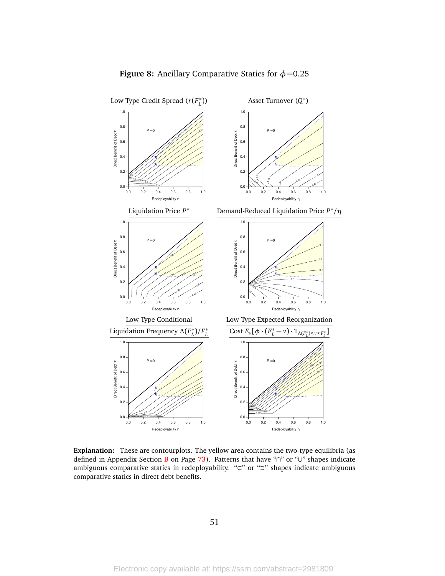

### **Figure 8:** Ancillary Comparative Statics for  $\phi$ =0.25

**Explanation:** These are contourplots. The yellow area contains the two-type equilibria (as defined in Appendix Section [B](#page-56-0) on Page [73\)](#page-56-0). Patterns that have "∩" or "∪" shapes indicate ambiguous comparative statics in redeployability. "⊂" or "⊃" shapes indicate ambiguous comparative statics in direct debt benefits.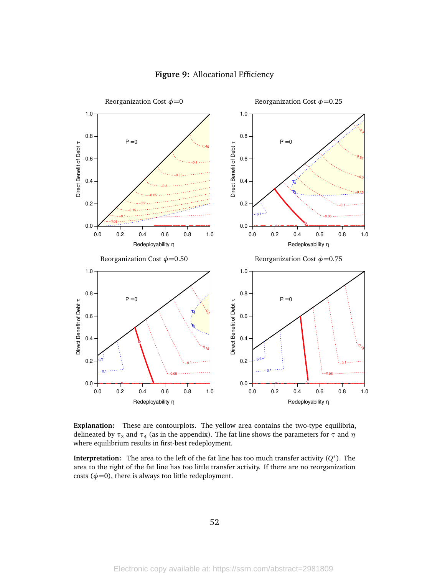

### **Figure 9:** Allocational Efficiency

**Explanation:** These are contourplots. The yellow area contains the two-type equilibria, delineated by *τ*<sup>3</sup> and *τ*<sup>4</sup> (as in the appendix). The fat line shows the parameters for *τ* and *η* where equilibrium results in first-best redeployment.

**Interpretation:** The area to the left of the fat line has too much transfer activity (*Q* ∗ ). The area to the right of the fat line has too little transfer activity. If there are no reorganization costs  $(\phi=0)$ , there is always too little redeployment.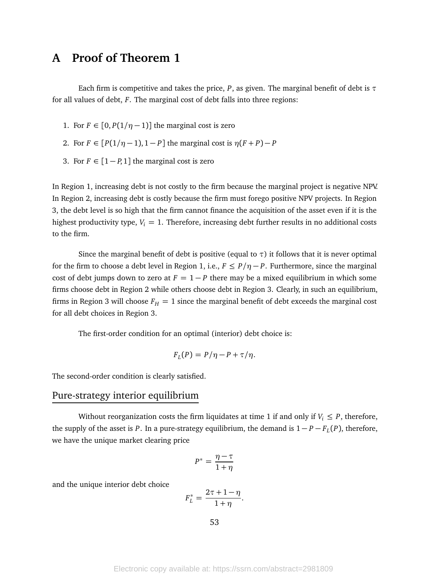# **A Proof of Theorem 1**

Each firm is competitive and takes the price,  $P$ , as given. The marginal benefit of debt is  $\tau$ for all values of debt, *F*. The marginal cost of debt falls into three regions:

- 1. For  $F \in [0, P(1/\eta 1)]$  the marginal cost is zero
- 2. For  $F \in [P(1/\eta-1), 1-P]$  the marginal cost is  $\eta(F+P)-P$
- 3. For  $F \in [1 P, 1]$  the marginal cost is zero

In Region 1, increasing debt is not costly to the firm because the marginal project is negative NPV. In Region 2, increasing debt is costly because the firm must forego positive NPV projects. In Region 3, the debt level is so high that the firm cannot finance the acquisition of the asset even if it is the highest productivity type,  $V_i = 1$ . Therefore, increasing debt further results in no additional costs to the firm.

Since the marginal benefit of debt is positive (equal to  $\tau$ ) it follows that it is never optimal for the firm to choose a debt level in Region 1, i.e.,  $F \leq P/\eta - P$ . Furthermore, since the marginal cost of debt jumps down to zero at  $F = 1 - P$  there may be a mixed equilibrium in which some firms choose debt in Region 2 while others choose debt in Region 3. Clearly, in such an equilibrium, firms in Region 3 will choose  $F_H = 1$  since the marginal benefit of debt exceeds the marginal cost for all debt choices in Region 3.

The first-order condition for an optimal (interior) debt choice is:

$$
F_L(P) = P/\eta - P + \tau/\eta.
$$

The second-order condition is clearly satisfied.

### Pure-strategy interior equilibrium

Without reorganization costs the firm liquidates at time 1 if and only if  $V_i \leq P$ , therefore, the supply of the asset is *P*. In a pure-strategy equilibrium, the demand is  $1 - P - F<sub>L</sub>(P)$ , therefore, we have the unique market clearing price

$$
P^* = \frac{\eta - \tau}{1 + \eta}
$$

and the unique interior debt choice

$$
F_L^* = \frac{2\tau + 1 - \eta}{1 + \eta}.
$$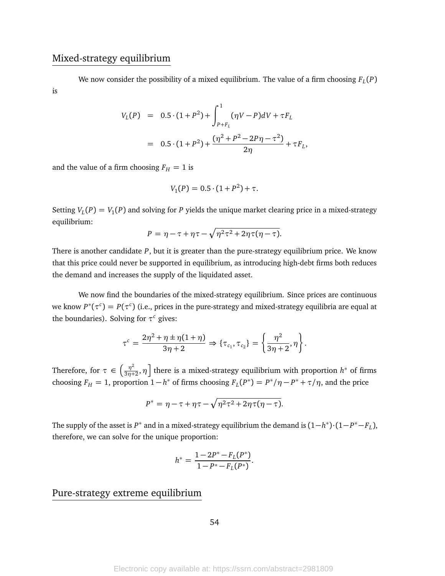### Mixed-strategy equilibrium

We now consider the possibility of a mixed equilibrium. The value of a firm choosing *F<sup>L</sup>* (*P*) is

$$
V_L(P) = 0.5 \cdot (1 + P^2) + \int_{P+F_L}^{1} (\eta V - P) dV + \tau F_L
$$
  
= 0.5 \cdot (1 + P^2) +  $\frac{(\eta^2 + P^2 - 2P\eta - \tau^2)}{2\eta} + \tau F_L$ ,

and the value of a firm choosing  $F_H = 1$  is

$$
V_1(P) = 0.5 \cdot (1 + P^2) + \tau.
$$

Setting  $V_L(P) = V_1(P)$  and solving for *P* yields the unique market clearing price in a mixed-strategy equilibrium:

$$
P = \eta - \tau + \eta \tau - \sqrt{\eta^2 \tau^2 + 2\eta \tau (\eta - \tau)}.
$$

There is another candidate *P*, but it is greater than the pure-strategy equilibrium price. We know that this price could never be supported in equilibrium, as introducing high-debt firms both reduces the demand and increases the supply of the liquidated asset.

We now find the boundaries of the mixed-strategy equilibrium. Since prices are continuous we know  $P^*(\tau^c) = P(\tau^c)$  (i.e., prices in the pure-strategy and mixed-strategy equilibria are equal at the boundaries). Solving for  $\tau^c$  gives:

$$
\tau^{c} = \frac{2\eta^{2} + \eta \pm \eta(1 + \eta)}{3\eta + 2} \Rightarrow \{\tau_{c_{1}}, \tau_{c_{2}}\} = \left\{\frac{\eta^{2}}{3\eta + 2}, \eta\right\}.
$$

Therefore, for  $\tau \in \left(\frac{\eta^2}{3n^2}\right)$  $\left[ \frac{\eta^2}{3\eta+2},\eta \right]$  there is a mixed-strategy equilibrium with proportion  $h^*$  of firms choosing  $F_H = 1$ , proportion  $1 - h^*$  of firms choosing  $F_L(P^*) = P^* / \eta - P^* + \tau / \eta$ , and the price

$$
P^* = \eta - \tau + \eta \tau - \sqrt{\eta^2 \tau^2 + 2\eta \tau (\eta - \tau)}.
$$

The supply of the asset is  $P^*$  and in a mixed-strategy equilibrium the demand is  $(1-h^*)\cdot(1-P^*-F_L)$ , therefore, we can solve for the unique proportion:

$$
h^* = \frac{1 - 2P^* - F_L(P^*)}{1 - P^* - F_L(P^*)}.
$$

### Pure-strategy extreme equilibrium

54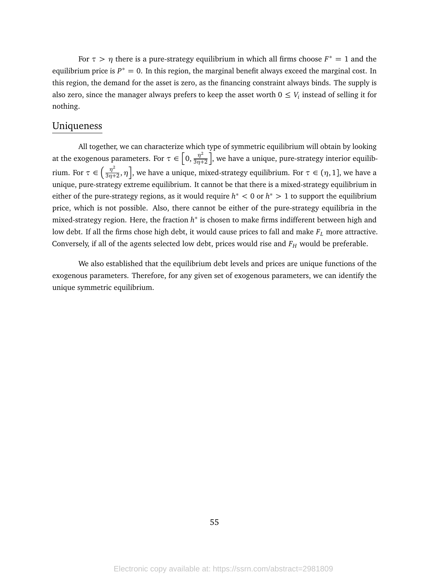For  $\tau > \eta$  there is a pure-strategy equilibrium in which all firms choose  $F^* = 1$  and the equilibrium price is  $P^* = 0$ . In this region, the marginal benefit always exceed the marginal cost. In this region, the demand for the asset is zero, as the financing constraint always binds. The supply is also zero, since the manager always prefers to keep the asset worth  $0 \leq V_i$  instead of selling it for nothing.

### Uniqueness

All together, we can characterize which type of symmetric equilibrium will obtain by looking at the exogenous parameters. For  $\tau \in \left[0, \frac{\eta^2}{3n^2}\right]$ 3*η*+2 , we have a unique, pure-strategy interior equilibrium. For  $\tau \in \left(\frac{\eta^2}{3n^2}\right)$  $\left[\frac{\eta^2}{3\eta+2},\eta\right]$ , we have a unique, mixed-strategy equilibrium. For  $\tau\in(\eta,1]$ , we have a unique, pure-strategy extreme equilibrium. It cannot be that there is a mixed-strategy equilibrium in either of the pure-strategy regions, as it would require *h* <sup>∗</sup> *<* 0 or *h* <sup>∗</sup> *>* 1 to support the equilibrium price, which is not possible. Also, there cannot be either of the pure-strategy equilibria in the mixed-strategy region. Here, the fraction *h* ∗ is chosen to make firms indifferent between high and low debt. If all the firms chose high debt, it would cause prices to fall and make  $F_L$  more attractive. Conversely, if all of the agents selected low debt, prices would rise and *F<sup>H</sup>* would be preferable.

We also established that the equilibrium debt levels and prices are unique functions of the exogenous parameters. Therefore, for any given set of exogenous parameters, we can identify the unique symmetric equilibrium.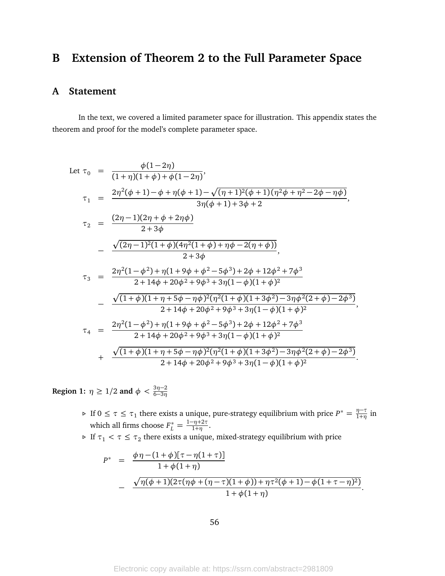# <span id="page-56-0"></span>**B Extension of Theorem 2 to the Full Parameter Space**

### **A Statement**

In the text, we covered a limited parameter space for illustration. This appendix states the theorem and proof for the model's complete parameter space.

Let 
$$
\tau_0 = \frac{\phi(1-2\eta)}{(1+\eta)(1+\phi)+\phi(1-2\eta)}
$$
  
\n $\tau_1 = \frac{2\eta^2(\phi+1)-\phi+\eta(\phi+1)-\sqrt{(\eta+1)^2(\phi+1)(\eta^2\phi+\eta^2-2\phi-\eta\phi)}}{3\eta(\phi+1)+3\phi+2}$   
\n $\tau_2 = \frac{(2\eta-1)(2\eta+\phi+2\eta\phi)}{2+3\phi}$   
\n $\frac{\sqrt{(2\eta-1)^2(1+\phi)(4\eta^2(1+\phi)+\eta\phi-2(\eta+\phi))}}{2+3\phi}$   
\n $\tau_3 = \frac{2\eta^2(1-\phi^2)+\eta(1+9\phi+\phi^2-5\phi^3)+2\phi+12\phi^2+7\phi^3}{2+14\phi+20\phi^2+9\phi^3+3\eta(1-\phi)(1+\phi)^2}$   
\n $\frac{\sqrt{(1+\phi)(1+\eta+5\phi-\eta\phi)^2(\eta^2(1+\phi)(1+3\phi^2)-3\eta\phi^2(2+\phi)-2\phi^3)}}{2+14\phi+20\phi^2+9\phi^3+3\eta(1-\phi)(1+\phi)^2}$   
\n $\tau_4 = \frac{2\eta^2(1-\phi^2)+\eta(1+9\phi+\phi^2-5\phi^3)+2\phi+12\phi^2+7\phi^3}{2+14\phi+20\phi^2+9\phi^3+3\eta(1-\phi)(1+\phi)^2}$   
\n $\frac{\sqrt{(1+\phi)(1+\eta+5\phi-\eta\phi)^2(\eta^2(1+\phi)(1+3\phi^2)-3\eta\phi^2(2+\phi)-2\phi^3)}}{2+14\phi+20\phi^2+9\phi^3+3\eta(1-\phi)(1+\phi)^2}$ 

**Region 1:**  $\eta \geq 1/2$  **and**  $\phi < \frac{3\eta-2}{6-3\eta}$ 

- $\rho$  If 0 ≤ *τ* ≤ *τ*<sub>1</sub> there exists a unique, pure-strategy equilibrium with price *P*<sup>\*</sup> =  $\frac{\eta \tau}{1 + \eta}$  $\frac{\eta-\nu}{1+\eta}$  in which all firms choose  $F_L^* = \frac{1 - \eta + 2\tau}{1 + \eta}$  $\frac{-\eta + 2\tau}{1+\eta}$ .
- $\triangleright$  If  $\tau_1 < \tau \leq \tau_2$  there exists a unique, mixed-strategy equilibrium with price

$$
P^* = \frac{\phi \eta - (1 + \phi)[\tau - \eta(1 + \tau)]}{1 + \phi(1 + \eta)}
$$
  
- 
$$
\frac{\sqrt{\eta(\phi + 1)(2\tau(\eta\phi + (\eta - \tau)(1 + \phi)) + \eta \tau^2(\phi + 1) - \phi(1 + \tau - \eta)^2)}}{1 + \phi(1 + \eta)}.
$$

56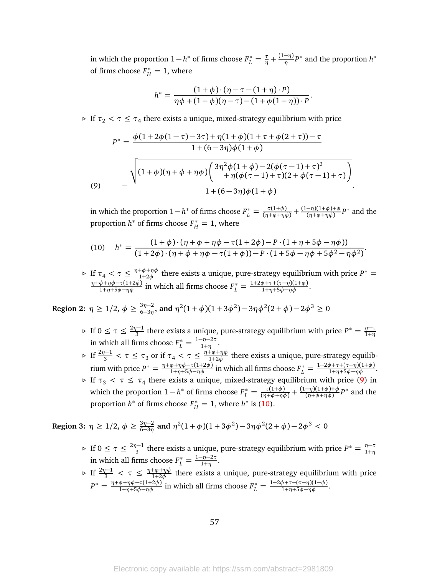in which the proportion  $1 - h^*$  of firms choose  $F_L^* = \frac{\tau}{\eta} + \frac{(1-\eta)}{\eta}P^*$  and the proportion  $h^*$ of firms choose  $F_H^* = 1$ , where

$$
h^* = \frac{(1+\phi)\cdot(\eta-\tau-(1+\eta)\cdot P)}{\eta\phi+(1+\phi)(\eta-\tau)-(1+\phi(1+\eta))\cdot P}
$$

.

 $\triangleright$  If  $\tau_2 < \tau \leq \tau_4$  there exists a unique, mixed-strategy equilibrium with price

$$
P^* = \frac{\phi(1+2\phi(1-\tau)-3\tau)+\eta(1+\phi)(1+\tau+\phi(2+\tau))-\tau}{1+(6-3\eta)\phi(1+\phi)}
$$
  

$$
\frac{\sqrt{(1+\phi)(\eta+\phi+\eta\phi)\left(\frac{3\eta^2\phi(1+\phi)-2(\phi(\tau-1)+\tau)^2}{\eta(\phi(\tau-1)+\tau)(2+\phi(\tau-1)+\tau)}\right)}}{1+(6-3\eta)\phi(1+\phi)}.
$$

<span id="page-57-0"></span>in which the proportion  $1 - h^*$  of firms choose  $F_L^* = \frac{\tau(1+\phi)}{(\eta+\phi+\eta\phi)} + \frac{(1-\eta)(1+\phi)+\phi}{(\eta+\phi+\eta\phi)}$  $\frac{(-\eta)(1+\phi)+\phi}{(\eta+\phi+\eta\phi)}P^*$  and the proportion  $h^*$  of firms choose  $F_H^* = 1$ , where

<span id="page-57-1"></span>(10) 
$$
h^* = \frac{(1+\phi)\cdot(\eta+\phi+\eta\phi-\tau(1+2\phi)-P\cdot(1+\eta+5\phi-\eta\phi))}{(1+2\phi)\cdot(\eta+\phi+\eta\phi-\tau(1+\phi))-P\cdot(1+5\phi-\eta\phi+5\phi^2-\eta\phi^2)}.
$$

 $\triangleright$  If  $\tau_4 < \tau \leq \frac{\eta + \phi + \eta \phi}{1 + 2\phi}$ <sup>+ $φ+ηφ$ </sup> there exists a unique, pure-strategy equilibrium with price  $P^* =$  $\frac{\eta + \phi + \eta \phi - \tau(1+2\phi)}{1+\eta+5\phi-\eta\phi}$  in which all firms choose  $F_L^* = \frac{1+2\phi+\tau+(\tau-\eta)(1+\phi)}{1+\eta+5\phi-\eta\phi}$ .

**Region 2:**  $\eta \ge 1/2, \phi \ge \frac{3\eta - 2}{6 - 3\eta}$  $\frac{3\eta-2}{6-3\eta}$ , and  $\eta^2(1+\phi)(1+3\phi^2)-3\eta\phi^2(2+\phi)-2\phi^3\geq0$ 

- $\triangleright$  If 0 ≤ τ ≤  $\frac{2n-1}{3}$  $\frac{\eta}{3}$  there exists a unique, pure-strategy equilibrium with price  $P^* = \frac{\eta - \tau}{1 + \eta}$ 1+*η* in which all firms choose  $F_L^* = \frac{1 - \eta + 2\tau}{1 + \eta}$  $\frac{-\eta + z\tau}{1+\eta}$ .
- $\triangleright$  If  $\frac{2\eta-1}{3} < \tau \leq \tau_3$  or if  $\tau_4 < \tau \leq \frac{\eta+\phi+\eta\phi}{1+2\phi}$  $\frac{f^2 + f^2}{1+2\phi}$  there exists a unique, pure-strategy equilibrium with price  $P^* = \frac{\eta + \phi + \eta \phi - \tau (1 + 2\phi)}{1 + \eta + 5\phi - \eta \phi}$  in which all firms choose  $F_L^* = \frac{1 + 2\phi + \tau + (\tau - \eta)(1 + \phi)}{1 + \eta + 5\phi - \eta \phi}$ .
- $\triangleright$  If  $\tau_3 < \tau \leq \tau_4$  there exists a unique, mixed-strategy equilibrium with price [\(9\)](#page-57-0) in which the proportion  $1 - h^*$  of firms choose  $F_L^* = \frac{\tau(1+\phi)}{(\eta+\phi+\eta\phi)} + \frac{(1-\eta)(1+\phi)+\phi}{(\eta+\phi+\eta\phi)}$  $\frac{(-\eta)(1+\phi)+\phi}{(\eta+\phi+\eta\phi)}P^*$  and the proportion  $h^*$  of firms choose  $F_H^* = 1$ , where  $h^*$  is [\(10\)](#page-57-1).

Region 3: 
$$
\eta \ge 1/2
$$
,  $\phi \ge \frac{3\eta - 2}{6 - 3\eta}$  and  $\eta^2(1 + \phi)(1 + 3\phi^2) - 3\eta\phi^2(2 + \phi) - 2\phi^3 < 0$ 

- $\triangleright$  If 0 ≤ τ ≤  $\frac{2n-1}{3}$  $\frac{\eta}{3}$  there exists a unique, pure-strategy equilibrium with price  $P^* = \frac{\eta - \tau}{1 + \eta}$ 1+*η* in which all firms choose  $F_L^* = \frac{1 - \eta + 2\tau}{1 + \eta}$  $\frac{-\eta + z\tau}{1+\eta}$ .
- $\triangleright$  If  $\frac{2\eta-1}{3} < \tau \leq \frac{\eta+\phi+\eta\phi}{1+2\phi}$  $\frac{f(p+1)p}{1+2\phi}$  there exists a unique, pure-strategy equilibrium with price  $P^* = \frac{\eta + \phi + \eta \phi - \tau (1 + 2\phi)}{1 + \eta + 5\phi - \eta \phi}$  in which all firms choose  $F_L^* = \frac{1 + 2\phi + \tau + (\tau - \eta)(1 + \phi)}{1 + \eta + 5\phi - \eta \phi}$ .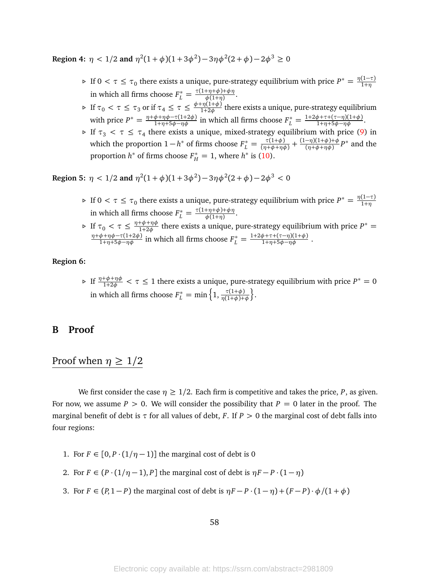**Region 4:**  $\eta < 1/2$  and  $\eta^2(1+\phi)(1+3\phi^2) - 3\eta\phi^2(2+\phi) - 2\phi^3 \ge 0$ 

- *⊳* If 0 < *τ* ≤ *τ*<sub>0</sub> there exists a unique, pure-strategy equilibrium with price  $P^* = \frac{\eta(1-\tau)}{1+\eta}$ 1+*η* in which all firms choose  $F_L^* = \frac{\tau(1+\eta+\phi)+\phi\eta}{\phi(1+\eta)}$ *φ*(1+*η*) .
- $\triangleright$  If  $\tau_0 < \tau \leq \tau_3$  or if  $\tau_4 \leq \tau \leq \frac{\phi + \eta(1+\phi)}{1+2\phi}$  $\frac{1}{1+2\phi}$  there exists a unique, pure-strategy equilibrium with price  $P^* = \frac{\eta + \phi + \eta \phi - \tau (1 + 2\phi)}{1 + \eta + 5\phi - \eta \phi}$  in which all firms choose  $F_L^* = \frac{1 + 2\phi + \tau + (\tau - \eta)(1 + \phi)}{1 + \eta + 5\phi - \eta \phi}$ .
- $\triangleright$  If  $\tau_3 < \tau \leq \tau_4$  there exists a unique, mixed-strategy equilibrium with price [\(9\)](#page-57-0) in which the proportion  $1 - h^*$  of firms choose  $F_L^* = \frac{\tau(1+\phi)}{(\eta+\phi+\eta\phi)} + \frac{(1-\eta)(1+\phi)+\phi}{(\eta+\phi+\eta\phi)}$  $\frac{(-\eta)(1+\phi)+\phi}{(\eta+\phi+\eta\phi)}P^*$  and the proportion  $h^*$  of firms choose  $F_H^* = 1$ , where  $h^*$  is [\(10\)](#page-57-1).

**Region 5:**  $\eta < 1/2$  and  $\eta^2(1+\phi)(1+3\phi^2)-3\eta\phi^2(2+\phi)-2\phi^3 < 0$ 

- *⊳* If 0 <  $\tau$  ≤  $\tau_0$  there exists a unique, pure-strategy equilibrium with price  $P^* = \frac{\eta(1-\tau)}{1+\eta}$ 1+*η* in which all firms choose  $F_L^* = \frac{\tau(1+\eta+\phi)+\phi\eta}{\phi(1+\eta)}$ *φ*(1+*η*) .
- $\triangleright$  If  $\tau_0 < \tau \leq \frac{\eta + \phi + \eta \phi}{1 + 2\phi}$ <sup>+ $φ+ηφ$ </sup> there exists a unique, pure-strategy equilibrium with price  $P^* =$  $\frac{\eta + \phi + \eta \phi - \tau (1 + 2\phi)}{1 + \eta + 5\phi - \eta \phi}$  in which all firms choose  $F_L^* = \frac{1 + 2\phi + \tau + (\tau - \eta)(1 + \phi)}{1 + \eta + 5\phi - \eta \phi}$ .

#### **Region 6:**

 $\triangleright$  If  $\frac{\eta+\phi+\eta\phi}{1+2\phi} < \tau \leq 1$  there exists a unique, pure-strategy equilibrium with price  $P^* = 0$ in which all firms choose  $F_L^* = \min\left\{1, \frac{\tau(1+\phi)}{\eta(1+\phi)+\phi}\right\}$ © .

### **B Proof**

# Proof when  $\eta \geq 1/2$

We first consider the case  $\eta \geq 1/2$ . Each firm is competitive and takes the price, *P*, as given. For now, we assume  $P > 0$ . We will consider the possibility that  $P = 0$  later in the proof. The marginal benefit of debt is *τ* for all values of debt, *F*. If *P >* 0 the marginal cost of debt falls into four regions:

- 1. For  $F \in [0, P \cdot (1/n-1)]$  the marginal cost of debt is 0
- 2. For  $F \in (P \cdot (1/\eta 1), P]$  the marginal cost of debt is  $\eta F P \cdot (1 \eta)$
- 3. For  $F \in (P, 1 P)$  the marginal cost of debt is  $\eta F P \cdot (1 \eta) + (F P) \cdot \phi / (1 + \phi)$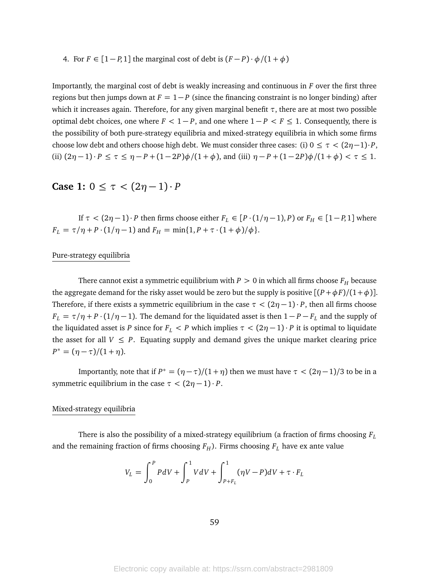4. For  $F \in [1 - P, 1]$  the marginal cost of debt is  $(F - P) \cdot \phi / (1 + \phi)$ 

Importantly, the marginal cost of debt is weakly increasing and continuous in *F* over the first three regions but then jumps down at  $F = 1 - P$  (since the financing constraint is no longer binding) after which it increases again. Therefore, for any given marginal benefit  $\tau$ , there are at most two possible optimal debt choices, one where  $F < 1 - P$ , and one where  $1 - P < F \le 1$ . Consequently, there is the possibility of both pure-strategy equilibria and mixed-strategy equilibria in which some firms choose low debt and others choose high debt. We must consider three cases: (i)  $0 \leq \tau < (2n-1) \cdot P$ , (ii)  $(2\eta - 1) \cdot P \le \tau \le \eta - P + (1 - 2P)\phi/(1 + \phi)$ , and (iii)  $\eta - P + (1 - 2P)\phi/(1 + \phi) < \tau \le 1$ .

### **Case 1:**  $0 \le \tau < (2\eta - 1) \cdot P$

If  $\tau < (2\eta - 1) \cdot P$  then firms choose either  $F_L \in [P \cdot (1/\eta - 1), P)$  or  $F_H \in [1 - P, 1]$  where *F*<sub>*L*</sub> =  $\tau/\eta$  + *P* · (1/ $\eta$  - 1) and *F*<sub>*H*</sub> = min{1, *P* +  $\tau$  · (1 +  $\phi$ )/ $\phi$ }.

#### Pure-strategy equilibria

There cannot exist a symmetric equilibrium with  $P > 0$  in which all firms choose  $F_H$  because the aggregate demand for the risky asset would be zero but the supply is positive  $[(P + \phi F)/(1 + \phi)].$ Therefore, if there exists a symmetric equilibrium in the case  $\tau < (2\eta - 1) \cdot P$ , then all firms choose  $F_L = \tau/\eta + P \cdot (1/\eta - 1)$ . The demand for the liquidated asset is then  $1 - P - F_L$  and the supply of the liquidated asset is *P* since for  $F_L < P$  which implies  $\tau < (2\eta - 1) \cdot P$  it is optimal to liquidate the asset for all  $V \leq P$ . Equating supply and demand gives the unique market clearing price  $P^* = (\eta - \tau)/(1 + \eta).$ 

Importantly, note that if  $P^* = (\eta - \tau)/(1 + \eta)$  then we must have  $\tau < (2\eta - 1)/3$  to be in a symmetric equilibrium in the case  $\tau < (2\eta - 1) \cdot P$ .

#### Mixed-strategy equilibria

There is also the possibility of a mixed-strategy equilibrium (a fraction of firms choosing *F<sup>L</sup>* and the remaining fraction of firms choosing  $F_H$ ). Firms choosing  $F_L$  have ex ante value

$$
V_L = \int_0^P P dV + \int_P^1 V dV + \int_{P+F_L}^1 (\eta V - P) dV + \tau \cdot F_L
$$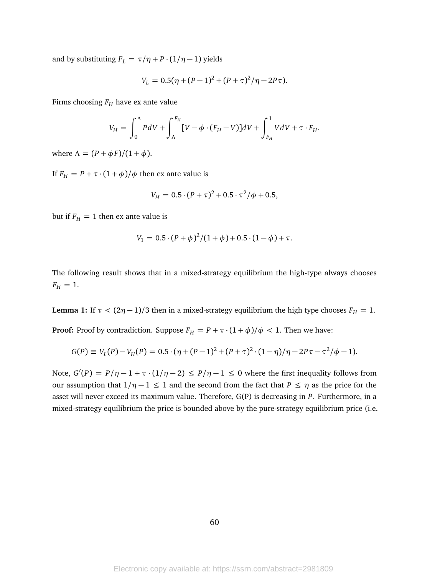and by substituting  $F_L = \tau/\eta + P \cdot (1/\eta - 1)$  yields

$$
V_L = 0.5(\eta + (P-1)^2 + (P+\tau)^2/\eta - 2P\tau).
$$

Firms choosing *F<sup>H</sup>* have ex ante value

$$
V_H = \int_0^{\Lambda} P dV + \int_{\Lambda}^{F_H} [V - \phi \cdot (F_H - V)] dV + \int_{F_H}^1 V dV + \tau \cdot F_H.
$$

where  $\Lambda = (P + \phi F)/(1 + \phi)$ .

If  $F_H = P + \tau \cdot (1 + \phi)/\phi$  then ex ante value is

$$
V_H = 0.5 \cdot (P + \tau)^2 + 0.5 \cdot \tau^2/\phi + 0.5,
$$

but if  $F_H = 1$  then ex ante value is

$$
V_1 = 0.5 \cdot (P + \phi)^2 / (1 + \phi) + 0.5 \cdot (1 - \phi) + \tau.
$$

The following result shows that in a mixed-strategy equilibrium the high-type always chooses  $F_H = 1.$ 

**Lemma 1:** If  $\tau < (2\eta - 1)/3$  then in a mixed-strategy equilibrium the high type chooses  $F_H = 1$ .

**Proof:** Proof by contradiction. Suppose  $F_H = P + \tau \cdot (1 + \phi)/\phi < 1$ . Then we have:

$$
G(P) \equiv V_L(P) - V_H(P) = 0.5 \cdot (\eta + (P-1)^2 + (P+\tau)^2 \cdot (1-\eta)/\eta - 2P\tau - \tau^2/\phi - 1).
$$

Note,  $G'(P) = P/\eta - 1 + \tau \cdot (1/\eta - 2) \le P/\eta - 1 \le 0$  where the first inequality follows from our assumption that  $1/\eta - 1 \le 1$  and the second from the fact that  $P \le \eta$  as the price for the asset will never exceed its maximum value. Therefore, G(P) is decreasing in *P*. Furthermore, in a mixed-strategy equilibrium the price is bounded above by the pure-strategy equilibrium price (i.e.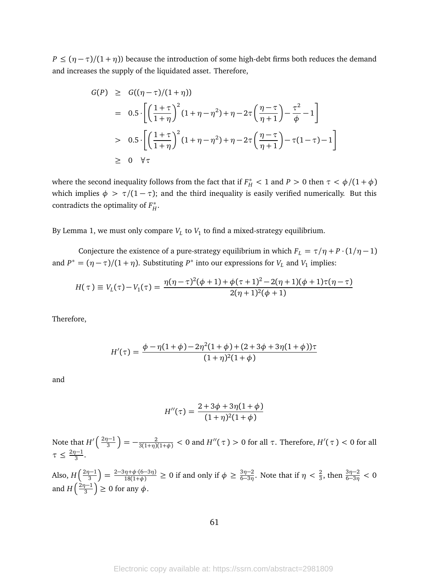$P \leq (\eta - \tau)/(1 + \eta)$ ) because the introduction of some high-debt firms both reduces the demand and increases the supply of the liquidated asset. Therefore,

$$
G(P) \geq G((\eta - \tau)/(1 + \eta))
$$
  
= 0.5 \cdot \left[ \left( \frac{1 + \tau}{1 + \eta} \right)^2 (1 + \eta - \eta^2) + \eta - 2\tau \left( \frac{\eta - \tau}{\eta + 1} \right) - \frac{\tau^2}{\phi} - 1 \right]   
> 0.5 \cdot \left[ \left( \frac{1 + \tau}{1 + \eta} \right)^2 (1 + \eta - \eta^2) + \eta - 2\tau \left( \frac{\eta - \tau}{\eta + 1} \right) - \tau (1 - \tau) - 1 \right]   
\geq 0 \quad \forall \tau

where the second inequality follows from the fact that if  $F_H^* < 1$  and  $P > 0$  then  $\tau < \phi/(1 + \phi)$ which implies  $\phi > \tau/(1 - \tau)$ ; and the third inequality is easily verified numerically. But this contradicts the optimality of *F* ∗ *H* .

By Lemma 1, we must only compare  $V_L$  to  $V_1$  to find a mixed-strategy equilibrium.

Conjecture the existence of a pure-strategy equilibrium in which  $F_L = \tau/\eta + P \cdot (1/\eta - 1)$ and  $P^* = (\eta - \tau)/(1 + \eta)$ . Substituting  $P^*$  into our expressions for  $V_L$  and  $V_1$  implies:

$$
H(\tau) \equiv V_L(\tau) - V_1(\tau) = \frac{\eta(\eta - \tau)^2(\phi + 1) + \phi(\tau + 1)^2 - 2(\eta + 1)(\phi + 1)\tau(\eta - \tau)}{2(\eta + 1)^2(\phi + 1)}
$$

Therefore,

$$
H'(\tau) = \frac{\phi - \eta(1+\phi) - 2\eta^2(1+\phi) + (2+3\phi+3\eta(1+\phi))\tau}{(1+\eta)^2(1+\phi)}
$$

and

$$
H''(\tau) = \frac{2 + 3\phi + 3\eta(1 + \phi)}{(1 + \eta)^2(1 + \phi)}
$$

Note that  $H'(\frac{2\eta-1}{3})$  $\frac{1}{3}$   $\left(-\frac{1}{3(1+\eta)(1+\phi)}\right)<0$  and  $H''(\tau)>0$  for all  $\tau.$  Therefore,  $H'(\tau)<0$  for all  $\tau \leq \frac{2\eta-1}{3}$  $\frac{1}{3}$ .

Also,  $H\left(\frac{2\eta-1}{3}\right)$  $\left(\frac{3n-1}{3}\right) = \frac{2-3\eta+\phi\cdot(6-3\eta)}{18(1+\phi)} \ge 0$  if and only if  $\phi \ge \frac{3\eta-2}{6-3\eta}$  $\frac{3\eta-2}{6-3\eta}$ . Note that if  $\eta < \frac{2}{3}$ , then  $\frac{3\eta-2}{6-3\eta} < 0$ and  $H\left(\frac{2n-1}{3}\right)$  $\left(\frac{p-1}{3}\right) \geq 0$  for any  $\phi$ .

61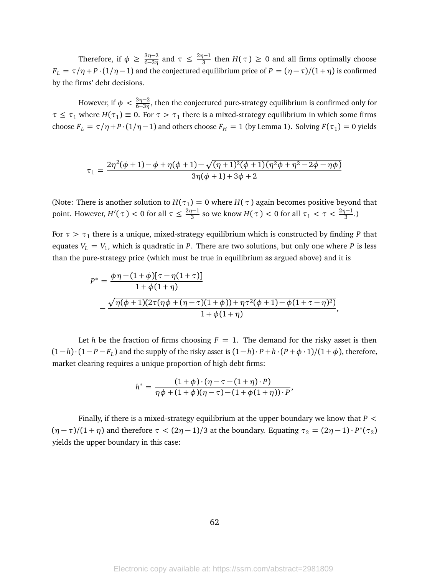Therefore, if  $\phi \geq \frac{3\eta - 2}{6 - 3\eta}$  $\frac{3\eta-2}{6-3\eta}$  and  $\tau \leq \frac{2\eta-1}{3}$  $\frac{1}{3}$  then *H*(*τ*)  $\geq$  0 and all firms optimally choose *F*<sub>L</sub> =  $\tau/\eta$  + *P* · (1/ $\eta$  − 1) and the conjectured equilibrium price of *P* = ( $\eta$  −  $\tau$ )/(1+ $\eta$ ) is confirmed by the firms' debt decisions.

However, if  $\phi < \frac{3\eta-2}{6-3\eta}$ , then the conjectured pure-strategy equilibrium is confirmed only for  $\tau \leq \tau_1$  where  $H(\tau_1) \equiv 0$ . For  $\tau > \tau_1$  there is a mixed-strategy equilibrium in which some firms choose  $F_L = \tau/\eta + P \cdot (1/\eta - 1)$  and others choose  $F_H = 1$  (by Lemma 1). Solving  $F(\tau_1) = 0$  yields

$$
\tau_1 = \frac{2\eta^2(\phi+1) - \phi + \eta(\phi+1) - \sqrt{(\eta+1)^2(\phi+1)(\eta^2\phi + \eta^2 - 2\phi - \eta\phi)}}{3\eta(\phi+1) + 3\phi + 2}
$$

(Note: There is another solution to  $H(\tau_1) = 0$  where  $H(\tau)$  again becomes positive beyond that point. However,  $H'(\tau) < 0$  for all  $\tau \leq \frac{2\eta - 1}{3}$  $\frac{D-1}{3}$  so we know *H*(*τ*) < 0 for all *τ*<sub>1</sub> < *τ* <  $\frac{2n-1}{3}$ .)

For  $\tau > \tau_1$  there is a unique, mixed-strategy equilibrium which is constructed by finding  $P$  that equates *V<sup>L</sup>* = *V*<sup>1</sup> , which is quadratic in *P*. There are two solutions, but only one where *P* is less than the pure-strategy price (which must be true in equilibrium as argued above) and it is

$$
P^* = \frac{\phi \eta - (1 + \phi)[\tau - \eta(1 + \tau)]}{1 + \phi(1 + \eta)}
$$
  
 
$$
- \frac{\sqrt{\eta(\phi + 1)(2\tau(\eta\phi + (\eta - \tau)(1 + \phi)) + \eta\tau^2(\phi + 1) - \phi(1 + \tau - \eta)^2)}}{1 + \phi(1 + \eta)},
$$

Let *h* be the fraction of firms choosing  $F = 1$ . The demand for the risky asset is then  $(1-h)\cdot(1-P-F<sub>L</sub>)$  and the supply of the risky asset is  $(1-h)\cdot P+h\cdot(P+\phi\cdot 1)/(1+\phi)$ , therefore, market clearing requires a unique proportion of high debt firms:

$$
h^* = \frac{(1+\phi)\cdot(\eta-\tau-(1+\eta)\cdot P)}{\eta\phi+(1+\phi)(\eta-\tau)-(1+\phi(1+\eta))\cdot P},
$$

Finally, if there is a mixed-strategy equilibrium at the upper boundary we know that *P <*  $(\eta - \tau)/(1 + \eta)$  and therefore  $\tau < (2\eta - 1)/3$  at the boundary. Equating  $\tau_2 = (2\eta - 1) \cdot P^*(\tau_2)$ yields the upper boundary in this case: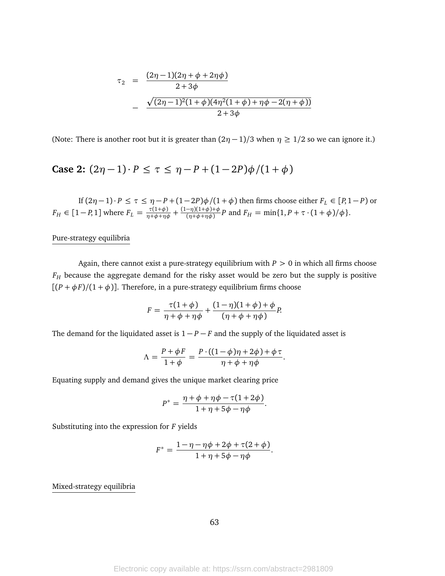$$
\tau_2 = \frac{(2\eta - 1)(2\eta + \phi + 2\eta\phi)}{2 + 3\phi} \n- \frac{\sqrt{(2\eta - 1)^2 (1 + \phi)(4\eta^2 (1 + \phi) + \eta\phi - 2(\eta + \phi))}}{2 + 3\phi}
$$

(Note: There is another root but it is greater than  $(2\eta - 1)/3$  when  $\eta \geq 1/2$  so we can ignore it.)

Case 2: 
$$
(2\eta - 1) \cdot P \leq \tau \leq \eta - P + (1 - 2P)\phi/(1 + \phi)
$$

If  $(2\eta - 1) \cdot P \le \tau \le \eta - P + (1 - 2P)\phi/(1 + \phi)$  then firms choose either  $F_L \in [P, 1 - P)$  or  $F_H \in [1-P, 1]$  where  $F_L = \frac{\tau(1+\phi)}{\eta+\phi+\eta\phi} + \frac{(1-\eta)(1+\phi)+\phi}{(\eta+\phi+\eta\phi)}$  $\frac{(-\eta)(1+\phi)+\phi}{(\eta+\phi+\eta\phi)}P$  and  $F_H = \min\{1, P + \tau \cdot (1+\phi)/\phi\}.$ 

### Pure-strategy equilibria

Again, there cannot exist a pure-strategy equilibrium with *P >* 0 in which all firms choose *F<sup>H</sup>* because the aggregate demand for the risky asset would be zero but the supply is positive  $[(P + \phi F)/(1 + \phi)]$ . Therefore, in a pure-strategy equilibrium firms choose

$$
F = \frac{\tau(1+\phi)}{\eta + \phi + \eta \phi} + \frac{(1-\eta)(1+\phi) + \phi}{(\eta + \phi + \eta \phi)}P.
$$

The demand for the liquidated asset is  $1 - P - F$  and the supply of the liquidated asset is

$$
\Lambda = \frac{P + \phi F}{1 + \phi} = \frac{P \cdot ((1 - \phi)\eta + 2\phi) + \phi \tau}{\eta + \phi + \eta \phi}.
$$

Equating supply and demand gives the unique market clearing price

$$
P^* = \frac{\eta + \phi + \eta \phi - \tau (1 + 2\phi)}{1 + \eta + 5\phi - \eta \phi}.
$$

Substituting into the expression for *F* yields

$$
F^* = \frac{1 - \eta - \eta \phi + 2\phi + \tau(2 + \phi)}{1 + \eta + 5\phi - \eta \phi}.
$$

#### Mixed-strategy equilibria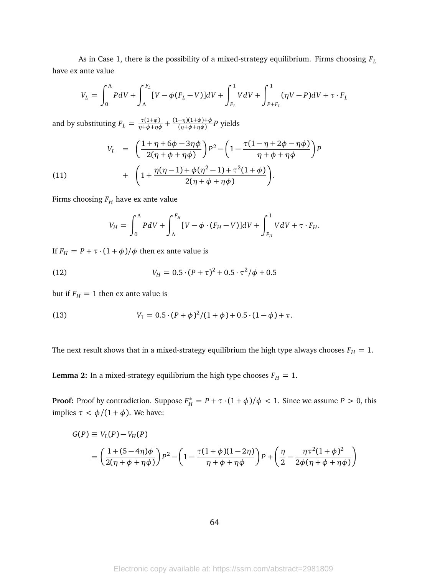As in Case 1, there is the possibility of a mixed-strategy equilibrium. Firms choosing *F<sup>L</sup>* have ex ante value

$$
V_L = \int_0^{\Lambda} P dV + \int_{\Lambda}^{F_L} [V - \phi(F_L - V)] dV + \int_{F_L}^1 V dV + \int_{P + F_L}^1 (\eta V - P) dV + \tau \cdot F_L
$$

and by substituting  $F_L = \frac{\tau(1+\phi)}{\eta+\phi+\eta\phi} + \frac{(1-\eta)(1+\phi)+\phi}{(\eta+\phi+\eta\phi)}$  $\frac{(\eta + \phi + \eta \phi)}{(\eta + \phi + \eta \phi)}$ *P* yields

<span id="page-64-0"></span>(11) 
$$
V_{L} = \left(\frac{1+\eta+6\phi-3\eta\phi}{2(\eta+\phi+\eta\phi)}\right)P^{2} - \left(1-\frac{\tau(1-\eta+2\phi-\eta\phi)}{\eta+\phi+\eta\phi}\right)P + \left(1+\frac{\eta(\eta-1)+\phi(\eta^{2}-1)+\tau^{2}(1+\phi)}{2(\eta+\phi+\eta\phi)}\right).
$$

Firms choosing *F<sup>H</sup>* have ex ante value

<span id="page-64-1"></span>
$$
V_H = \int_0^{\Lambda} P dV + \int_{\Lambda}^{F_H} [V - \phi \cdot (F_H - V)] dV + \int_{F_H}^1 V dV + \tau \cdot F_H.
$$

If  $F_H = P + \tau \cdot (1 + \phi) / \phi$  then ex ante value is

(12) 
$$
V_H = 0.5 \cdot (P + \tau)^2 + 0.5 \cdot \tau^2 / \phi + 0.5
$$

but if  $F_H = 1$  then ex ante value is

<span id="page-64-2"></span>(13) 
$$
V_1 = 0.5 \cdot (P + \phi)^2 / (1 + \phi) + 0.5 \cdot (1 - \phi) + \tau.
$$

The next result shows that in a mixed-strategy equilibrium the high type always chooses  $F_H = 1$ .

**Lemma 2:** In a mixed-strategy equilibrium the high type chooses  $F_H = 1$ .

**Proof:** Proof by contradiction. Suppose  $F_H^* = P + \tau \cdot (1 + \phi)/\phi < 1$ . Since we assume  $P > 0$ , this implies  $τ < φ/(1 + φ)$ . We have:

$$
G(P) \equiv V_L(P) - V_H(P)
$$
  
=  $\left(\frac{1 + (5 - 4\eta)\phi}{2(\eta + \phi + \eta\phi)}\right) P^2 - \left(1 - \frac{\tau(1 + \phi)(1 - 2\eta)}{\eta + \phi + \eta\phi}\right) P + \left(\frac{\eta}{2} - \frac{\eta\tau^2(1 + \phi)^2}{2\phi(\eta + \phi + \eta\phi)}\right)$ 

64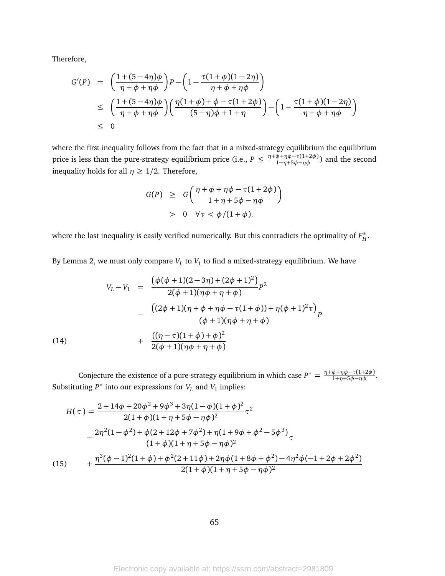Therefore,

$$
G'(P) = \left(\frac{1+(5-4\eta)\phi}{\eta+\phi+\eta\phi}\right)P - \left(1-\frac{\tau(1+\phi)(1-2\eta)}{\eta+\phi+\eta\phi}\right)
$$
  
\$\leq\$ 
$$
\left(\frac{1+(5-4\eta)\phi}{\eta+\phi+\eta\phi}\right)\left(\frac{\eta(1+\phi)+\phi-\tau(1+2\phi)}{(5-\eta)\phi+1+\eta}\right) - \left(1-\frac{\tau(1+\phi)(1-2\eta)}{\eta+\phi+\eta\phi}\right)
$$
  
\$\leq\$ 0

where the first inequality follows from the fact that in a mixed-strategy equilibrium the equilibrium price is less than the pure-strategy equilibrium price (i.e.,  $P \leq \frac{\eta + \phi + \eta \phi - \tau(1+2\phi)}{1+\eta+5\phi-\eta \phi}$ ) and the second inequality holds for all  $\eta \geq 1/2$ . Therefore,

$$
G(P) \geq G\left(\frac{\eta + \phi + \eta \phi - \tau(1 + 2\phi)}{1 + \eta + 5\phi - \eta \phi}\right)
$$
  
> 0 \quad \forall \tau < \phi/(1 + \phi).

where the last inequality is easily verified numerically. But this contradicts the optimality of *F* ∗ *H* .

By Lemma 2, we must only compare *V<sup>L</sup>* to *V*<sup>1</sup> to find a mixed-strategy equilibrium. We have

<span id="page-65-0"></span>(14)  
\n
$$
V_L - V_1 = \frac{(\phi(\phi + 1)(2 - 3\eta) + (2\phi + 1)^2)}{2(\phi + 1)(\eta\phi + \eta + \phi)} p^2
$$
\n
$$
- \frac{((2\phi + 1)(\eta + \phi + \eta\phi - \tau(1 + \phi)) + \eta(\phi + 1)^2 \tau)}{(\phi + 1)(\eta\phi + \eta + \phi)} p^2
$$
\n
$$
+ \frac{((\eta - \tau)(1 + \phi) + \phi)^2}{2(\phi + 1)(\eta\phi + \eta + \phi)}
$$

Conjecture the existence of a pure-strategy equilibrium in which case  $P^* = \frac{\eta + \phi + \eta \phi - \tau(1+2\phi)}{1+\eta+5\phi-\eta\phi}$ . Substituting  $P^*$  into our expressions for  $V_L$  and  $V_1$  implies:

<span id="page-65-1"></span>
$$
H(\tau) = \frac{2 + 14\phi + 20\phi^2 + 9\phi^3 + 3\eta(1 - \phi)(1 + \phi)^2}{2(1 + \phi)(1 + \eta + 5\phi - \eta\phi)^2} \tau^2
$$
  

$$
- \frac{2\eta^2(1 - \phi^2) + \phi(2 + 12\phi + 7\phi^2) + \eta(1 + 9\phi + \phi^2 - 5\phi^3)}{(1 + \phi)(1 + \eta + 5\phi - \eta\phi)^2} \tau
$$
  
(15) 
$$
+ \frac{\eta^3(\phi - 1)^2(1 + \phi) + \phi^2(2 + 11\phi) + 2\eta\phi(1 + 8\phi + \phi^2) - 4\eta^2\phi(-1 + 2\phi + 2\phi^2)}{2(1 + \phi)(1 + \eta + 5\phi - \eta\phi)^2}
$$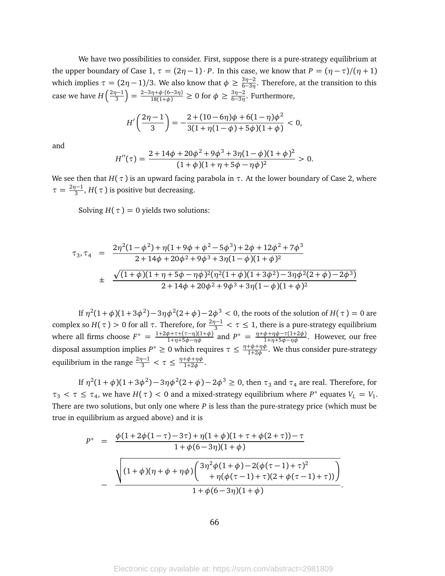We have two possibilities to consider. First, suppose there is a pure-strategy equilibrium at the upper boundary of Case 1,  $\tau = (2\eta - 1) \cdot P$ . In this case, we know that  $P = (\eta - \tau)/(\eta + 1)$ which implies  $\tau = (2\eta - 1)/3$ . We also know that  $\phi \ge \frac{3\eta - 2}{6 - 3\eta}$ 6−3*η* . Therefore, at the transition to this case we have  $H\left(\frac{2n-1}{3}\right)$  $\left(\frac{3n-1}{3}\right) = \frac{2-3\eta+\phi(6-3\eta)}{18(1+\phi)} \ge 0$  for  $\phi \ge \frac{3\eta-2}{6-3\eta}$  $rac{3\eta-2}{6-3\eta}$ . Furthermore,

$$
H'\left(\frac{2\eta-1}{3}\right) = -\frac{2+(10-6\eta)\phi+6(1-\eta)\phi^2}{3(1+\eta(1-\phi)+5\phi)(1+\phi)} < 0,
$$

and

$$
H''(\tau) = \frac{2 + 14\phi + 20\phi^2 + 9\phi^3 + 3\eta(1 - \phi)(1 + \phi)^2}{(1 + \phi)(1 + \eta + 5\phi - \eta\phi)^2} > 0.
$$

We see then that  $H(\tau)$  is an upward facing parabola in  $\tau$ . At the lower boundary of Case 2, where  $\tau = \frac{2\eta - 1}{3}$  $\frac{f-1}{3}$ , *H*( $\tau$ ) is positive but decreasing.

Solving  $H(\tau) = 0$  yields two solutions:

$$
\tau_3, \tau_4 = \frac{2\eta^2(1-\phi^2) + \eta(1+9\phi+\phi^2-5\phi^3) + 2\phi + 12\phi^2 + 7\phi^3}{2+14\phi+20\phi^2+9\phi^3+3\eta(1-\phi)(1+\phi)^2}
$$
  

$$
\pm \frac{\sqrt{(1+\phi)(1+\eta+5\phi-\eta\phi)^2(\eta^2(1+\phi)(1+3\phi^2)-3\eta\phi^2(2+\phi)-2\phi^3)}}{2+14\phi+20\phi^2+9\phi^3+3\eta(1-\phi)(1+\phi)^2}
$$

If  $η^2(1+φ)(1+3φ^2)-3ηφ^2(2+φ)-2φ^3< 0,$  the roots of the solution of  $H(τ) = 0$  are complex so  $H(\tau) > 0$  for all  $\tau$ . Therefore, for  $\frac{2\eta-1}{3} < \tau \le 1$ , there is a pure-strategy equilibrium where all firms choose  $F^* = \frac{1+2\phi+\tau+(\tau-\eta)(1+\phi)}{1+\eta+5\phi-\eta\phi}$  and  $P^* = \frac{\eta+\phi+\eta\phi-\tau(1+2\phi)}{1+\eta+5\phi-\eta\phi}$ . However, our free disposal assumption implies  $P^* \geq 0$  which requires  $\tau \leq \frac{\eta + \phi + \eta \phi}{1 + 2\phi}$  $\frac{\mu_{\phi}+\mu_{\phi}}{1+2\phi}$ . We thus consider pure-strategy equilibrium in the range  $\frac{2\eta-1}{3} < \tau \leq \frac{\eta+\phi+\eta\phi}{1+2\phi}$ 1+2*φ* .

If  $η^2(1+φ)(1+3φ^2)-3ηφ^2(2+φ)-2φ^3 ≥ 0$ , then  $τ_3$  and  $τ_4$  are real. Therefore, for  $\tau_3 < \tau \leq \tau_4$ , we have  $H(\tau) < 0$  and a mixed-strategy equilibrium where  $P^*$  equates  $V_L = V_1$ . There are two solutions, but only one where *P* is less than the pure-strategy price (which must be true in equilibrium as argued above) and it is

$$
P^* = \frac{\phi(1+2\phi(1-\tau)-3\tau)+\eta(1+\phi)(1+\tau+\phi(2+\tau))-\tau}{1+\phi(6-3\eta)(1+\phi)}
$$
  

$$
-\frac{\sqrt{(1+\phi)(\eta+\phi+\eta\phi)\left(\frac{3\eta^2\phi(1+\phi)-2(\phi(\tau-1)+\tau)^2}{\eta(\phi(\tau-1)+\tau)(2+\phi(\tau-1)+\tau))}\right)}}{1+\phi(6-3\eta)(1+\phi)}
$$

.

66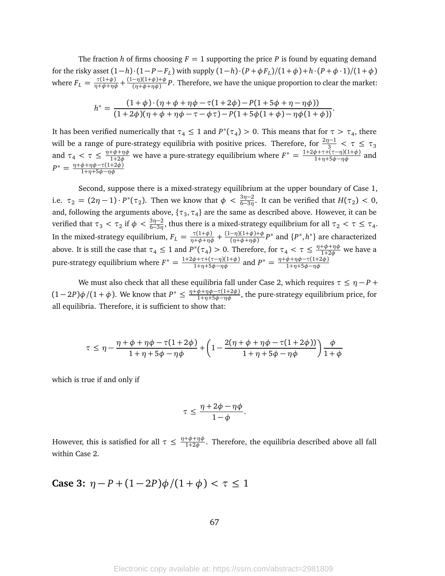The fraction *h* of firms choosing  $F = 1$  supporting the price *P* is found by equating demand for the risky asset  $(1-h)\cdot(1-P-F_L)$  with supply  $(1-h)\cdot(P+\phi F_L)/(1+\phi)+h\cdot(P+\phi\cdot 1)/(1+\phi)$ where  $F_L = \frac{\tau(1+\phi)}{\eta+\phi+\eta\phi} + \frac{(1-\eta)(1+\phi)+\phi}{(\eta+\phi+\eta\phi)}$ (*η*+*φ*+*ηφ*) *P*. Therefore, we have the unique proportion to clear the market:

$$
h^* = \frac{(1+\phi)\cdot(\eta+\phi+\eta\phi-\tau(1+2\phi)-P(1+5\phi+\eta-\eta\phi))}{(1+2\phi)(\eta+\phi+\eta\phi-\tau-\phi\tau)-P(1+5\phi(1+\phi)-\eta\phi(1+\phi))}.
$$

It has been verified numerically that  $\tau_4 \leq 1$  and  $P^*(\tau_4) > 0$ . This means that for  $\tau > \tau_4$ , there will be a range of pure-strategy equilibria with positive prices. Therefore, for  $\frac{2\eta-1}{3} < \tau \leq \tau_3$ and  $\tau_4 < \tau \leq \frac{\eta + \phi + \eta \phi}{1 + 2\phi}$  we have a pure-strategy equilibrium where  $F^* = \frac{1 + 2\phi + \tau + (\tau - \eta)(1 + \phi)}{1 + \eta + 5\phi - \eta \phi}$  and *P*<sup>\*</sup> =  $\frac{\eta + φ + η φ - τ(1+2φ)}{1+n+5φ - ηφ}$ 1+*η*+5*φ*−*ηφ*

Second, suppose there is a mixed-strategy equilibrium at the upper boundary of Case 1, i.e.  $\tau_2 = (2\eta - 1) \cdot P^*(\tau_2)$ . Then we know that  $\phi < \frac{3\eta - 2}{6 - 3\eta}$ . It can be verified that  $H(\tau_2) < 0$ , and, following the arguments above,  $\{\tau_3, \tau_4\}$  are the same as described above. However, it can be verified that  $\tau_3 < \tau_2$  if  $\phi < \frac{3\eta-2}{6-3\eta}$ , thus there is a mixed-strategy equilibrium for all  $\tau_2 < \tau \leq \tau_4$ . 6−3*η* In the mixed-strategy equilibrium,  $F_L = \frac{\tau(1+\phi)}{\eta+\phi+\eta\phi} + \frac{(1-\eta)(1+\phi)+\phi}{(\eta+\phi+\eta\phi)}$ (*η*+*φ*+*ηφ*) *P* ∗ and {*P* ∗ , *h* ∗ } are characterized above. It is still the case that  $\tau_4 \leq 1$  and  $P^*(\tau_4) > 0$ . Therefore, for  $\tau_4 < \tau \leq \frac{\eta + \phi + \eta \phi}{1 + 2\phi}$  we have a \*( $\tau$ ) > 0. Therefore for  $\tau$   $\lt \tau \lt \frac{\eta+\phi+\eta\phi}{\eta}$ pure-strategy equilibrium where  $F^* = \frac{1+2\phi+\tau+(\tau-\eta)(1+\phi)}{1+\eta+5\phi-\eta\phi}$  and  $P^* = \frac{\eta+\phi+\eta\phi-\tau(1+2\phi)}{1+\eta+5\phi-\eta\phi}$ 1+*η*+5*φ*−*ηφ*

We must also check that all these equilibria fall under Case 2, which requires  $\tau \leq \eta - P +$  $(1-2P)\phi/(1+\phi)$ . We know that  $P^* \leq \frac{\eta+\phi+\eta\phi-\tau(1+2\phi)}{1+\eta+5\phi-\eta\phi}$ , the pure-strategy equilibrium price, for all equilibria. Therefore, it is sufficient to show that:

$$
\tau \leq \eta - \frac{\eta+\phi+\eta\phi-\tau(1+2\phi)}{1+\eta+5\phi-\eta\phi} + \left(1 - \frac{2(\eta+\phi+\eta\phi-\tau(1+2\phi))}{1+\eta+5\phi-\eta\phi}\right)\frac{\phi}{1+\phi}
$$

which is true if and only if

$$
\tau \leq \frac{\eta + 2\phi - \eta\phi}{1 - \phi}.
$$

However, this is satisfied for all  $\tau \leq \frac{\eta + \phi + \eta \phi}{1 + 2\phi}$  $\frac{f^{\psi + \eta \psi}}{1 + 2\phi}$ . Therefore, the equilibria described above all fall within Case 2.

Case 3: 
$$
\eta - P + (1 - 2P)\phi/(1 + \phi) < \tau \leq 1
$$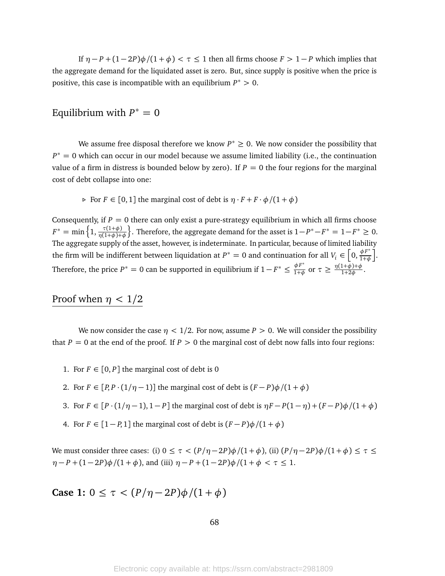If  $\eta - P + (1 - 2P)\phi/(1 + \phi) < \tau \leq 1$  then all firms choose  $F > 1 - P$  which implies that the aggregate demand for the liquidated asset is zero. But, since supply is positive when the price is positive, this case is incompatible with an equilibrium *P* <sup>∗</sup> *>* 0.

# Equilibrium with  $P^* = 0$

We assume free disposal therefore we know  $P^* \geq 0$ . We now consider the possibility that  $P^* = 0$  which can occur in our model because we assume limited liability (i.e., the continuation value of a firm in distress is bounded below by zero). If  $P = 0$  the four regions for the marginal cost of debt collapse into one:

 $\triangleright$  For  $F \in [0, 1]$  the marginal cost of debt is  $\eta \cdot F + F \cdot \phi / (1 + \phi)$ 

Consequently, if  $P = 0$  there can only exist a pure-strategy equilibrium in which all firms choose  $F^* = \min\left\{1, \frac{\tau(1+\phi)}{\eta(1+\phi)+\phi}\right\}$ }. Therefore, the aggregate demand for the asset is  $1-P^*-F^* = 1-F^* \ge 0$ . The aggregate supply of the asset, however, is indeterminate. In particular, because of limited liability the firm will be indifferent between liquidation at  $P^* = 0$  and continuation for all  $V_i \in \left[0, \frac{\phi F^*}{1+\phi}\right]$ 1+*φ* . Therefore, the price  $P^* = 0$  can be supported in equilibrium if  $1 - F^* \leq \frac{\phi F^*}{1 + \phi}$  $\frac{\phi F^*}{1+\phi}$  or  $\tau \geq \frac{\eta(1+\phi)+\phi}{1+2\phi}$  $\frac{1+\varphi+\varphi}{1+2\varphi}$ .

# Proof when  $\eta$  < 1/2

We now consider the case  $\eta$  < 1/2. For now, assume  $P > 0$ . We will consider the possibility that  $P = 0$  at the end of the proof. If  $P > 0$  the marginal cost of debt now falls into four regions:

- 1. For  $F \in [0, P]$  the marginal cost of debt is 0
- 2. For  $F \in [P, P \cdot (1/\eta 1)]$  the marginal cost of debt is  $(F P)\phi/(1 + \phi)$
- 3. For  $F \in [P \cdot (1/\eta 1), 1 P]$  the marginal cost of debt is  $\eta F P(1 \eta) + (F P)\phi/(1 + \phi)$
- 4. For  $F \in [1 P, 1]$  the marginal cost of debt is  $(F P)\phi/(1 + \phi)$

We must consider three cases: (i)  $0 \le \tau < (P/\eta - 2P)\phi/(1+\phi)$ , (ii)  $(P/\eta - 2P)\phi/(1+\phi) \le \tau \le$  $\eta - P + (1 - 2P)\phi/(1 + \phi)$ , and (iii)  $\eta - P + (1 - 2P)\phi/(1 + \phi < \tau \le 1$ .

**Case 1:** 0 ≤ τ <  $(P/\eta - 2P)$  $\phi$  /(1 +  $\phi$ )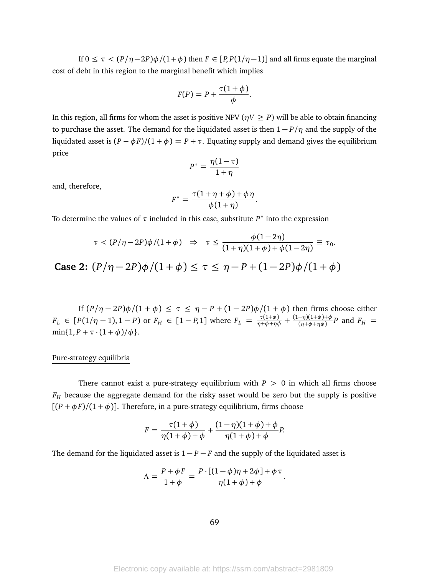If  $0 \le \tau < (P/\eta - 2P)\phi/(1+\phi)$  then  $F \in [P, P(1/\eta - 1)]$  and all firms equate the marginal cost of debt in this region to the marginal benefit which implies

$$
F(P) = P + \frac{\tau(1+\phi)}{\phi}.
$$

In this region, all firms for whom the asset is positive NPV ( $\eta V \ge P$ ) will be able to obtain financing to purchase the asset. The demand for the liquidated asset is then 1 − *P/η* and the supply of the liquidated asset is  $(P + \phi F)/(1 + \phi) = P + \tau$ . Equating supply and demand gives the equilibrium price

$$
P^* = \frac{\eta(1-\tau)}{1+\eta}
$$

and, therefore,

$$
F^* = \frac{\tau(1+\eta+\phi)+\phi\eta}{\phi(1+\eta)}.
$$

To determine the values of  $\tau$  included in this case, substitute  $P^*$  into the expression

$$
\tau < (P/\eta - 2P)\phi/(1+\phi) \Rightarrow \tau \le \frac{\phi(1-2\eta)}{(1+\eta)(1+\phi) + \phi(1-2\eta)} \equiv \tau_0.
$$
\n2. (R/\eta, 2P) + ((1 + \phi) \le \tau \le \eta, P + ((1 + 2P) + ((1 + \phi) \le \tau \le \eta))

**Case 2:**  $(P/\eta - 2P)φ/(1 + φ) ≤ τ ≤ η - P + (1 - 2P)φ/(1 + φ)$ 

If  $\left(\frac{P}{\eta} - 2P\right)\phi/(1 + \phi) \leq \tau \leq \eta - P + (1 - 2P)\phi/(1 + \phi)$  then firms choose either  $F_L \in [P(1/\eta - 1), 1 - P)$  or  $F_H \in [1 - P, 1]$  where  $F_L = \frac{\tau(1+\phi)}{\eta + \phi + \eta \phi} + \frac{(1-\eta)(1+\phi) + \phi}{(\eta + \phi + \eta \phi)}$  $\frac{(\eta)(1+\varphi)+\varphi}{(\eta+\varphi+\eta\varphi)}P$  and  $F_H =$ min{1,  $P + \tau \cdot (1 + \phi)/\phi$  }.

#### Pure-strategy equilibria

There cannot exist a pure-strategy equilibrium with  $P > 0$  in which all firms choose *F<sup>H</sup>* because the aggregate demand for the risky asset would be zero but the supply is positive  $[(P + \phi F)/(1 + \phi)]$ . Therefore, in a pure-strategy equilibrium, firms choose

$$
F = \frac{\tau(1+\phi)}{\eta(1+\phi)+\phi} + \frac{(1-\eta)(1+\phi)+\phi}{\eta(1+\phi)+\phi}P.
$$

The demand for the liquidated asset is  $1 - P - F$  and the supply of the liquidated asset is

$$
\Lambda = \frac{P + \phi F}{1 + \phi} = \frac{P \cdot [(1 - \phi)\eta + 2\phi] + \phi \tau}{\eta(1 + \phi) + \phi}.
$$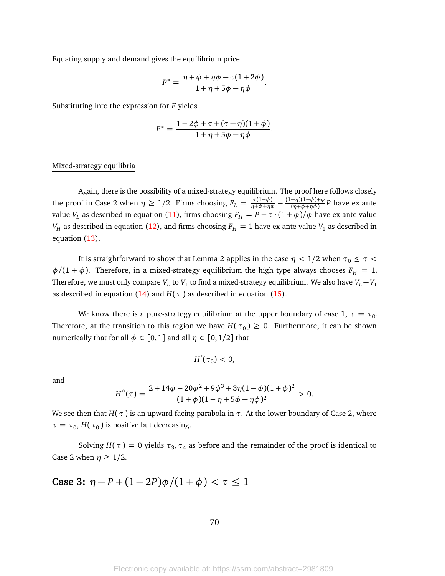Equating supply and demand gives the equilibrium price

$$
P^* = \frac{\eta + \phi + \eta \phi - \tau (1 + 2\phi)}{1 + \eta + 5\phi - \eta \phi}.
$$

Substituting into the expression for *F* yields

$$
F^* = \frac{1 + 2\phi + \tau + (\tau - \eta)(1 + \phi)}{1 + \eta + 5\phi - \eta\phi}.
$$

#### Mixed-strategy equilibria

Again, there is the possibility of a mixed-strategy equilibrium. The proof here follows closely the proof in Case 2 when  $\eta \geq 1/2$ . Firms choosing  $F_L = \frac{\tau(1+\phi)}{\eta+\phi+\eta\phi} + \frac{(1-\eta)(1+\phi)+\phi}{(\eta+\phi+\eta\phi)}$  $\frac{(\eta + \phi + \eta \phi)}{(\eta + \phi + \eta \phi)}$  *P* have ex ante value  $V_L$  as described in equation [\(11\)](#page-64-0), firms choosing  $F_H = P + \tau \cdot (1 + \phi)/\phi$  have ex ante value *V<sub>H</sub>* as described in equation [\(12\)](#page-64-1), and firms choosing  $F_H = 1$  have ex ante value *V*<sub>1</sub> as described in equation [\(13\)](#page-64-2).

It is straightforward to show that Lemma 2 applies in the case  $\eta$  < 1/2 when  $\tau_0 \leq \tau$  <  $\phi/(1 + \phi)$ . Therefore, in a mixed-strategy equilibrium the high type always chooses  $F_H = 1$ . Therefore, we must only compare  $V_L$  to  $V_1$  to find a mixed-strategy equilibrium. We also have  $V_L - V_1$ as described in equation [\(14\)](#page-65-0) and  $H(\tau)$  as described in equation [\(15\)](#page-65-1).

We know there is a pure-strategy equilibrium at the upper boundary of case 1,  $\tau = \tau_0$ . Therefore, at the transition to this region we have  $H(\tau_0) \geq 0$ . Furthermore, it can be shown numerically that for all  $\phi \in [0,1]$  and all  $\eta \in [0,1/2]$  that

$$
H'(\tau_0)<0,
$$

and

$$
H''(\tau) = \frac{2 + 14\phi + 20\phi^2 + 9\phi^3 + 3\eta(1 - \phi)(1 + \phi)^2}{(1 + \phi)(1 + \eta + 5\phi - \eta\phi)^2} > 0.
$$

We see then that  $H(\tau)$  is an upward facing parabola in  $\tau$ . At the lower boundary of Case 2, where  $\tau = \tau_0$ , *H*( $\tau_0$ ) is positive but decreasing.

Solving  $H(\tau) = 0$  yields  $\tau_3$ ,  $\tau_4$  as before and the remainder of the proof is identical to Case 2 when  $\eta \geq 1/2$ .

Case 3: 
$$
\eta - P + (1 - 2P)\phi/(1 + \phi) < \tau \leq 1
$$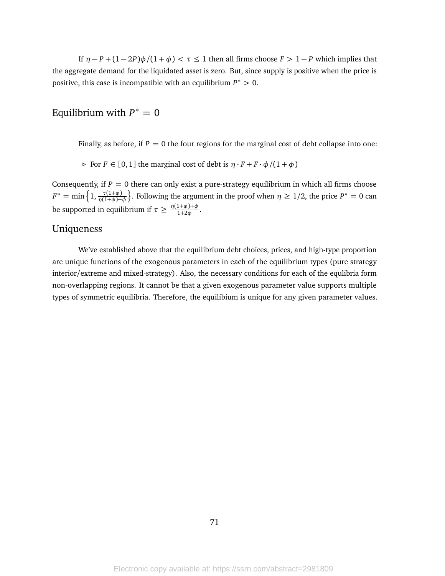If  $\eta - P + (1 - 2P)\phi/(1 + \phi) < \tau \leq 1$  then all firms choose  $F > 1 - P$  which implies that the aggregate demand for the liquidated asset is zero. But, since supply is positive when the price is positive, this case is incompatible with an equilibrium *P* <sup>∗</sup> *>* 0.

# Equilibrium with  $P^* = 0$

Finally, as before, if  $P = 0$  the four regions for the marginal cost of debt collapse into one:

 $\triangleright$  For  $F \in [0, 1]$  the marginal cost of debt is  $\eta \cdot F + F \cdot \phi / (1 + \phi)$ 

Consequently, if  $P = 0$  there can only exist a pure-strategy equilibrium in which all firms choose  $F^* = \min\left\{1, \frac{\tau(1+\phi)}{\eta(1+\phi)+\phi}\right\}$  $\}$ . Following the argument in the proof when  $\eta \geq 1/2$ , the price  $P^* = 0$  can be supported in equilibrium if  $\tau \geq \frac{\eta(1+\phi)+\phi}{1+2\phi}$  $\frac{1+\varphi+\varphi}{1+2\phi}$ .

### Uniqueness

We've established above that the equilibrium debt choices, prices, and high-type proportion are unique functions of the exogenous parameters in each of the equilibrium types (pure strategy interior/extreme and mixed-strategy). Also, the necessary conditions for each of the equlibria form non-overlapping regions. It cannot be that a given exogenous parameter value supports multiple types of symmetric equilibria. Therefore, the equilibium is unique for any given parameter values.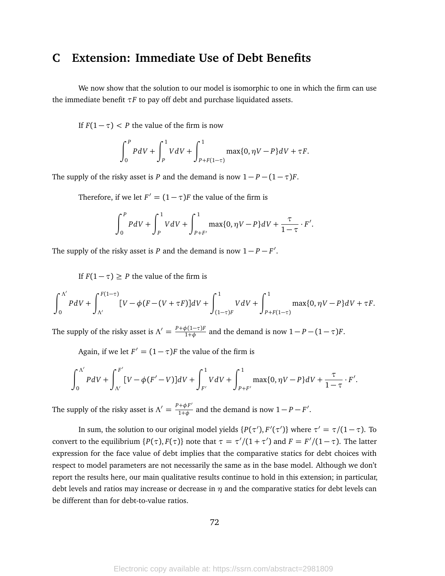## **C Extension: Immediate Use of Debt Benefits**

We now show that the solution to our model is isomorphic to one in which the firm can use the immediate benefit *τF* to pay off debt and purchase liquidated assets.

If  $F(1 - \tau) < P$  the value of the firm is now

$$
\int_0^P P dV + \int_P^1 V dV + \int_{P+F(1-\tau)}^1 \max\{0, \eta V - P\} dV + \tau F.
$$

The supply of the risky asset is *P* and the demand is now  $1 - P - (1 - \tau)F$ .

Therefore, if we let  $F' = (1 - \tau)F$  the value of the firm is

$$
\int_0^P P dV + \int_P^1 V dV + \int_{P+F'}^1 \max\{0, \eta V - P\} dV + \frac{\tau}{1-\tau} \cdot F'.
$$

The supply of the risky asset is *P* and the demand is now  $1 - P - F'$ .

If  $F(1 - \tau) \geq P$  the value of the firm is

$$
\int_0^{\Lambda'} P dV + \int_{\Lambda'}^{F(1-\tau)} [V - \phi(F - (V + \tau F)]dV + \int_{(1-\tau)F}^1 V dV + \int_{P + F(1-\tau)}^1 \max\{0, \eta V - P\} dV + \tau F.
$$

The supply of the risky asset is  $\Lambda' = \frac{P + \phi(1 - \tau)F}{1 + \phi}$  $\frac{p(1-\tau)F}{1+\phi}$  and the demand is now  $1-P-(1-\tau)F$ .

Again, if we let  $F' = (1 - \tau)F$  the value of the firm is

$$
\int_0^{\Lambda'} P dV + \int_{\Lambda'}^{F'} [V - \phi(F' - V)] dV + \int_{F'}^1 V dV + \int_{P + F'}^1 \max\{0, \eta V - P\} dV + \frac{\tau}{1 - \tau} \cdot F'.
$$

The supply of the risky asset is  $\Lambda' = \frac{P + \phi F'}{1 + \phi}$  $\frac{1+\phi F'}{1+\phi}$  and the demand is now  $1-P-F'$ .

In sum, the solution to our original model yields  $\{P(\tau'),F'(\tau')\}$  where  $\tau'=\tau/(1-\tau)$ . To convert to the equilibrium  $\{P(\tau), F(\tau)\}$  note that  $\tau = \tau'/(1 + \tau')$  and  $F = F'/(1 - \tau)$ . The latter expression for the face value of debt implies that the comparative statics for debt choices with respect to model parameters are not necessarily the same as in the base model. Although we don't report the results here, our main qualitative results continue to hold in this extension; in particular, debt levels and ratios may increase or decrease in  $\eta$  and the comparative statics for debt levels can be different than for debt-to-value ratios.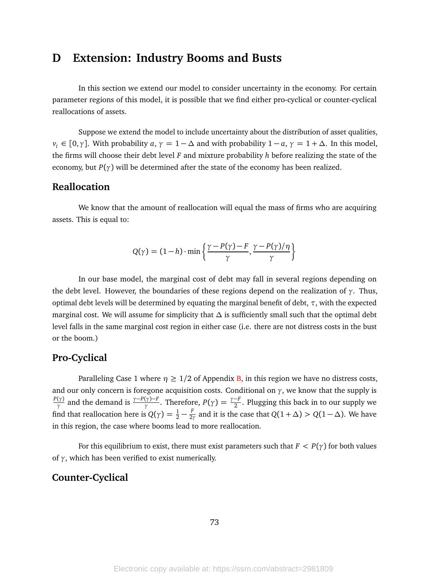# **D Extension: Industry Booms and Busts**

In this section we extend our model to consider uncertainty in the economy. For certain parameter regions of this model, it is possible that we find either pro-cyclical or counter-cyclical reallocations of assets.

Suppose we extend the model to include uncertainty about the distribution of asset qualities,  $v_i \in [0, \gamma]$ . With probability *a*,  $\gamma = 1 - \Delta$  and with probability  $1 - a$ ,  $\gamma = 1 + \Delta$ . In this model, the firms will choose their debt level *F* and mixture probability *h* before realizing the state of the economy, but  $P(\gamma)$  will be determined after the state of the economy has been realized.

#### **Reallocation**

We know that the amount of reallocation will equal the mass of firms who are acquiring assets. This is equal to:

$$
Q(\gamma) = (1 - h) \cdot \min\left\{\frac{\gamma - P(\gamma) - F}{\gamma}, \frac{\gamma - P(\gamma)/\eta}{\gamma}\right\}
$$

In our base model, the marginal cost of debt may fall in several regions depending on the debt level. However, the boundaries of these regions depend on the realization of *γ*. Thus, optimal debt levels will be determined by equating the marginal benefit of debt, *τ*, with the expected marginal cost. We will assume for simplicity that *∆* is sufficiently small such that the optimal debt level falls in the same marginal cost region in either case (i.e. there are not distress costs in the bust or the boom.)

#### **Pro-Cyclical**

Paralleling Case 1 where  $\eta \geq 1/2$  of Appendix [B,](#page-56-0) in this region we have no distress costs, and our only concern is foregone acquisition costs. Conditional on  $\gamma$ , we know that the supply is *P*(*γ*) and the demand is  $\frac{\gamma - P(\gamma) - F}{\gamma}$ . Therefore,  $P(\gamma) = \frac{\gamma - F}{2}$ . Plugging this back in to our supply we find that reallocation here is  $Q(\gamma) = \frac{1}{2} - \frac{F}{2\gamma}$  $\frac{F}{2\gamma}$  and it is the case that  $Q(1 + \Delta) > Q(1 - \Delta)$ . We have in this region, the case where booms lead to more reallocation.

For this equilibrium to exist, there must exist parameters such that  $F < P(\gamma)$  for both values of *γ*, which has been verified to exist numerically.

#### **Counter-Cyclical**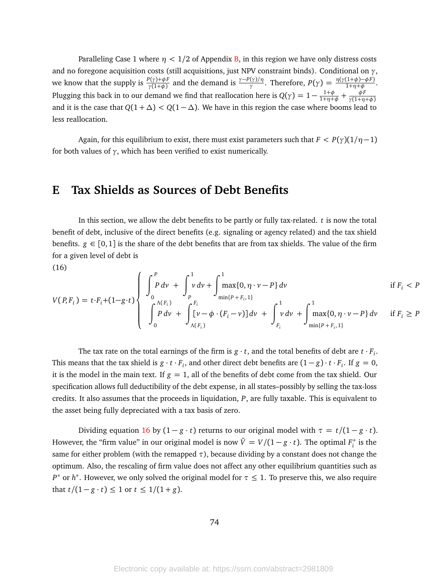Paralleling Case 1 where  $\eta$  <  $1/2$  of Appendix [B,](#page-56-0) in this region we have only distress costs and no foregone acquisition costs (still acquisitions, just NPV constraint binds). Conditional on *γ*, we know that the supply is  $\frac{P(\gamma)+\phi F}{\gamma(1+\phi)}$  and the demand is  $\frac{\gamma-P(\gamma)/\eta}{\gamma}$ . Therefore,  $P(\gamma) = \frac{\eta(\gamma(1+\phi)-\phi F)}{1+\eta+\phi}$ . Plugging this back in to our demand we find that reallocation here is  $Q(\gamma) = 1 - \frac{1+\phi}{1+\eta+\phi} + \frac{\phi F}{\gamma(1+\eta+\phi)}$  $\frac{1+\phi}{\phi}$   $\perp$   $\frac{\phi F}{\phi}$ and it is the case that  $Q(1 + \Delta) < Q(1 - \Delta)$ . We have in this region the case where booms lead to less reallocation.

Again, for this equilibrium to exist, there must exist parameters such that  $F < P(\gamma)(1/\eta - 1)$ for both values of  $\gamma$ , which has been verified to exist numerically.

### **E Tax Shields as Sources of Debt Benefits**

In this section, we allow the debt benefits to be partly or fully tax-related. *t* is now the total benefit of debt, inclusive of the direct benefits (e.g. signaling or agency related) and the tax shield benefits.  $g \in [0, 1]$  is the share of the debt benefits that are from tax shields. The value of the firm for a given level of debt is

(16)

<span id="page-74-0"></span>
$$
V(P, F_i) = t \cdot F_i + (1 - g \cdot t) \left\{ \int_0^P P \, dv + \int_P^1 \max\{0, \eta \cdot v - P\} \, dv \right\} \text{ if } F_i < P \text{ } \text{if } F_i < P \text{ } \text{if } F_i < P \text{ } \text{if } F_i < P \text{ } \text{if } F_i < P \text{ } \text{if } F_i < P \text{ } \text{if } F_i < P \text{ } \text{if } F_i < P \text{ } \text{if } F_i < P \text{ } \text{if } F_i < P \text{ } \text{if } F_i > P \text{ } \text{if } F_i > P \text{ } \text{if } F_i > P \text{ } \text{if } F_i > P \text{ } \text{if } F_i > P \text{ } \text{if } F_i > P \text{ } \text{if } F_i > P \text{ } \text{if } F_i > P \text{ } \text{if } F_i > P \text{ } \text{if } F_i > P \text{ } \text{if } F_i > P \text{ } \text{if } F_i > P \text{ } \text{if } F_i > P \text{ } \text{if } F_i > P \text{ } \text{if } F_i > P \text{ } \text{if } F_i > P \text{ } \text{if } F_i > P \text{ } \text{if } F_i > P \text{ } \text{if } F_i > P \text{ } \text{if } F_i > P \text{ } \text{if } F_i > P \text{ } \text{if } F_i > P \text{ } \text{if } F_i > P \text{ } \text{if } F_i > P \text{ } \text{if } F_i > P \text{ } \text{if } F_i > P \text{ } \text{if } F_i > P \text{ } \text{if } F_i > P \text{ } \text{if } F_i > P \text{ } \text{if } F_i > P \text{ } \text{if } F_i > P \text{ } \text{if } F_i > P \text{ } \text{if } F_i > P \text{ } \text{if } F_i > P \text{ } \text{if } F_i > P \text{ } \text{if } F_i > P \text{ } \text{if } F
$$

The tax rate on the total earnings of the firm is  $g \cdot t$ , and the total benefits of debt are  $t \cdot F_i$ . This means that the tax shield is  $g \cdot t \cdot F_i$ , and other direct debt benefits are  $(1-g) \cdot t \cdot F_i$ . If  $g = 0$ , it is the model in the main text. If  $g = 1$ , all of the benefits of debt come from the tax shield. Our specification allows full deductibility of the debt expense, in all states–possibly by selling the tax-loss credits. It also assumes that the proceeds in liquidation, *P*, are fully taxable. This is equivalent to the asset being fully depreciated with a tax basis of zero.

Dividing equation [16](#page-74-0) by  $(1 - g \cdot t)$  returns to our original model with  $\tau = t/(1 - g \cdot t)$ . However, the "firm value" in our original model is now  $\tilde{V} = V/(1 - g \cdot t)$ . The optimal  $F_i^*$  $i^*$  is the same for either problem (with the remapped  $\tau$ ), because dividing by a constant does not change the optimum. Also, the rescaling of firm value does not affect any other equilibrium quantities such as *P*<sup>\*</sup> or *h*<sup>\*</sup>. However, we only solved the original model for *τ* ≤ 1. To preserve this, we also require that *t*/(1−*g* · *t*) ≤ 1 or *t* ≤ 1/(1+*g*).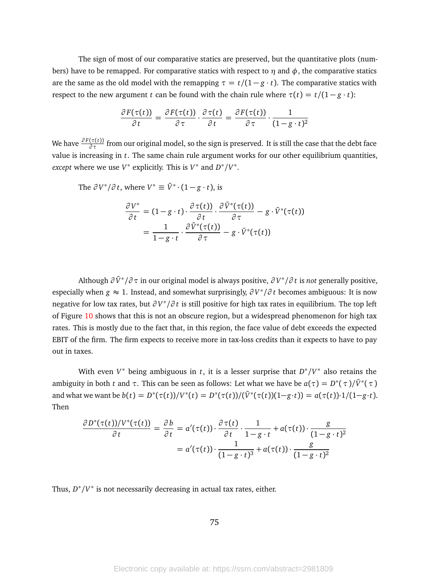The sign of most of our comparative statics are preserved, but the quantitative plots (numbers) have to be remapped. For comparative statics with respect to  $\eta$  and  $\phi$ , the comparative statics are the same as the old model with the remapping  $\tau = t/(1 - g \cdot t)$ . The comparative statics with respect to the new argument *t* can be found with the chain rule where  $\tau(t) = t/(1 - g \cdot t)$ :

$$
\frac{\partial F(\tau(t))}{\partial t} = \frac{\partial F(\tau(t))}{\partial \tau} \cdot \frac{\partial \tau(t)}{\partial t} = \frac{\partial F(\tau(t))}{\partial \tau} \cdot \frac{1}{(1 - g \cdot t)^2}
$$

We have *<sup>∂</sup> <sup>F</sup>*(*τ*(*t*)) *∂ τ* from our original model, so the sign is preserved. It is still the case that the debt face value is increasing in *t*. The same chain rule argument works for our other equilibrium quantities, *except* where we use  $V^*$  explicitly. This is  $V^*$  and  $D^*/V^*$ .

The 
$$
\partial V^*/\partial t
$$
, where  $V^* \equiv \tilde{V}^* \cdot (1 - g \cdot t)$ , is  
\n
$$
\frac{\partial V^*}{\partial t} = (1 - g \cdot t) \cdot \frac{\partial \tau(t)}{\partial t} \cdot \frac{\partial \tilde{V}^*(\tau(t))}{\partial \tau} - g \cdot \tilde{V}^*(\tau(t))
$$
\n
$$
= \frac{1}{1 - g \cdot t} \cdot \frac{\partial \tilde{V}^*(\tau(t))}{\partial \tau} - g \cdot \tilde{V}^*(\tau(t))
$$

Although *∂ V*˜ <sup>∗</sup> */∂ τ* in our original model is always positive, *∂ V* ∗ */∂ t* is *not* generally positive, especially when *g* ≈ 1. Instead, and somewhat surprisingly, *∂ V* ∗ */∂ t* becomes ambiguous: It is now negative for low tax rates, but *∂ V* ∗ */∂ t* is still positive for high tax rates in equilibrium. The top left of Figure [10](#page-77-0) shows that this is not an obscure region, but a widespread phenomenon for high tax rates. This is mostly due to the fact that, in this region, the face value of debt exceeds the expected EBIT of the firm. The firm expects to receive more in tax-loss credits than it expects to have to pay out in taxes.

With even *V*<sup>\*</sup> being ambiguous in *t*, it is a lesser surprise that  $D^*/V^*$  also retains the ambiguity in both *t* and  $\tau$ . This can be seen as follows: Let what we have be  $a(\tau) = D^*(\tau)/\tilde{V}^*(\tau)$ and what we want be  $b(t) = D^*(\tau(t))/V^*(t) = D^*(\tau(t))/(\tilde{V}^*(\tau(t))(1-g \cdot t)) = a(\tau(t)) \cdot 1/(1-g \cdot t).$ Then

$$
\frac{\partial D^*(\tau(t))/V^*(\tau(t))}{\partial t} = \frac{\partial b}{\partial t} = a'(\tau(t)) \cdot \frac{\partial \tau(t)}{\partial t} \cdot \frac{1}{1 - g \cdot t} + a(\tau(t)) \cdot \frac{g}{(1 - g \cdot t)^2}
$$

$$
= a'(\tau(t)) \cdot \frac{1}{(1 - g \cdot t)^3} + a(\tau(t)) \cdot \frac{g}{(1 - g \cdot t)^2}
$$

Thus,  $D^*/V^*$  is not necessarily decreasing in actual tax rates, either.

75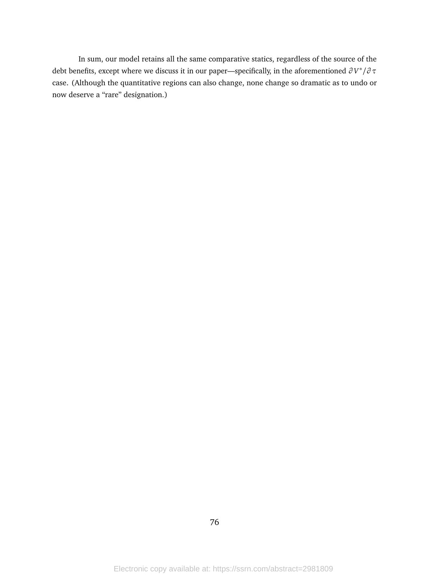In sum, our model retains all the same comparative statics, regardless of the source of the debt benefits, except where we discuss it in our paper—specifically, in the aforementioned *∂ V* ∗ */∂ τ* case. (Although the quantitative regions can also change, none change so dramatic as to undo or now deserve a "rare" designation.)